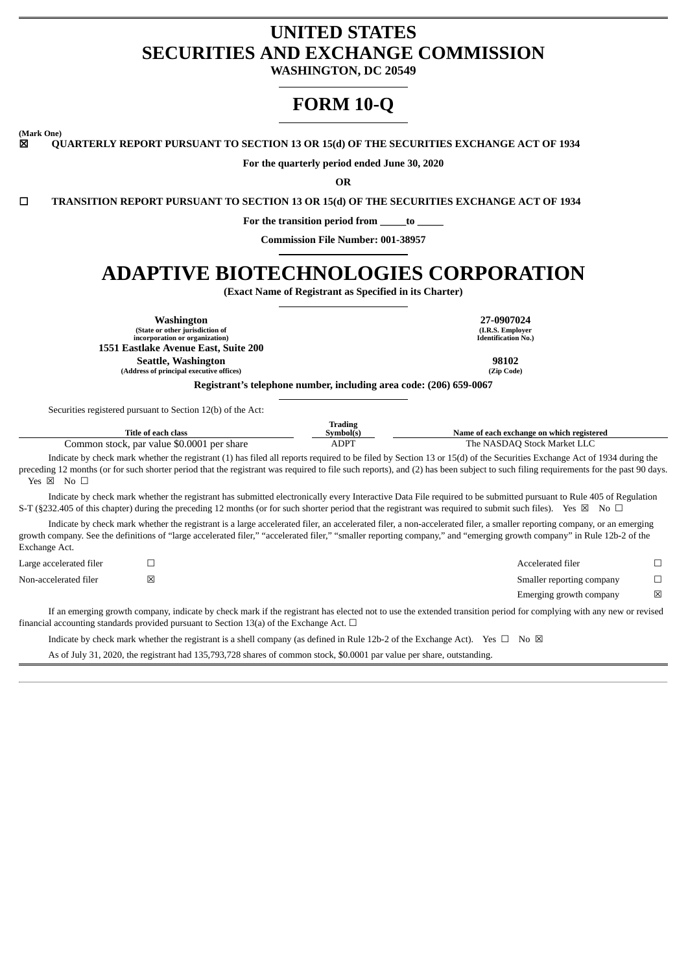# **UNITED STATES SECURITIES AND EXCHANGE COMMISSION**

**WASHINGTON, DC 20549**

# **FORM 10-Q**

**(Mark One)**

☒ **QUARTERLY REPORT PURSUANT TO SECTION 13 OR 15(d) OF THE SECURITIES EXCHANGE ACT OF 1934**

**For the quarterly period ended June 30, 2020**

**OR**

☐ **TRANSITION REPORT PURSUANT TO SECTION 13 OR 15(d) OF THE SECURITIES EXCHANGE ACT OF 1934**

**For the transition period from \_\_\_\_\_to \_\_\_\_\_**

**Commission File Number: 001-38957**

# **ADAPTIVE BIOTECHNOLOGIES CORPORATION**

**(Exact Name of Registrant as Specified in its Charter)**

**Washington 27-0907024 (State or other jurisdiction of incorporation or organization) (I.R.S. Employer Identification No.) 1551 Eastlake Avenue East, Suite 200 Seattle, Washington 98102**<br> **Participal executive offices 198102**<br> **Participal executive offices 198102 (Address of principal executive offices) (Zip Code) Registrant's telephone number, including area code: (206) 659-0067**

Securities registered pursuant to Section 12(b) of the Act:

| Title of each class                        | Trading<br>Svmbol(s | Name of each exchange on which registered |
|--------------------------------------------|---------------------|-------------------------------------------|
| Common stock, par value \$0.0001 per share | <b>ADPT</b>         | The NASDAO Stock Market LLC               |

Indicate by check mark whether the registrant (1) has filed all reports required to be filed by Section 13 or 15(d) of the Securities Exchange Act of 1934 during the preceding 12 months (or for such shorter period that the registrant was required to file such reports), and (2) has been subject to such filing requirements for the past 90 days. Yes ⊠ No □

Indicate by check mark whether the registrant has submitted electronically every Interactive Data File required to be submitted pursuant to Rule 405 of Regulation S-T (§232.405 of this chapter) during the preceding 12 months (or for such shorter period that the registrant was required to submit such files). Yes ⊠ No □

Indicate by check mark whether the registrant is a large accelerated filer, an accelerated filer, a non-accelerated filer, a smaller reporting company, or an emerging growth company. See the definitions of "large accelerated filer," "accelerated filer," "smaller reporting company," and "emerging growth company" in Rule 12b-2 of the Exchange Act.

| Large accelerated filer | Accelerated filer         |   |
|-------------------------|---------------------------|---|
| Non-accelerated filer   | Smaller reporting company |   |
|                         | Emerging growth company   | ⊠ |

If an emerging growth company, indicate by check mark if the registrant has elected not to use the extended transition period for complying with any new or revised financial accounting standards provided pursuant to Section 13(a) of the Exchange Act.  $\Box$ 

Indicate by check mark whether the registrant is a shell company (as defined in Rule 12b-2 of the Exchange Act). Yes  $\Box$  No  $\boxtimes$ 

As of July 31, 2020, the registrant had 135,793,728 shares of common stock, \$0.0001 par value per share, outstanding.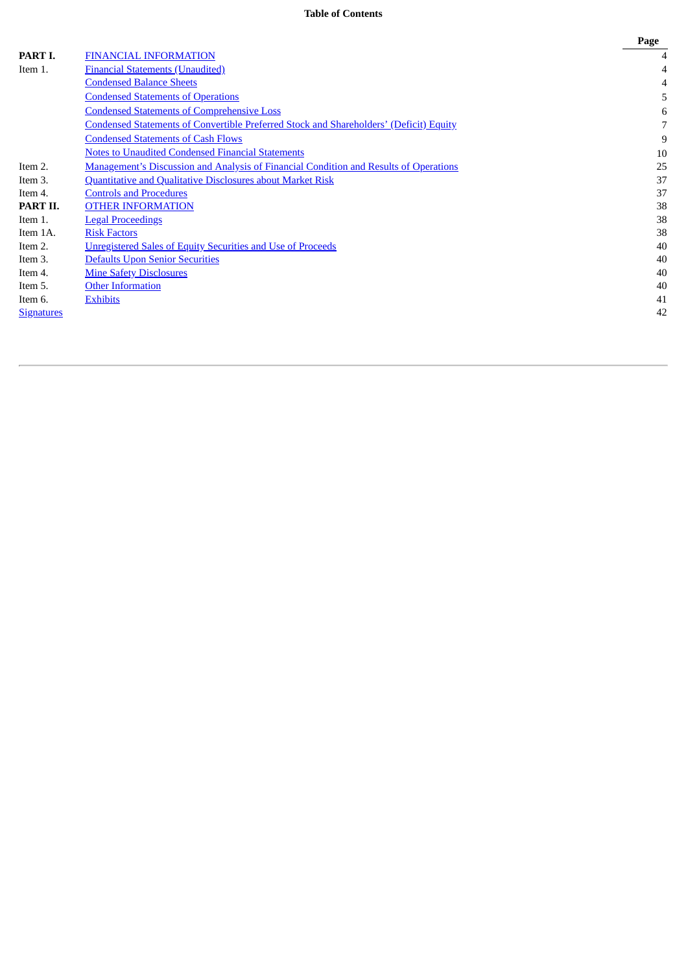# **Table of Contents**

|                   |                                                                                               | Page |
|-------------------|-----------------------------------------------------------------------------------------------|------|
| PART I.           | <b>FINANCIAL INFORMATION</b>                                                                  | 4    |
| Item 1.           | <b>Financial Statements (Unaudited)</b>                                                       | 4    |
|                   | <b>Condensed Balance Sheets</b>                                                               |      |
|                   | <b>Condensed Statements of Operations</b>                                                     | 5    |
|                   | <b>Condensed Statements of Comprehensive Loss</b>                                             | 6    |
|                   | <b>Condensed Statements of Convertible Preferred Stock and Shareholders' (Deficit) Equity</b> | 7    |
|                   | <b>Condensed Statements of Cash Flows</b>                                                     | 9    |
|                   | <b>Notes to Unaudited Condensed Financial Statements</b>                                      | 10   |
| Item 2.           | <b>Management's Discussion and Analysis of Financial Condition and Results of Operations</b>  | 25   |
| Item 3.           | <b>Quantitative and Qualitative Disclosures about Market Risk</b>                             | 37   |
| Item 4.           | <b>Controls and Procedures</b>                                                                | 37   |
| PART II.          | <b>OTHER INFORMATION</b>                                                                      | 38   |
| Item 1.           | <b>Legal Proceedings</b>                                                                      | 38   |
| Item 1A.          | <b>Risk Factors</b>                                                                           | 38   |
| Item 2.           | <b>Unregistered Sales of Equity Securities and Use of Proceeds</b>                            | 40   |
| Item 3.           | <b>Defaults Upon Senior Securities</b>                                                        | 40   |
| Item 4.           | <b>Mine Safety Disclosures</b>                                                                | 40   |
| Item 5.           | <b>Other Information</b>                                                                      | 40   |
| Item 6.           | <b>Exhibits</b>                                                                               | 41   |
| <b>Signatures</b> |                                                                                               | 42   |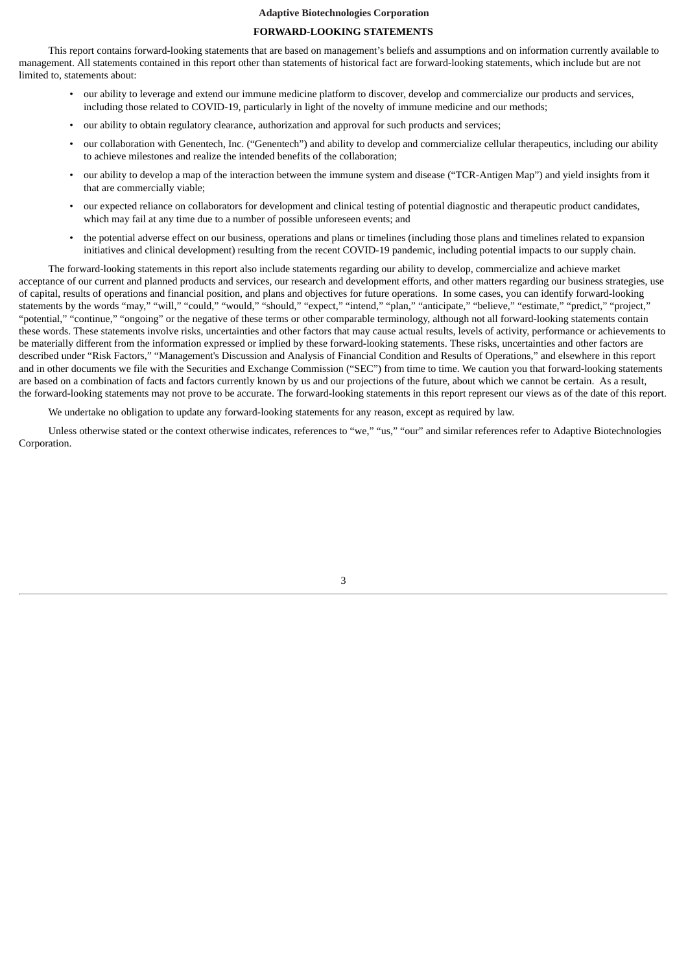### **FORWARD-LOOKING STATEMENTS**

This report contains forward-looking statements that are based on management's beliefs and assumptions and on information currently available to management. All statements contained in this report other than statements of historical fact are forward-looking statements, which include but are not limited to, statements about:

- our ability to leverage and extend our immune medicine platform to discover, develop and commercialize our products and services, including those related to COVID-19, particularly in light of the novelty of immune medicine and our methods;
- our ability to obtain regulatory clearance, authorization and approval for such products and services;
- our collaboration with Genentech, Inc. ("Genentech") and ability to develop and commercialize cellular therapeutics, including our ability to achieve milestones and realize the intended benefits of the collaboration;
- our ability to develop a map of the interaction between the immune system and disease ("TCR-Antigen Map") and yield insights from it that are commercially viable;
- our expected reliance on collaborators for development and clinical testing of potential diagnostic and therapeutic product candidates, which may fail at any time due to a number of possible unforeseen events; and
- the potential adverse effect on our business, operations and plans or timelines (including those plans and timelines related to expansion initiatives and clinical development) resulting from the recent COVID-19 pandemic, including potential impacts to our supply chain.

The forward-looking statements in this report also include statements regarding our ability to develop, commercialize and achieve market acceptance of our current and planned products and services, our research and development efforts, and other matters regarding our business strategies, use of capital, results of operations and financial position, and plans and objectives for future operations. In some cases, you can identify forward-looking statements by the words "may," "will," "could," "would," "should," "expect," "intend," "plan," "anticipate," "believe," "estimate," "predict," "project," "potential," "continue," "ongoing" or the negative of these terms or other comparable terminology, although not all forward-looking statements contain these words. These statements involve risks, uncertainties and other factors that may cause actual results, levels of activity, performance or achievements to be materially different from the information expressed or implied by these forward-looking statements. These risks, uncertainties and other factors are described under "Risk Factors," "Management's Discussion and Analysis of Financial Condition and Results of Operations," and elsewhere in this report and in other documents we file with the Securities and Exchange Commission ("SEC") from time to time. We caution you that forward-looking statements are based on a combination of facts and factors currently known by us and our projections of the future, about which we cannot be certain. As a result, the forward-looking statements may not prove to be accurate. The forward-looking statements in this report represent our views as of the date of this report.

We undertake no obligation to update any forward-looking statements for any reason, except as required by law.

Unless otherwise stated or the context otherwise indicates, references to "we," "us," "our" and similar references refer to Adaptive Biotechnologies Corporation.

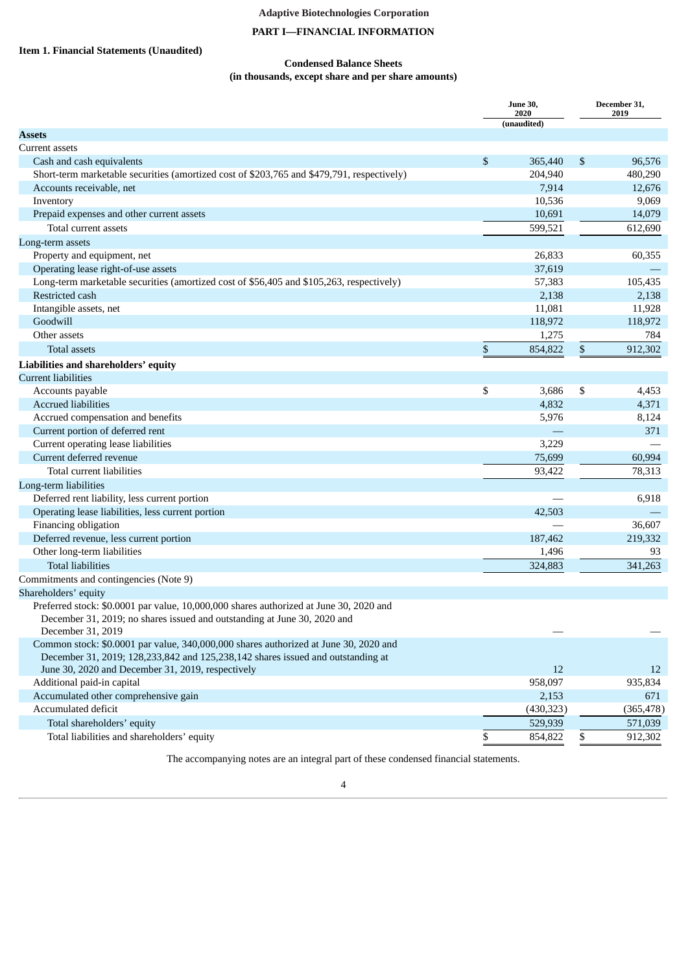# **PART I—FINANCIAL INFORMATION**

# <span id="page-3-2"></span><span id="page-3-1"></span><span id="page-3-0"></span>**Item 1. Financial Statements (Unaudited)**

# **Condensed Balance Sheets (in thousands, except share and per share amounts)**

|                                                                                                                                                                                         |      | <b>June 30,</b><br>2020<br>(unaudited) | December 31,<br>2019 |            |  |
|-----------------------------------------------------------------------------------------------------------------------------------------------------------------------------------------|------|----------------------------------------|----------------------|------------|--|
| <b>Assets</b>                                                                                                                                                                           |      |                                        |                      |            |  |
| Current assets                                                                                                                                                                          |      |                                        |                      |            |  |
| Cash and cash equivalents                                                                                                                                                               | \$   | 365,440                                | \$                   | 96,576     |  |
| Short-term marketable securities (amortized cost of \$203,765 and \$479,791, respectively)                                                                                              |      | 204,940                                |                      | 480,290    |  |
| Accounts receivable, net                                                                                                                                                                |      | 7,914                                  |                      | 12,676     |  |
| Inventory                                                                                                                                                                               |      | 10,536                                 |                      | 9,069      |  |
| Prepaid expenses and other current assets                                                                                                                                               |      | 10,691                                 |                      | 14,079     |  |
| Total current assets                                                                                                                                                                    |      | 599,521                                |                      | 612,690    |  |
| Long-term assets                                                                                                                                                                        |      |                                        |                      |            |  |
| Property and equipment, net                                                                                                                                                             |      | 26,833                                 |                      | 60,355     |  |
| Operating lease right-of-use assets                                                                                                                                                     |      | 37,619                                 |                      |            |  |
| Long-term marketable securities (amortized cost of \$56,405 and \$105,263, respectively)                                                                                                |      | 57,383                                 |                      | 105,435    |  |
| Restricted cash                                                                                                                                                                         |      | 2,138                                  |                      | 2,138      |  |
| Intangible assets, net                                                                                                                                                                  |      | 11,081                                 |                      | 11,928     |  |
| Goodwill                                                                                                                                                                                |      | 118,972                                |                      | 118,972    |  |
| Other assets                                                                                                                                                                            |      | 1,275                                  |                      | 784        |  |
| Total assets                                                                                                                                                                            | $\$$ | 854,822                                | \$                   | 912,302    |  |
| Liabilities and shareholders' equity                                                                                                                                                    |      |                                        |                      |            |  |
| <b>Current liabilities</b>                                                                                                                                                              |      |                                        |                      |            |  |
| Accounts payable                                                                                                                                                                        | \$   | 3,686                                  | \$                   | 4,453      |  |
| <b>Accrued liabilities</b>                                                                                                                                                              |      | 4,832                                  |                      | 4,371      |  |
| Accrued compensation and benefits                                                                                                                                                       |      | 5,976                                  |                      | 8,124      |  |
| Current portion of deferred rent                                                                                                                                                        |      |                                        |                      | 371        |  |
| Current operating lease liabilities                                                                                                                                                     |      | 3,229                                  |                      |            |  |
| Current deferred revenue                                                                                                                                                                |      | 75,699                                 |                      | 60,994     |  |
| Total current liabilities                                                                                                                                                               |      | 93,422                                 |                      | 78,313     |  |
| Long-term liabilities                                                                                                                                                                   |      |                                        |                      |            |  |
| Deferred rent liability, less current portion                                                                                                                                           |      |                                        |                      | 6,918      |  |
| Operating lease liabilities, less current portion                                                                                                                                       |      | 42,503                                 |                      |            |  |
| Financing obligation                                                                                                                                                                    |      |                                        |                      | 36,607     |  |
| Deferred revenue, less current portion                                                                                                                                                  |      | 187,462                                |                      | 219,332    |  |
| Other long-term liabilities                                                                                                                                                             |      | 1,496                                  |                      | 93         |  |
| <b>Total liabilities</b>                                                                                                                                                                |      | 324,883                                |                      | 341,263    |  |
| Commitments and contingencies (Note 9)                                                                                                                                                  |      |                                        |                      |            |  |
| Shareholders' equity                                                                                                                                                                    |      |                                        |                      |            |  |
| Preferred stock: \$0.0001 par value, 10,000,000 shares authorized at June 30, 2020 and<br>December 31, 2019; no shares issued and outstanding at June 30, 2020 and<br>December 31, 2019 |      |                                        |                      |            |  |
| Common stock: \$0.0001 par value, 340,000,000 shares authorized at June 30, 2020 and<br>December 31, 2019; 128,233,842 and 125,238,142 shares issued and outstanding at                 |      |                                        |                      |            |  |
| June 30, 2020 and December 31, 2019, respectively                                                                                                                                       |      | 12                                     |                      | 12         |  |
| Additional paid-in capital                                                                                                                                                              |      | 958,097                                |                      | 935,834    |  |
| Accumulated other comprehensive gain                                                                                                                                                    |      | 2,153                                  |                      | 671        |  |
| Accumulated deficit                                                                                                                                                                     |      | (430, 323)                             |                      | (365, 478) |  |
| Total shareholders' equity                                                                                                                                                              |      | 529,939                                |                      | 571,039    |  |
| Total liabilities and shareholders' equity                                                                                                                                              | \$   | 854,822                                | \$                   | 912,302    |  |
|                                                                                                                                                                                         |      |                                        |                      |            |  |

The accompanying notes are an integral part of these condensed financial statements.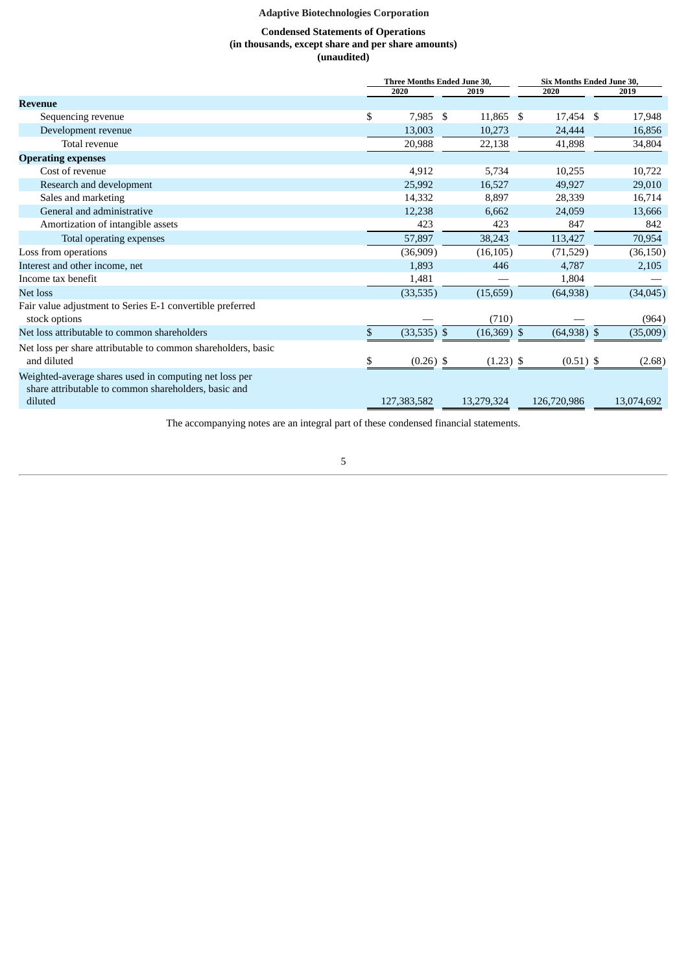# **Condensed Statements of Operations (in thousands, except share and per share amounts) (unaudited)**

<span id="page-4-0"></span>

|                                                                                                                           | <b>Three Months Ended June 30,</b> | <b>Six Months Ended June 30,</b> |               |  |            |  |
|---------------------------------------------------------------------------------------------------------------------------|------------------------------------|----------------------------------|---------------|--|------------|--|
|                                                                                                                           | 2020                               | 2019                             | 2020          |  | 2019       |  |
| <b>Revenue</b>                                                                                                            |                                    |                                  |               |  |            |  |
| Sequencing revenue                                                                                                        | \$<br>7,985                        | \$<br>11,865 \$                  | 17,454 \$     |  | 17,948     |  |
| Development revenue                                                                                                       | 13,003                             | 10,273                           | 24,444        |  | 16,856     |  |
| Total revenue                                                                                                             | 20,988                             | 22,138                           | 41,898        |  | 34,804     |  |
| <b>Operating expenses</b>                                                                                                 |                                    |                                  |               |  |            |  |
| Cost of revenue                                                                                                           | 4,912                              | 5,734                            | 10,255        |  | 10,722     |  |
| Research and development                                                                                                  | 25,992                             | 16,527                           | 49,927        |  | 29,010     |  |
| Sales and marketing                                                                                                       | 14,332                             | 8,897                            | 28,339        |  | 16,714     |  |
| General and administrative                                                                                                | 12,238                             | 6,662                            | 24,059        |  | 13,666     |  |
| Amortization of intangible assets                                                                                         | 423                                | 423                              | 847           |  | 842        |  |
| Total operating expenses                                                                                                  | 57,897                             | 38,243                           | 113,427       |  | 70,954     |  |
| Loss from operations                                                                                                      | (36,909)                           | (16, 105)                        | (71, 529)     |  | (36, 150)  |  |
| Interest and other income, net                                                                                            | 1,893                              | 446                              | 4,787         |  | 2,105      |  |
| Income tax benefit                                                                                                        | 1,481                              |                                  | 1,804         |  |            |  |
| Net loss                                                                                                                  | (33, 535)                          | (15, 659)                        | (64, 938)     |  | (34, 045)  |  |
| Fair value adjustment to Series E-1 convertible preferred<br>stock options                                                |                                    | (710)                            |               |  | (964)      |  |
| Net loss attributable to common shareholders                                                                              | \$<br>$(33,535)$ \$                | $(16,369)$ \$                    | $(64,938)$ \$ |  | (35,009)   |  |
| Net loss per share attributable to common shareholders, basic<br>and diluted                                              | \$<br>$(0.26)$ \$                  | $(1.23)$ \$                      | $(0.51)$ \$   |  | (2.68)     |  |
| Weighted-average shares used in computing net loss per<br>share attributable to common shareholders, basic and<br>diluted | 127,383,582                        | 13,279,324                       | 126,720,986   |  | 13,074,692 |  |
|                                                                                                                           |                                    |                                  |               |  |            |  |

The accompanying notes are an integral part of these condensed financial statements.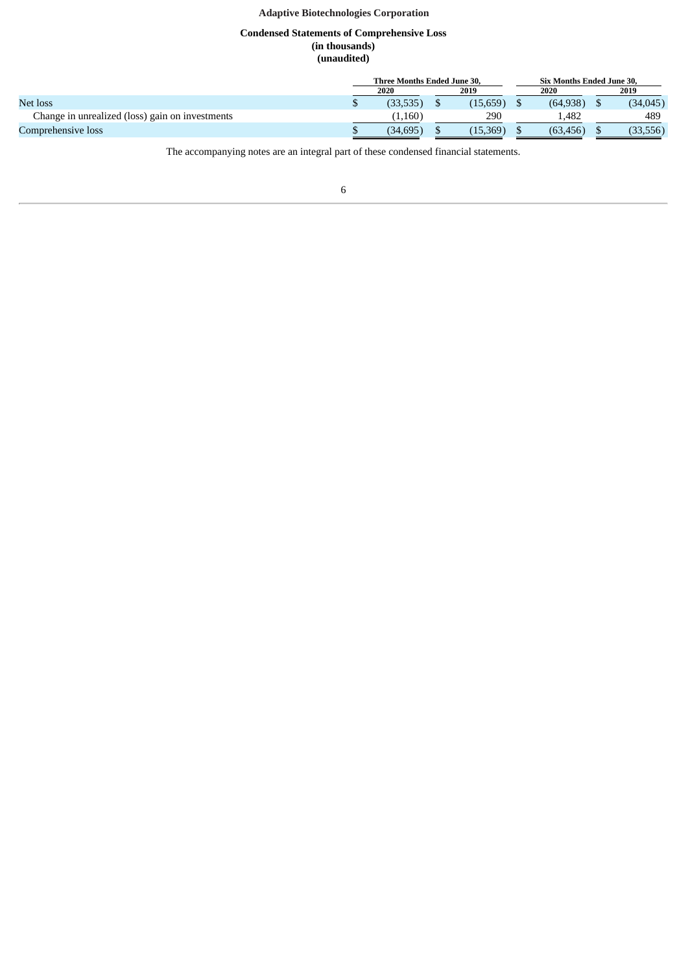# **Condensed Statements of Comprehensive Loss (in thousands) (unaudited)**

<span id="page-5-0"></span>

|                                                 | Three Months Ended June 30. |           |  |          |  | <b>Six Months Ended June 30.</b> |      |          |  |
|-------------------------------------------------|-----------------------------|-----------|--|----------|--|----------------------------------|------|----------|--|
|                                                 | 2019<br>2020                |           |  |          |  | 2020                             | 2019 |          |  |
| Net loss                                        |                             | (33, 535) |  | (15,659) |  | (64.938)                         |      | (34,045) |  |
| Change in unrealized (loss) gain on investments |                             | (1,160)   |  | 290      |  | 1,482                            |      | 489      |  |
| Comprehensive loss                              |                             | (34, 695) |  | (15,369) |  | (63, 456)                        |      | 33,556)  |  |

The accompanying notes are an integral part of these condensed financial statements.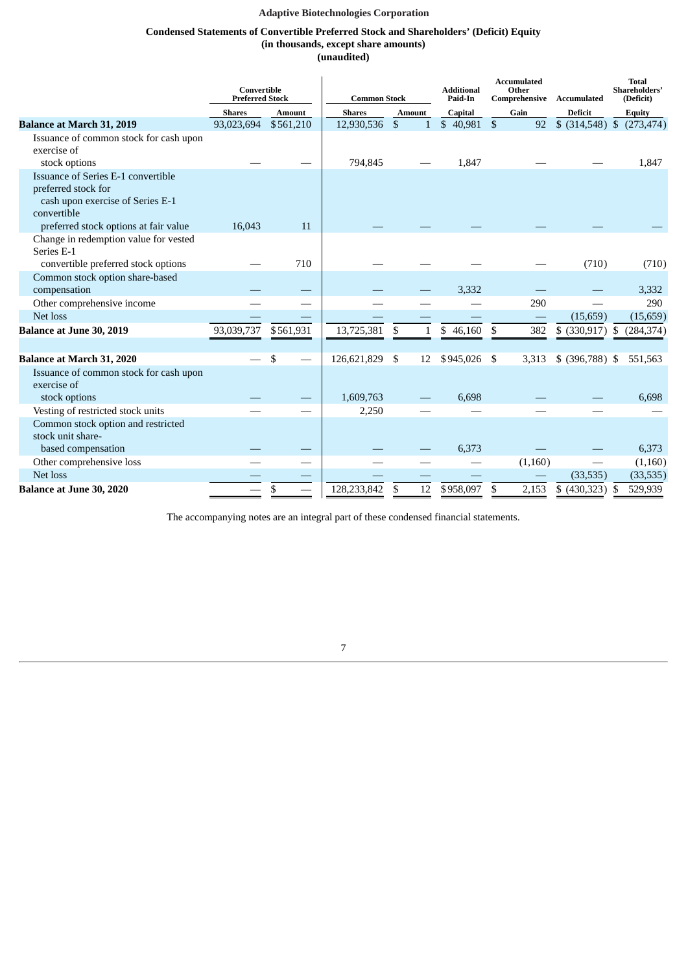# **Condensed Statements of Convertible Preferred Stock and Shareholders' (Deficit) Equity**

**(in thousands, except share amounts)**

| (unaudited) |
|-------------|
|-------------|

<span id="page-6-0"></span>

|                                                                                                                                                       | Convertible<br><b>Preferred Stock</b> |               | <b>Common Stock</b> |               |              | <b>Additional</b><br>Paid-In |     | <b>Accumulated</b><br>Other<br>Comprehensive | Accumulated      |      | <b>Total</b><br>Shareholders'<br>(Deficit) |
|-------------------------------------------------------------------------------------------------------------------------------------------------------|---------------------------------------|---------------|---------------------|---------------|--------------|------------------------------|-----|----------------------------------------------|------------------|------|--------------------------------------------|
|                                                                                                                                                       | <b>Shares</b>                         | <b>Amount</b> | <b>Shares</b>       | <b>Amount</b> |              | Capital                      |     | Gain                                         | <b>Deficit</b>   |      | <b>Equity</b>                              |
| <b>Balance at March 31, 2019</b>                                                                                                                      | 93,023,694                            | \$561,210     | 12,930,536          | \$            | $\mathbf{1}$ | $$40,981$ \$                 |     | 92                                           | \$ (314,548) \$  |      | (273, 474)                                 |
| Issuance of common stock for cash upon<br>exercise of<br>stock options                                                                                |                                       |               | 794,845             |               |              | 1,847                        |     |                                              |                  |      | 1,847                                      |
| Issuance of Series E-1 convertible<br>preferred stock for<br>cash upon exercise of Series E-1<br>convertible<br>preferred stock options at fair value | 16,043                                | 11            |                     |               |              |                              |     |                                              |                  |      |                                            |
|                                                                                                                                                       |                                       |               |                     |               |              |                              |     |                                              |                  |      |                                            |
| Change in redemption value for vested<br>Series E-1<br>convertible preferred stock options                                                            |                                       | 710           |                     |               |              |                              |     |                                              | (710)            |      | (710)                                      |
| Common stock option share-based                                                                                                                       |                                       |               |                     |               |              |                              |     |                                              |                  |      |                                            |
| compensation                                                                                                                                          |                                       |               |                     |               |              | 3,332                        |     |                                              |                  |      | 3,332                                      |
| Other comprehensive income                                                                                                                            |                                       |               |                     |               |              |                              |     | 290                                          |                  |      | 290                                        |
| Net loss                                                                                                                                              |                                       |               |                     |               |              |                              |     |                                              | (15,659)         |      | (15, 659)                                  |
| <b>Balance at June 30, 2019</b>                                                                                                                       | 93,039,737                            | \$561,931     | 13,725,381          | \$            | $\mathbf{1}$ | \$<br>46,160                 | \$  | 382                                          | $$$ (330,917) \$ |      | (284, 374)                                 |
|                                                                                                                                                       |                                       |               |                     |               |              |                              |     |                                              |                  |      |                                            |
| <b>Balance at March 31, 2020</b>                                                                                                                      |                                       | \$            | 126,621,829         | -\$           | 12           | \$945,026                    | -\$ | 3,313                                        | $$$ (396,788) \$ |      | 551,563                                    |
| Issuance of common stock for cash upon<br>exercise of                                                                                                 |                                       |               |                     |               |              |                              |     |                                              |                  |      |                                            |
| stock options                                                                                                                                         |                                       |               | 1,609,763           |               |              | 6,698                        |     |                                              |                  |      | 6,698                                      |
| Vesting of restricted stock units                                                                                                                     |                                       |               | 2,250               |               |              |                              |     |                                              |                  |      |                                            |
| Common stock option and restricted                                                                                                                    |                                       |               |                     |               |              |                              |     |                                              |                  |      |                                            |
| stock unit share-                                                                                                                                     |                                       |               |                     |               |              |                              |     |                                              |                  |      |                                            |
| based compensation                                                                                                                                    |                                       |               |                     |               |              | 6,373                        |     |                                              |                  |      | 6,373                                      |
| Other comprehensive loss                                                                                                                              |                                       |               |                     |               |              |                              |     | (1,160)                                      |                  |      | (1,160)                                    |
| Net loss                                                                                                                                              |                                       |               |                     |               |              |                              |     |                                              | (33,535)         |      | (33,535)                                   |
| <b>Balance at June 30, 2020</b>                                                                                                                       |                                       | \$            | 128,233,842         | \$            | 12           | \$958,097                    | \$  | 2,153                                        | \$ (430,323)     | - \$ | 529,939                                    |

The accompanying notes are an integral part of these condensed financial statements.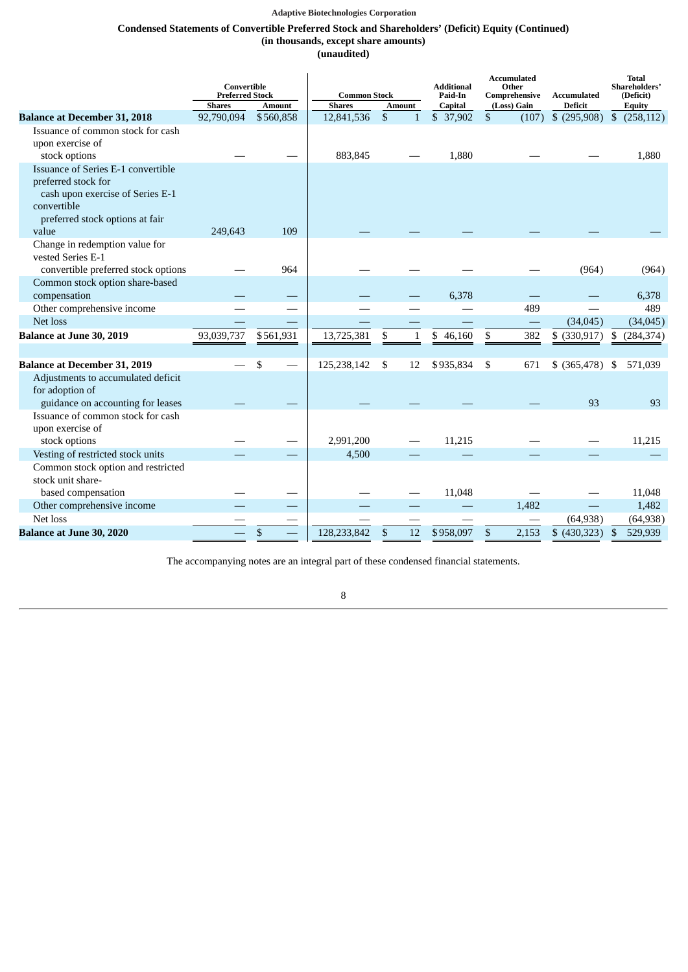# **Condensed Statements of Convertible Preferred Stock and Shareholders' (Deficit) Equity (Continued) (in thousands, except share amounts)**

**(unaudited)**

|                                                           | Convertible<br><b>Preferred Stock</b> |               |               | <b>Additional</b><br>Other<br><b>Common Stock</b><br>Paid-In<br>Comprehensive |              | <b>Accumulated</b><br>Accumulated |    | <b>Total</b><br>Shareholders'<br>(Deficit) |                |              |               |
|-----------------------------------------------------------|---------------------------------------|---------------|---------------|-------------------------------------------------------------------------------|--------------|-----------------------------------|----|--------------------------------------------|----------------|--------------|---------------|
|                                                           | <b>Shares</b>                         | <b>Amount</b> | <b>Shares</b> | <b>Amount</b>                                                                 |              | Capital                           |    | (Loss) Gain                                | <b>Deficit</b> |              | <b>Equity</b> |
| <b>Balance at December 31, 2018</b>                       | 92,790,094                            | \$560,858     | 12,841,536    | $\mathbb{S}$                                                                  | $\mathbf{1}$ | \$ 37,902                         | \$ | (107)                                      | $$$ (295,908)  | $\mathbb{S}$ | (258, 112)    |
| Issuance of common stock for cash                         |                                       |               |               |                                                                               |              |                                   |    |                                            |                |              |               |
| upon exercise of                                          |                                       |               |               |                                                                               |              |                                   |    |                                            |                |              |               |
| stock options                                             |                                       |               | 883,845       |                                                                               |              | 1,880                             |    |                                            |                |              | 1,880         |
| Issuance of Series E-1 convertible<br>preferred stock for |                                       |               |               |                                                                               |              |                                   |    |                                            |                |              |               |
| cash upon exercise of Series E-1                          |                                       |               |               |                                                                               |              |                                   |    |                                            |                |              |               |
| convertible                                               |                                       |               |               |                                                                               |              |                                   |    |                                            |                |              |               |
| preferred stock options at fair                           |                                       |               |               |                                                                               |              |                                   |    |                                            |                |              |               |
| value                                                     | 249,643                               | 109           |               |                                                                               |              |                                   |    |                                            |                |              |               |
| Change in redemption value for<br>vested Series E-1       |                                       |               |               |                                                                               |              |                                   |    |                                            |                |              |               |
| convertible preferred stock options                       |                                       | 964           |               |                                                                               |              |                                   |    |                                            | (964)          |              | (964)         |
| Common stock option share-based                           |                                       |               |               |                                                                               |              |                                   |    |                                            |                |              |               |
| compensation                                              |                                       |               |               |                                                                               |              | 6,378                             |    |                                            |                |              | 6,378         |
| Other comprehensive income                                |                                       |               |               |                                                                               |              |                                   |    | 489                                        |                |              | 489           |
| Net loss                                                  |                                       |               |               |                                                                               |              |                                   |    |                                            | (34, 045)      |              | (34, 045)     |
| <b>Balance at June 30, 2019</b>                           | 93,039,737                            | \$561,931     | 13,725,381    | \$                                                                            | $\mathbf{1}$ | \$<br>46,160                      | \$ | 382                                        | \$ (330,917)   | \$           | (284, 374)    |
|                                                           |                                       |               |               |                                                                               |              |                                   |    |                                            |                |              |               |
| <b>Balance at December 31, 2019</b>                       |                                       | \$            | 125,238,142   | \$                                                                            | 12           | \$935,834                         | \$ | 671                                        | $$$ (365,478)  | \$           | 571,039       |
| Adjustments to accumulated deficit                        |                                       |               |               |                                                                               |              |                                   |    |                                            |                |              |               |
| for adoption of                                           |                                       |               |               |                                                                               |              |                                   |    |                                            |                |              |               |
| guidance on accounting for leases                         |                                       |               |               |                                                                               |              |                                   |    |                                            | 93             |              | 93            |
| Issuance of common stock for cash                         |                                       |               |               |                                                                               |              |                                   |    |                                            |                |              |               |
| upon exercise of                                          |                                       |               |               |                                                                               |              |                                   |    |                                            |                |              |               |
| stock options                                             |                                       |               | 2,991,200     |                                                                               |              | 11,215                            |    |                                            |                |              | 11,215        |
| Vesting of restricted stock units                         |                                       |               | 4,500         |                                                                               |              |                                   |    |                                            |                |              |               |
| Common stock option and restricted<br>stock unit share-   |                                       |               |               |                                                                               |              |                                   |    |                                            |                |              |               |
| based compensation                                        |                                       |               |               |                                                                               |              | 11,048                            |    |                                            |                |              | 11,048        |
| Other comprehensive income                                |                                       |               |               |                                                                               |              |                                   |    | 1,482                                      |                |              | 1,482         |
| Net loss                                                  |                                       |               |               |                                                                               |              |                                   |    |                                            | (64, 938)      |              | (64, 938)     |
| <b>Balance at June 30, 2020</b>                           |                                       | \$            | 128,233,842   | \$                                                                            | 12           | \$958,097                         | \$ | 2,153                                      | \$ (430,323)   | \$           | 529,939       |
|                                                           |                                       |               |               |                                                                               |              |                                   |    |                                            |                |              |               |

The accompanying notes are an integral part of these condensed financial statements.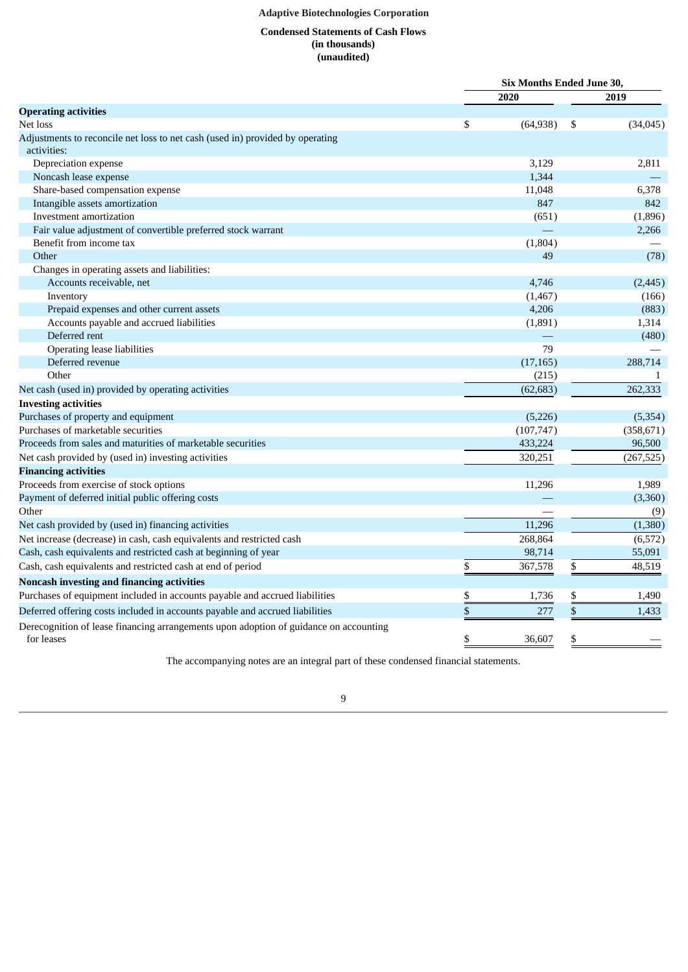# **Condensed Statements of Cash Flows (in thousands) (unaudited)**

<span id="page-8-0"></span>

|                                                                                                     |    | Six Months Ended June 30, |    |            |
|-----------------------------------------------------------------------------------------------------|----|---------------------------|----|------------|
|                                                                                                     |    | 2020                      |    | 2019       |
| <b>Operating activities</b>                                                                         |    |                           |    |            |
| Net loss                                                                                            | \$ | (64, 938)                 | \$ | (34,045)   |
| Adjustments to reconcile net loss to net cash (used in) provided by operating<br>activities:        |    |                           |    |            |
| Depreciation expense                                                                                |    | 3.129                     |    | 2,811      |
| Noncash lease expense                                                                               |    | 1,344                     |    |            |
| Share-based compensation expense                                                                    |    | 11,048                    |    | 6,378      |
| Intangible assets amortization                                                                      |    | 847                       |    | 842        |
| Investment amortization                                                                             |    | (651)                     |    | (1,896)    |
| Fair value adjustment of convertible preferred stock warrant                                        |    |                           |    | 2,266      |
| Benefit from income tax                                                                             |    | (1,804)                   |    |            |
| Other                                                                                               |    | 49                        |    | (78)       |
| Changes in operating assets and liabilities:                                                        |    |                           |    |            |
| Accounts receivable, net                                                                            |    | 4.746                     |    | (2, 445)   |
| Inventory                                                                                           |    | (1, 467)                  |    | (166)      |
| Prepaid expenses and other current assets                                                           |    | 4,206                     |    | (883)      |
| Accounts payable and accrued liabilities                                                            |    | (1,891)                   |    | 1,314      |
| Deferred rent                                                                                       |    |                           |    | (480)      |
| Operating lease liabilities                                                                         |    | 79                        |    |            |
| Deferred revenue                                                                                    |    | (17, 165)                 |    | 288,714    |
| Other                                                                                               |    | (215)                     |    |            |
| Net cash (used in) provided by operating activities                                                 |    | (62, 683)                 |    | 262,333    |
| <b>Investing activities</b>                                                                         |    |                           |    |            |
| Purchases of property and equipment                                                                 |    | (5,226)                   |    | (5, 354)   |
| Purchases of marketable securities                                                                  |    | (107, 747)                |    | (358, 671) |
| Proceeds from sales and maturities of marketable securities                                         |    | 433,224                   |    | 96,500     |
| Net cash provided by (used in) investing activities                                                 |    | 320,251                   |    | (267, 525) |
| <b>Financing activities</b>                                                                         |    |                           |    |            |
| Proceeds from exercise of stock options                                                             |    | 11,296                    |    | 1,989      |
| Payment of deferred initial public offering costs                                                   |    |                           |    | (3,360)    |
| Other                                                                                               |    |                           |    | (9)        |
| Net cash provided by (used in) financing activities                                                 |    | 11,296                    |    | (1,380)    |
| Net increase (decrease) in cash, cash equivalents and restricted cash                               |    | 268,864                   |    | (6, 572)   |
| Cash, cash equivalents and restricted cash at beginning of year                                     |    | 98,714                    |    | 55,091     |
| Cash, cash equivalents and restricted cash at end of period                                         | \$ | 367,578                   | \$ | 48,519     |
| Noncash investing and financing activities                                                          |    |                           |    |            |
| Purchases of equipment included in accounts payable and accrued liabilities                         | \$ | 1,736                     | \$ | 1,490      |
| Deferred offering costs included in accounts payable and accrued liabilities                        | \$ | 277                       | \$ | 1,433      |
|                                                                                                     |    |                           |    |            |
| Derecognition of lease financing arrangements upon adoption of guidance on accounting<br>for leases | \$ | 36,607                    | \$ |            |

The accompanying notes are an integral part of these condensed financial statements.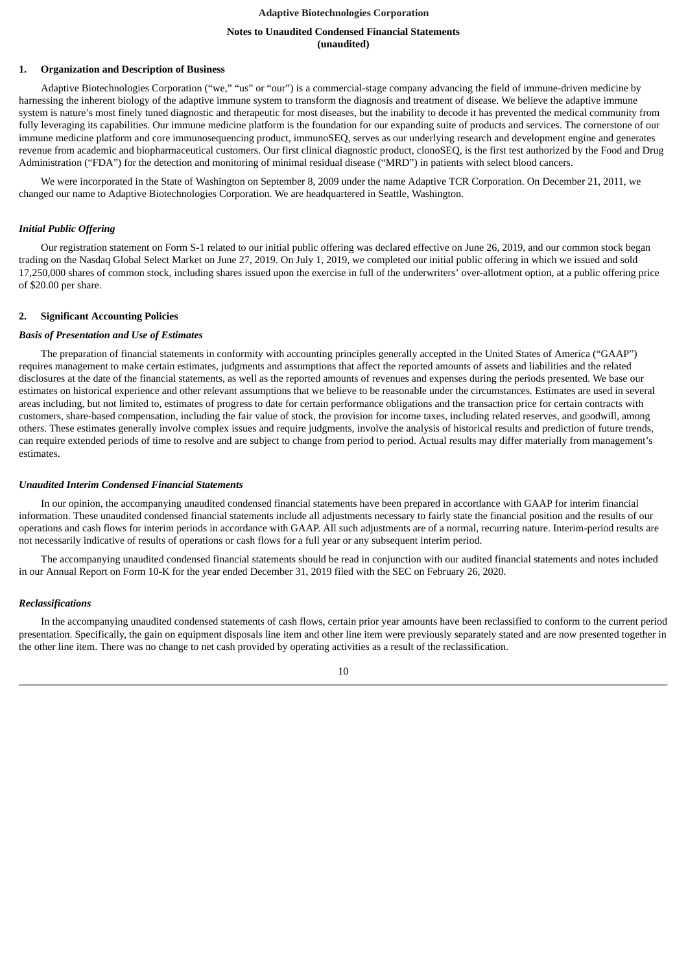# **Notes to Unaudited Condensed Financial Statements (unaudited)**

### <span id="page-9-0"></span>**1. Organization and Description of Business**

Adaptive Biotechnologies Corporation ("we," "us" or "our") is a commercial-stage company advancing the field of immune-driven medicine by harnessing the inherent biology of the adaptive immune system to transform the diagnosis and treatment of disease. We believe the adaptive immune system is nature's most finely tuned diagnostic and therapeutic for most diseases, but the inability to decode it has prevented the medical community from fully leveraging its capabilities. Our immune medicine platform is the foundation for our expanding suite of products and services. The cornerstone of our immune medicine platform and core immunosequencing product, immunoSEQ, serves as our underlying research and development engine and generates revenue from academic and biopharmaceutical customers. Our first clinical diagnostic product, clonoSEQ, is the first test authorized by the Food and Drug Administration ("FDA") for the detection and monitoring of minimal residual disease ("MRD") in patients with select blood cancers.

We were incorporated in the State of Washington on September 8, 2009 under the name Adaptive TCR Corporation. On December 21, 2011, we changed our name to Adaptive Biotechnologies Corporation. We are headquartered in Seattle, Washington.

#### *Initial Public Offering*

Our registration statement on Form S-1 related to our initial public offering was declared effective on June 26, 2019, and our common stock began trading on the Nasdaq Global Select Market on June 27, 2019. On July 1, 2019, we completed our initial public offering in which we issued and sold 17,250,000 shares of common stock, including shares issued upon the exercise in full of the underwriters' over-allotment option, at a public offering price of \$20.00 per share.

#### **2. Significant Accounting Policies**

#### *Basis of Presentation and Use of Estimates*

The preparation of financial statements in conformity with accounting principles generally accepted in the United States of America ("GAAP") requires management to make certain estimates, judgments and assumptions that affect the reported amounts of assets and liabilities and the related disclosures at the date of the financial statements, as well as the reported amounts of revenues and expenses during the periods presented. We base our estimates on historical experience and other relevant assumptions that we believe to be reasonable under the circumstances. Estimates are used in several areas including, but not limited to, estimates of progress to date for certain performance obligations and the transaction price for certain contracts with customers, share-based compensation, including the fair value of stock, the provision for income taxes, including related reserves, and goodwill, among others. These estimates generally involve complex issues and require judgments, involve the analysis of historical results and prediction of future trends, can require extended periods of time to resolve and are subject to change from period to period. Actual results may differ materially from management's estimates.

### *Unaudited Interim Condensed Financial Statements*

In our opinion, the accompanying unaudited condensed financial statements have been prepared in accordance with GAAP for interim financial information. These unaudited condensed financial statements include all adjustments necessary to fairly state the financial position and the results of our operations and cash flows for interim periods in accordance with GAAP. All such adjustments are of a normal, recurring nature. Interim-period results are not necessarily indicative of results of operations or cash flows for a full year or any subsequent interim period.

The accompanying unaudited condensed financial statements should be read in conjunction with our audited financial statements and notes included in our Annual Report on Form 10-K for the year ended December 31, 2019 filed with the SEC on February 26, 2020.

### *Reclassifications*

In the accompanying unaudited condensed statements of cash flows, certain prior year amounts have been reclassified to conform to the current period presentation. Specifically, the gain on equipment disposals line item and other line item were previously separately stated and are now presented together in the other line item. There was no change to net cash provided by operating activities as a result of the reclassification.

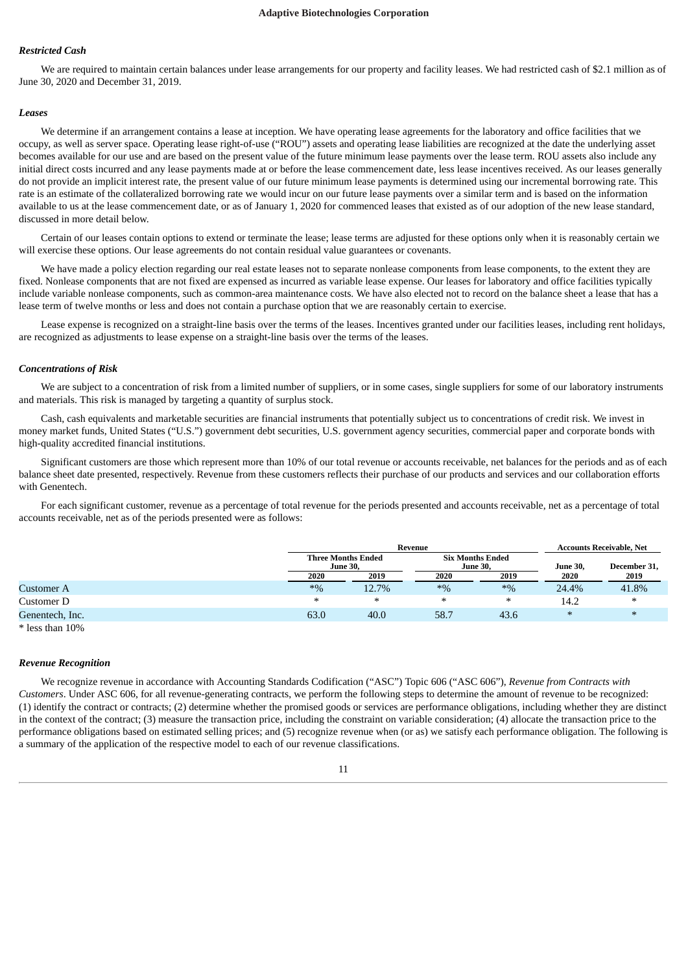### *Restricted Cash*

We are required to maintain certain balances under lease arrangements for our property and facility leases. We had restricted cash of \$2.1 million as of June 30, 2020 and December 31, 2019.

#### *Leases*

We determine if an arrangement contains a lease at inception. We have operating lease agreements for the laboratory and office facilities that we occupy, as well as server space. Operating lease right-of-use ("ROU") assets and operating lease liabilities are recognized at the date the underlying asset becomes available for our use and are based on the present value of the future minimum lease payments over the lease term. ROU assets also include any initial direct costs incurred and any lease payments made at or before the lease commencement date, less lease incentives received. As our leases generally do not provide an implicit interest rate, the present value of our future minimum lease payments is determined using our incremental borrowing rate. This rate is an estimate of the collateralized borrowing rate we would incur on our future lease payments over a similar term and is based on the information available to us at the lease commencement date, or as of January 1, 2020 for commenced leases that existed as of our adoption of the new lease standard, discussed in more detail below.

Certain of our leases contain options to extend or terminate the lease; lease terms are adjusted for these options only when it is reasonably certain we will exercise these options. Our lease agreements do not contain residual value guarantees or covenants.

We have made a policy election regarding our real estate leases not to separate nonlease components from lease components, to the extent they are fixed. Nonlease components that are not fixed are expensed as incurred as variable lease expense. Our leases for laboratory and office facilities typically include variable nonlease components, such as common-area maintenance costs. We have also elected not to record on the balance sheet a lease that has a lease term of twelve months or less and does not contain a purchase option that we are reasonably certain to exercise.

Lease expense is recognized on a straight-line basis over the terms of the leases. Incentives granted under our facilities leases, including rent holidays, are recognized as adjustments to lease expense on a straight-line basis over the terms of the leases.

#### *Concentrations of Risk*

We are subject to a concentration of risk from a limited number of suppliers, or in some cases, single suppliers for some of our laboratory instruments and materials. This risk is managed by targeting a quantity of surplus stock.

Cash, cash equivalents and marketable securities are financial instruments that potentially subject us to concentrations of credit risk. We invest in money market funds, United States ("U.S.") government debt securities, U.S. government agency securities, commercial paper and corporate bonds with high-quality accredited financial institutions.

Significant customers are those which represent more than 10% of our total revenue or accounts receivable, net balances for the periods and as of each balance sheet date presented, respectively. Revenue from these customers reflects their purchase of our products and services and our collaboration efforts with Genentech.

For each significant customer, revenue as a percentage of total revenue for the periods presented and accounts receivable, net as a percentage of total accounts receivable, net as of the periods presented were as follows:

|                 |                                              | Revenue |                 | <b>Accounts Receivable, Net</b> |          |              |
|-----------------|----------------------------------------------|---------|-----------------|---------------------------------|----------|--------------|
|                 | <b>Three Months Ended</b><br><b>June 30.</b> |         | <b>June 30.</b> | <b>Six Months Ended</b>         | June 30, | December 31, |
|                 | 2020                                         | 2019    | 2020            | 2019                            | 2020     | 2019         |
| Customer A      | $*9/6$                                       | 12.7%   | $*9/6$          | $*9/6$                          | 24.4%    | 41.8%        |
| Customer D      | ∗                                            | ∗       | $\ast$          | ∗                               | 14.2     | $\ast$       |
| Genentech, Inc. | 63.0                                         | 40.0    | 58.7            | 43.6                            | $\ast$   | ∗            |

\* less than 10%

#### *Revenue Recognition*

We recognize revenue in accordance with Accounting Standards Codification ("ASC") Topic 606 ("ASC 606"), *Revenue from Contracts with Customers*. Under ASC 606, for all revenue-generating contracts, we perform the following steps to determine the amount of revenue to be recognized: (1) identify the contract or contracts; (2) determine whether the promised goods or services are performance obligations, including whether they are distinct in the context of the contract; (3) measure the transaction price, including the constraint on variable consideration; (4) allocate the transaction price to the performance obligations based on estimated selling prices; and (5) recognize revenue when (or as) we satisfy each performance obligation. The following is a summary of the application of the respective model to each of our revenue classifications.

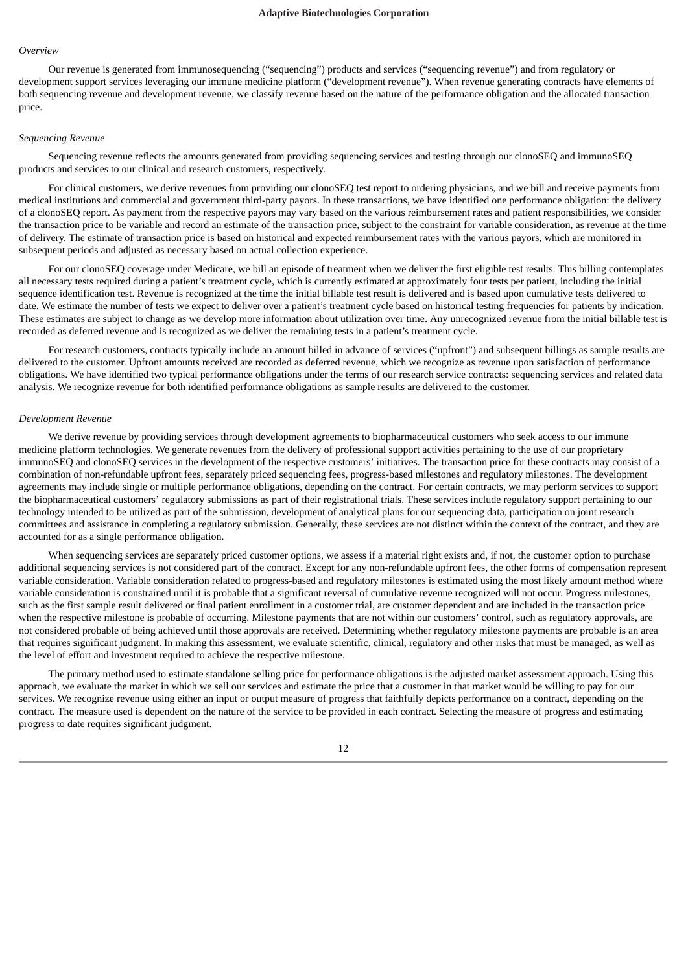#### *Overview*

Our revenue is generated from immunosequencing ("sequencing") products and services ("sequencing revenue") and from regulatory or development support services leveraging our immune medicine platform ("development revenue"). When revenue generating contracts have elements of both sequencing revenue and development revenue, we classify revenue based on the nature of the performance obligation and the allocated transaction price.

#### *Sequencing Revenue*

Sequencing revenue reflects the amounts generated from providing sequencing services and testing through our clonoSEQ and immunoSEQ products and services to our clinical and research customers, respectively.

For clinical customers, we derive revenues from providing our clonoSEQ test report to ordering physicians, and we bill and receive payments from medical institutions and commercial and government third-party payors. In these transactions, we have identified one performance obligation: the delivery of a clonoSEQ report. As payment from the respective payors may vary based on the various reimbursement rates and patient responsibilities, we consider the transaction price to be variable and record an estimate of the transaction price, subject to the constraint for variable consideration, as revenue at the time of delivery. The estimate of transaction price is based on historical and expected reimbursement rates with the various payors, which are monitored in subsequent periods and adjusted as necessary based on actual collection experience.

For our clonoSEQ coverage under Medicare, we bill an episode of treatment when we deliver the first eligible test results. This billing contemplates all necessary tests required during a patient's treatment cycle, which is currently estimated at approximately four tests per patient, including the initial sequence identification test. Revenue is recognized at the time the initial billable test result is delivered and is based upon cumulative tests delivered to date. We estimate the number of tests we expect to deliver over a patient's treatment cycle based on historical testing frequencies for patients by indication. These estimates are subject to change as we develop more information about utilization over time. Any unrecognized revenue from the initial billable test is recorded as deferred revenue and is recognized as we deliver the remaining tests in a patient's treatment cycle.

For research customers, contracts typically include an amount billed in advance of services ("upfront") and subsequent billings as sample results are delivered to the customer. Upfront amounts received are recorded as deferred revenue, which we recognize as revenue upon satisfaction of performance obligations. We have identified two typical performance obligations under the terms of our research service contracts: sequencing services and related data analysis. We recognize revenue for both identified performance obligations as sample results are delivered to the customer.

#### *Development Revenue*

We derive revenue by providing services through development agreements to biopharmaceutical customers who seek access to our immune medicine platform technologies. We generate revenues from the delivery of professional support activities pertaining to the use of our proprietary immunoSEQ and clonoSEQ services in the development of the respective customers' initiatives. The transaction price for these contracts may consist of a combination of non-refundable upfront fees, separately priced sequencing fees, progress-based milestones and regulatory milestones. The development agreements may include single or multiple performance obligations, depending on the contract. For certain contracts, we may perform services to support the biopharmaceutical customers' regulatory submissions as part of their registrational trials. These services include regulatory support pertaining to our technology intended to be utilized as part of the submission, development of analytical plans for our sequencing data, participation on joint research committees and assistance in completing a regulatory submission. Generally, these services are not distinct within the context of the contract, and they are accounted for as a single performance obligation.

When sequencing services are separately priced customer options, we assess if a material right exists and, if not, the customer option to purchase additional sequencing services is not considered part of the contract. Except for any non-refundable upfront fees, the other forms of compensation represent variable consideration. Variable consideration related to progress-based and regulatory milestones is estimated using the most likely amount method where variable consideration is constrained until it is probable that a significant reversal of cumulative revenue recognized will not occur. Progress milestones, such as the first sample result delivered or final patient enrollment in a customer trial, are customer dependent and are included in the transaction price when the respective milestone is probable of occurring. Milestone payments that are not within our customers' control, such as regulatory approvals, are not considered probable of being achieved until those approvals are received. Determining whether regulatory milestone payments are probable is an area that requires significant judgment. In making this assessment, we evaluate scientific, clinical, regulatory and other risks that must be managed, as well as the level of effort and investment required to achieve the respective milestone.

The primary method used to estimate standalone selling price for performance obligations is the adjusted market assessment approach. Using this approach, we evaluate the market in which we sell our services and estimate the price that a customer in that market would be willing to pay for our services. We recognize revenue using either an input or output measure of progress that faithfully depicts performance on a contract, depending on the contract. The measure used is dependent on the nature of the service to be provided in each contract. Selecting the measure of progress and estimating progress to date requires significant judgment.

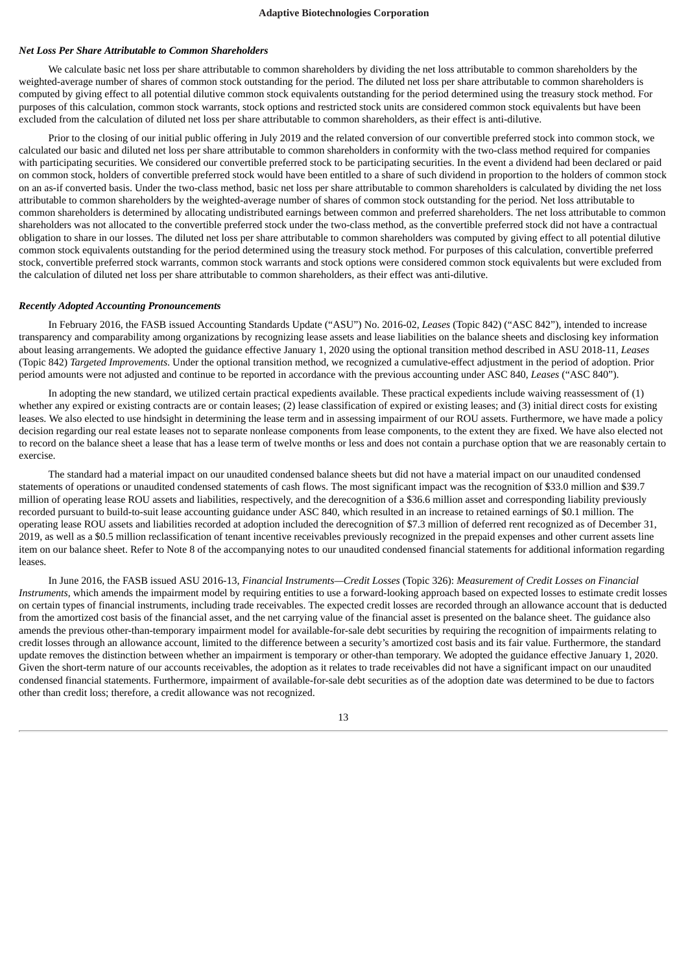# *Net Loss Per Share Attributable to Common Shareholders*

We calculate basic net loss per share attributable to common shareholders by dividing the net loss attributable to common shareholders by the weighted-average number of shares of common stock outstanding for the period. The diluted net loss per share attributable to common shareholders is computed by giving effect to all potential dilutive common stock equivalents outstanding for the period determined using the treasury stock method. For purposes of this calculation, common stock warrants, stock options and restricted stock units are considered common stock equivalents but have been excluded from the calculation of diluted net loss per share attributable to common shareholders, as their effect is anti-dilutive.

Prior to the closing of our initial public offering in July 2019 and the related conversion of our convertible preferred stock into common stock, we calculated our basic and diluted net loss per share attributable to common shareholders in conformity with the two-class method required for companies with participating securities. We considered our convertible preferred stock to be participating securities. In the event a dividend had been declared or paid on common stock, holders of convertible preferred stock would have been entitled to a share of such dividend in proportion to the holders of common stock on an as-if converted basis. Under the two-class method, basic net loss per share attributable to common shareholders is calculated by dividing the net loss attributable to common shareholders by the weighted-average number of shares of common stock outstanding for the period. Net loss attributable to common shareholders is determined by allocating undistributed earnings between common and preferred shareholders. The net loss attributable to common shareholders was not allocated to the convertible preferred stock under the two-class method, as the convertible preferred stock did not have a contractual obligation to share in our losses. The diluted net loss per share attributable to common shareholders was computed by giving effect to all potential dilutive common stock equivalents outstanding for the period determined using the treasury stock method. For purposes of this calculation, convertible preferred stock, convertible preferred stock warrants, common stock warrants and stock options were considered common stock equivalents but were excluded from the calculation of diluted net loss per share attributable to common shareholders, as their effect was anti-dilutive.

### *Recently Adopted Accounting Pronouncements*

In February 2016, the FASB issued Accounting Standards Update ("ASU") No. 2016-02, *Leases* (Topic 842) ("ASC 842"), intended to increase transparency and comparability among organizations by recognizing lease assets and lease liabilities on the balance sheets and disclosing key information about leasing arrangements. We adopted the guidance effective January 1, 2020 using the optional transition method described in ASU 2018-11*, Leases* (Topic 842) *Targeted Improvements*. Under the optional transition method, we recognized a cumulative-effect adjustment in the period of adoption. Prior period amounts were not adjusted and continue to be reported in accordance with the previous accounting under ASC 840, *Leases* ("ASC 840").

In adopting the new standard, we utilized certain practical expedients available. These practical expedients include waiving reassessment of (1) whether any expired or existing contracts are or contain leases; (2) lease classification of expired or existing leases; and (3) initial direct costs for existing leases. We also elected to use hindsight in determining the lease term and in assessing impairment of our ROU assets. Furthermore, we have made a policy decision regarding our real estate leases not to separate nonlease components from lease components, to the extent they are fixed. We have also elected not to record on the balance sheet a lease that has a lease term of twelve months or less and does not contain a purchase option that we are reasonably certain to exercise.

The standard had a material impact on our unaudited condensed balance sheets but did not have a material impact on our unaudited condensed statements of operations or unaudited condensed statements of cash flows. The most significant impact was the recognition of \$33.0 million and \$39.7 million of operating lease ROU assets and liabilities, respectively, and the derecognition of a \$36.6 million asset and corresponding liability previously recorded pursuant to build-to-suit lease accounting guidance under ASC 840, which resulted in an increase to retained earnings of \$0.1 million. The operating lease ROU assets and liabilities recorded at adoption included the derecognition of \$7.3 million of deferred rent recognized as of December 31, 2019, as well as a \$0.5 million reclassification of tenant incentive receivables previously recognized in the prepaid expenses and other current assets line item on our balance sheet. Refer to Note 8 of the accompanying notes to our unaudited condensed financial statements for additional information regarding leases.

In June 2016, the FASB issued ASU 2016-13, *Financial Instruments—Credit Losses* (Topic 326): *Measurement of Credit Losses on Financial Instruments*, which amends the impairment model by requiring entities to use a forward-looking approach based on expected losses to estimate credit losses on certain types of financial instruments, including trade receivables. The expected credit losses are recorded through an allowance account that is deducted from the amortized cost basis of the financial asset, and the net carrying value of the financial asset is presented on the balance sheet. The guidance also amends the previous other-than-temporary impairment model for available-for-sale debt securities by requiring the recognition of impairments relating to credit losses through an allowance account, limited to the difference between a security's amortized cost basis and its fair value. Furthermore, the standard update removes the distinction between whether an impairment is temporary or other-than temporary. We adopted the guidance effective January 1, 2020. Given the short-term nature of our accounts receivables, the adoption as it relates to trade receivables did not have a significant impact on our unaudited condensed financial statements. Furthermore, impairment of available-for-sale debt securities as of the adoption date was determined to be due to factors other than credit loss; therefore, a credit allowance was not recognized.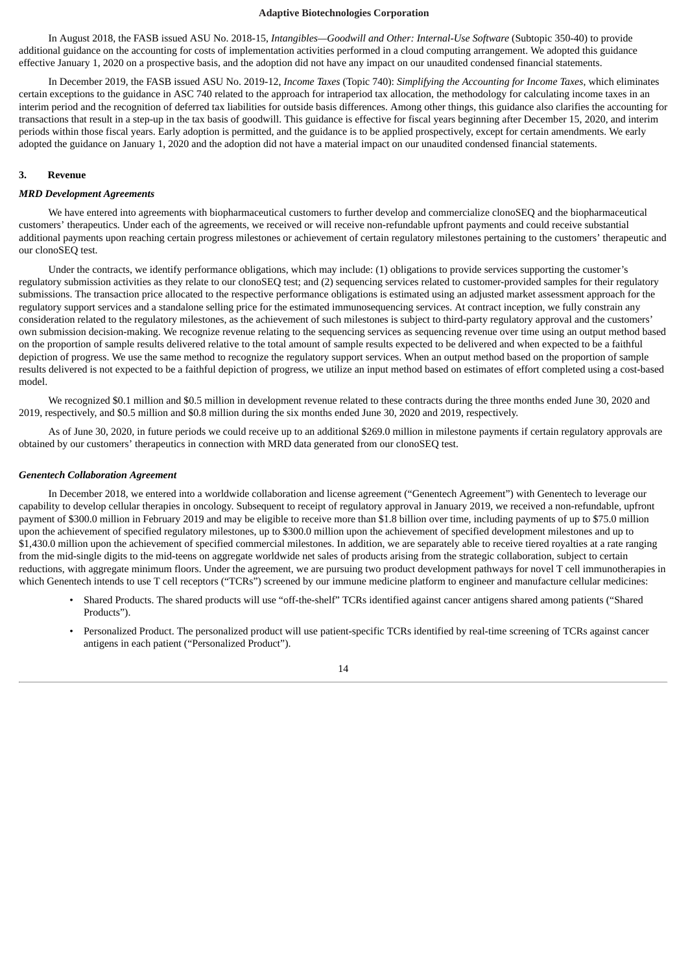In August 2018, the FASB issued ASU No. 2018-15, *Intangibles—Goodwill and Other: Internal-Use Software* (Subtopic 350-40) to provide additional guidance on the accounting for costs of implementation activities performed in a cloud computing arrangement. We adopted this guidance effective January 1, 2020 on a prospective basis, and the adoption did not have any impact on our unaudited condensed financial statements.

In December 2019, the FASB issued ASU No. 2019-12, *Income Taxes* (Topic 740): *Simplifying the Accounting for Income Taxes*, which eliminates certain exceptions to the guidance in ASC 740 related to the approach for intraperiod tax allocation, the methodology for calculating income taxes in an interim period and the recognition of deferred tax liabilities for outside basis differences. Among other things, this guidance also clarifies the accounting for transactions that result in a step-up in the tax basis of goodwill. This guidance is effective for fiscal years beginning after December 15, 2020, and interim periods within those fiscal years. Early adoption is permitted, and the guidance is to be applied prospectively, except for certain amendments. We early adopted the guidance on January 1, 2020 and the adoption did not have a material impact on our unaudited condensed financial statements.

#### **3. Revenue**

### *MRD Development Agreements*

We have entered into agreements with biopharmaceutical customers to further develop and commercialize clonoSEQ and the biopharmaceutical customers' therapeutics. Under each of the agreements, we received or will receive non-refundable upfront payments and could receive substantial additional payments upon reaching certain progress milestones or achievement of certain regulatory milestones pertaining to the customers' therapeutic and our clonoSEQ test.

Under the contracts, we identify performance obligations, which may include: (1) obligations to provide services supporting the customer's regulatory submission activities as they relate to our clonoSEQ test; and (2) sequencing services related to customer-provided samples for their regulatory submissions. The transaction price allocated to the respective performance obligations is estimated using an adjusted market assessment approach for the regulatory support services and a standalone selling price for the estimated immunosequencing services. At contract inception, we fully constrain any consideration related to the regulatory milestones, as the achievement of such milestones is subject to third-party regulatory approval and the customers' own submission decision-making. We recognize revenue relating to the sequencing services as sequencing revenue over time using an output method based on the proportion of sample results delivered relative to the total amount of sample results expected to be delivered and when expected to be a faithful depiction of progress. We use the same method to recognize the regulatory support services. When an output method based on the proportion of sample results delivered is not expected to be a faithful depiction of progress, we utilize an input method based on estimates of effort completed using a cost-based model.

We recognized \$0.1 million and \$0.5 million in development revenue related to these contracts during the three months ended June 30, 2020 and 2019, respectively, and \$0.5 million and \$0.8 million during the six months ended June 30, 2020 and 2019, respectively.

As of June 30, 2020, in future periods we could receive up to an additional \$269.0 million in milestone payments if certain regulatory approvals are obtained by our customers' therapeutics in connection with MRD data generated from our clonoSEQ test.

#### *Genentech Collaboration Agreement*

In December 2018, we entered into a worldwide collaboration and license agreement ("Genentech Agreement") with Genentech to leverage our capability to develop cellular therapies in oncology. Subsequent to receipt of regulatory approval in January 2019, we received a non-refundable, upfront payment of \$300.0 million in February 2019 and may be eligible to receive more than \$1.8 billion over time, including payments of up to \$75.0 million upon the achievement of specified regulatory milestones, up to \$300.0 million upon the achievement of specified development milestones and up to \$1,430.0 million upon the achievement of specified commercial milestones. In addition, we are separately able to receive tiered royalties at a rate ranging from the mid-single digits to the mid-teens on aggregate worldwide net sales of products arising from the strategic collaboration, subject to certain reductions, with aggregate minimum floors. Under the agreement, we are pursuing two product development pathways for novel T cell immunotherapies in which Genentech intends to use T cell receptors ("TCRs") screened by our immune medicine platform to engineer and manufacture cellular medicines:

- Shared Products. The shared products will use "off-the-shelf" TCRs identified against cancer antigens shared among patients ("Shared Products").
- Personalized Product. The personalized product will use patient-specific TCRs identified by real-time screening of TCRs against cancer antigens in each patient ("Personalized Product").

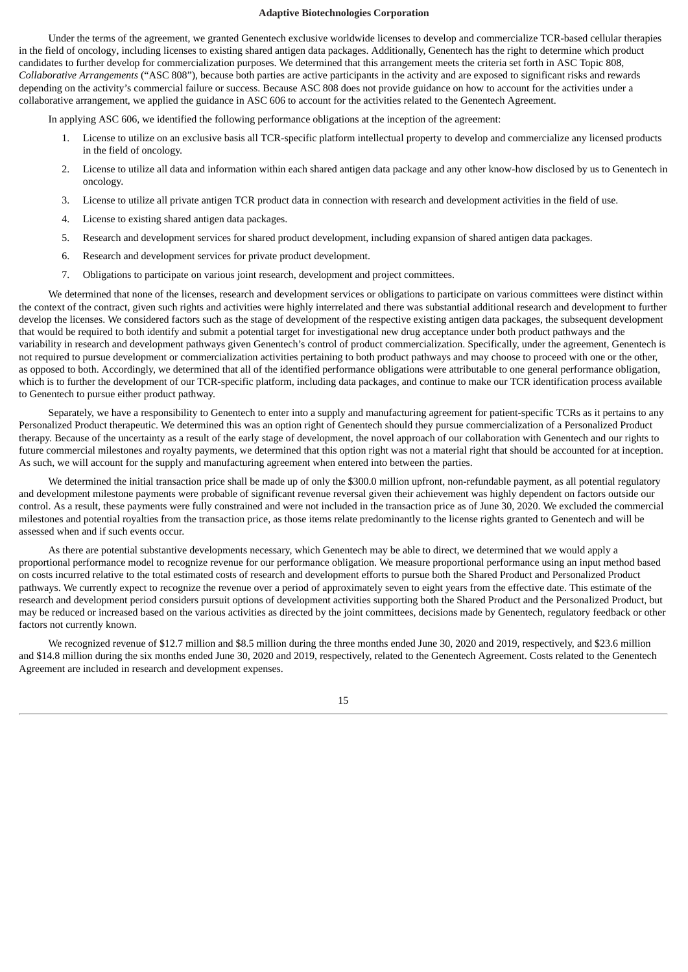Under the terms of the agreement, we granted Genentech exclusive worldwide licenses to develop and commercialize TCR-based cellular therapies in the field of oncology, including licenses to existing shared antigen data packages. Additionally, Genentech has the right to determine which product candidates to further develop for commercialization purposes. We determined that this arrangement meets the criteria set forth in ASC Topic 808, *Collaborative Arrangements* ("ASC 808"), because both parties are active participants in the activity and are exposed to significant risks and rewards depending on the activity's commercial failure or success. Because ASC 808 does not provide guidance on how to account for the activities under a collaborative arrangement, we applied the guidance in ASC 606 to account for the activities related to the Genentech Agreement.

In applying ASC 606, we identified the following performance obligations at the inception of the agreement:

- 1. License to utilize on an exclusive basis all TCR-specific platform intellectual property to develop and commercialize any licensed products in the field of oncology.
- 2. License to utilize all data and information within each shared antigen data package and any other know-how disclosed by us to Genentech in oncology.
- 3. License to utilize all private antigen TCR product data in connection with research and development activities in the field of use.
- 4. License to existing shared antigen data packages.
- 5. Research and development services for shared product development, including expansion of shared antigen data packages.
- 6. Research and development services for private product development.
- 7. Obligations to participate on various joint research, development and project committees.

We determined that none of the licenses, research and development services or obligations to participate on various committees were distinct within the context of the contract, given such rights and activities were highly interrelated and there was substantial additional research and development to further develop the licenses. We considered factors such as the stage of development of the respective existing antigen data packages, the subsequent development that would be required to both identify and submit a potential target for investigational new drug acceptance under both product pathways and the variability in research and development pathways given Genentech's control of product commercialization. Specifically, under the agreement, Genentech is not required to pursue development or commercialization activities pertaining to both product pathways and may choose to proceed with one or the other, as opposed to both. Accordingly, we determined that all of the identified performance obligations were attributable to one general performance obligation, which is to further the development of our TCR-specific platform, including data packages, and continue to make our TCR identification process available to Genentech to pursue either product pathway.

Separately, we have a responsibility to Genentech to enter into a supply and manufacturing agreement for patient-specific TCRs as it pertains to any Personalized Product therapeutic. We determined this was an option right of Genentech should they pursue commercialization of a Personalized Product therapy. Because of the uncertainty as a result of the early stage of development, the novel approach of our collaboration with Genentech and our rights to future commercial milestones and royalty payments, we determined that this option right was not a material right that should be accounted for at inception. As such, we will account for the supply and manufacturing agreement when entered into between the parties.

We determined the initial transaction price shall be made up of only the \$300.0 million upfront, non-refundable payment, as all potential regulatory and development milestone payments were probable of significant revenue reversal given their achievement was highly dependent on factors outside our control. As a result, these payments were fully constrained and were not included in the transaction price as of June 30, 2020. We excluded the commercial milestones and potential royalties from the transaction price, as those items relate predominantly to the license rights granted to Genentech and will be assessed when and if such events occur.

As there are potential substantive developments necessary, which Genentech may be able to direct, we determined that we would apply a proportional performance model to recognize revenue for our performance obligation. We measure proportional performance using an input method based on costs incurred relative to the total estimated costs of research and development efforts to pursue both the Shared Product and Personalized Product pathways. We currently expect to recognize the revenue over a period of approximately seven to eight years from the effective date. This estimate of the research and development period considers pursuit options of development activities supporting both the Shared Product and the Personalized Product, but may be reduced or increased based on the various activities as directed by the joint committees, decisions made by Genentech, regulatory feedback or other factors not currently known.

We recognized revenue of \$12.7 million and \$8.5 million during the three months ended June 30, 2020 and 2019, respectively, and \$23.6 million and \$14.8 million during the six months ended June 30, 2020 and 2019, respectively, related to the Genentech Agreement. Costs related to the Genentech Agreement are included in research and development expenses.

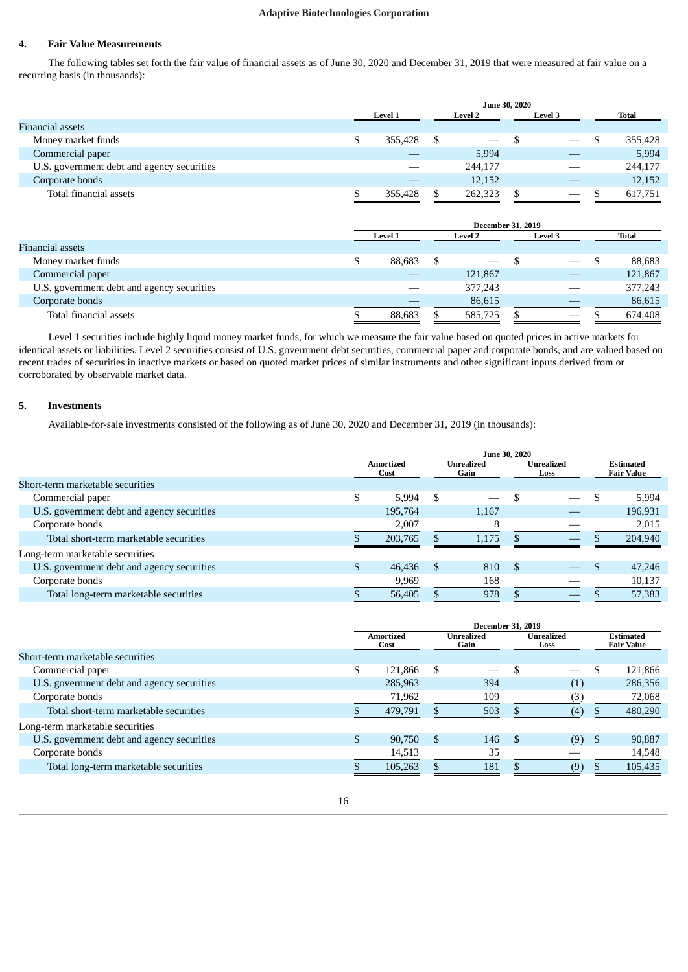# **4. Fair Value Measurements**

The following tables set forth the fair value of financial assets as of June 30, 2020 and December 31, 2019 that were measured at fair value on a recurring basis (in thousands):

|                                            | June 30, 2020                    |         |  |                          |  |                |  |         |  |
|--------------------------------------------|----------------------------------|---------|--|--------------------------|--|----------------|--|---------|--|
|                                            | <b>Level 2</b><br><b>Level 1</b> |         |  |                          |  | <b>Level 3</b> |  | Total   |  |
| Financial assets                           |                                  |         |  |                          |  |                |  |         |  |
| Money market funds                         |                                  | 355.428 |  | $\overline{\phantom{a}}$ |  |                |  | 355,428 |  |
| Commercial paper                           |                                  |         |  | 5,994                    |  |                |  | 5,994   |  |
| U.S. government debt and agency securities |                                  |         |  | 244,177                  |  |                |  | 244,177 |  |
| Corporate bonds                            |                                  |         |  | 12,152                   |  |                |  | 12,152  |  |
| Total financial assets                     |                                  | 355,428 |  | 262,323                  |  |                |  | 617,751 |  |

|                                            | <b>December 31, 2019</b>             |        |    |                                 |  |  |  |         |  |  |  |  |  |  |  |  |  |       |
|--------------------------------------------|--------------------------------------|--------|----|---------------------------------|--|--|--|---------|--|--|--|--|--|--|--|--|--|-------|
|                                            | Level 1<br><b>Level 2</b><br>Level 3 |        |    |                                 |  |  |  |         |  |  |  |  |  |  |  |  |  | Total |
| Financial assets                           |                                      |        |    |                                 |  |  |  |         |  |  |  |  |  |  |  |  |  |       |
| Money market funds                         |                                      | 88.683 | S. | $\hspace{0.1mm}-\hspace{0.1mm}$ |  |  |  | 88,683  |  |  |  |  |  |  |  |  |  |       |
| Commercial paper                           |                                      |        |    | 121,867                         |  |  |  | 121,867 |  |  |  |  |  |  |  |  |  |       |
| U.S. government debt and agency securities |                                      |        |    | 377,243                         |  |  |  | 377,243 |  |  |  |  |  |  |  |  |  |       |
| Corporate bonds                            |                                      |        |    | 86,615                          |  |  |  | 86,615  |  |  |  |  |  |  |  |  |  |       |
| Total financial assets                     |                                      | 88,683 |    | 585,725                         |  |  |  | 674,408 |  |  |  |  |  |  |  |  |  |       |

Level 1 securities include highly liquid money market funds, for which we measure the fair value based on quoted prices in active markets for identical assets or liabilities. Level 2 securities consist of U.S. government debt securities, commercial paper and corporate bonds, and are valued based on recent trades of securities in inactive markets or based on quoted market prices of similar instruments and other significant inputs derived from or corroborated by observable market data.

# **5. Investments**

Available-for-sale investments consisted of the following as of June 30, 2020 and December 31, 2019 (in thousands):

|                                            | <b>June 30, 2020</b> |                   |                    |       |                    |  |  |                                       |
|--------------------------------------------|----------------------|-------------------|--------------------|-------|--------------------|--|--|---------------------------------------|
|                                            |                      | Amortized<br>Cost | Unrealized<br>Gain |       | Unrealized<br>Loss |  |  | <b>Estimated</b><br><b>Fair Value</b> |
| Short-term marketable securities           |                      |                   |                    |       |                    |  |  |                                       |
| Commercial paper                           |                      | 5.994             | -S                 |       |                    |  |  | 5,994                                 |
| U.S. government debt and agency securities |                      | 195,764           |                    | 1,167 |                    |  |  | 196,931                               |
| Corporate bonds                            |                      | 2,007             |                    |       |                    |  |  | 2,015                                 |
| Total short-term marketable securities     |                      | 203,765           |                    | 1,175 |                    |  |  | 204,940                               |
| Long-term marketable securities            |                      |                   |                    |       |                    |  |  |                                       |
| U.S. government debt and agency securities |                      | 46,436            | <sup>\$</sup>      | 810   | - \$               |  |  | 47,246                                |
| Corporate bonds                            |                      | 9,969             |                    | 168   |                    |  |  | 10,137                                |
| Total long-term marketable securities      |                      | 56,405            |                    | 978   |                    |  |  | 57,383                                |

|                                            | <b>December 31, 2019</b> |                          |               |                    |      |                           |    |                                       |
|--------------------------------------------|--------------------------|--------------------------|---------------|--------------------|------|---------------------------|----|---------------------------------------|
|                                            |                          | <b>Amortized</b><br>Cost |               | Unrealized<br>Gain |      | <b>Unrealized</b><br>Loss |    | <b>Estimated</b><br><b>Fair Value</b> |
| Short-term marketable securities           |                          |                          |               |                    |      |                           |    |                                       |
| Commercial paper                           | \$                       | 121,866                  | S             |                    |      | $\overline{\phantom{0}}$  |    | 121,866                               |
| U.S. government debt and agency securities |                          | 285,963                  |               | 394                |      | (1)                       |    | 286,356                               |
| Corporate bonds                            |                          | 71,962                   |               | 109                |      | (3)                       |    | 72,068                                |
| Total short-term marketable securities     |                          | 479,791                  |               | 503                |      | (4)                       |    | 480,290                               |
| Long-term marketable securities            |                          |                          |               |                    |      |                           |    |                                       |
| U.S. government debt and agency securities | \$.                      | 90,750                   | <sup>\$</sup> | 146                | - \$ | (9)                       | -S | 90,887                                |
| Corporate bonds                            |                          | 14,513                   |               | 35                 |      |                           |    | 14,548                                |
| Total long-term marketable securities      |                          | 105,263                  |               | 181                |      | (9)                       |    | 105,435                               |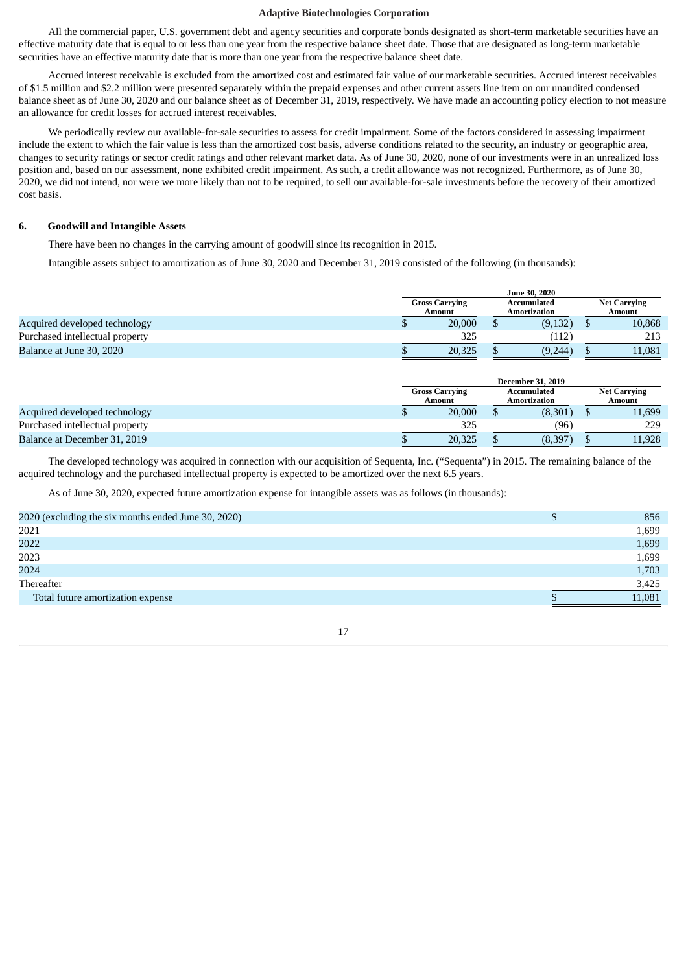All the commercial paper, U.S. government debt and agency securities and corporate bonds designated as short-term marketable securities have an effective maturity date that is equal to or less than one year from the respective balance sheet date. Those that are designated as long-term marketable securities have an effective maturity date that is more than one year from the respective balance sheet date.

Accrued interest receivable is excluded from the amortized cost and estimated fair value of our marketable securities. Accrued interest receivables of \$1.5 million and \$2.2 million were presented separately within the prepaid expenses and other current assets line item on our unaudited condensed balance sheet as of June 30, 2020 and our balance sheet as of December 31, 2019, respectively. We have made an accounting policy election to not measure an allowance for credit losses for accrued interest receivables.

We periodically review our available-for-sale securities to assess for credit impairment. Some of the factors considered in assessing impairment include the extent to which the fair value is less than the amortized cost basis, adverse conditions related to the security, an industry or geographic area, changes to security ratings or sector credit ratings and other relevant market data. As of June 30, 2020, none of our investments were in an unrealized loss position and, based on our assessment, none exhibited credit impairment. As such, a credit allowance was not recognized. Furthermore, as of June 30, 2020, we did not intend, nor were we more likely than not to be required, to sell our available-for-sale investments before the recovery of their amortized cost basis.

### **6. Goodwill and Intangible Assets**

There have been no changes in the carrying amount of goodwill since its recognition in 2015.

Intangible assets subject to amortization as of June 30, 2020 and December 31, 2019 consisted of the following (in thousands):

|                                 |                                 |        | <b>June 30, 2020</b>               |  |                               |  |
|---------------------------------|---------------------------------|--------|------------------------------------|--|-------------------------------|--|
|                                 | <b>Gross Carrying</b><br>Amount |        | Accumulated<br><b>Amortization</b> |  | <b>Net Carrying</b><br>Amount |  |
| Acquired developed technology   |                                 | 20,000 | (9, 132)                           |  | 10,868                        |  |
| Purchased intellectual property |                                 | 325    | (112)                              |  | 213                           |  |
| Balance at June 30, 2020        |                                 | 20,325 | (9,244)                            |  | 11.081                        |  |

|                                 | <b>December 31, 2019</b>        |        |                             |         |  |                               |
|---------------------------------|---------------------------------|--------|-----------------------------|---------|--|-------------------------------|
|                                 | <b>Gross Carrying</b><br>Amount |        | Accumulated<br>Amortization |         |  | <b>Net Carrying</b><br>Amount |
| Acquired developed technology   |                                 | 20,000 |                             | (8,301) |  | 11,699                        |
| Purchased intellectual property |                                 | 325    |                             | (96)    |  | 229                           |
| Balance at December 31, 2019    |                                 | 20,325 |                             | (8,397) |  | 11,928                        |

The developed technology was acquired in connection with our acquisition of Sequenta, Inc. ("Sequenta") in 2015. The remaining balance of the acquired technology and the purchased intellectual property is expected to be amortized over the next 6.5 years.

As of June 30, 2020, expected future amortization expense for intangible assets was as follows (in thousands):

| 2020 (excluding the six months ended June 30, 2020) | D | 856    |
|-----------------------------------------------------|---|--------|
| 2021                                                |   | 1,699  |
| 2022                                                |   | 1,699  |
| 2023                                                |   | 1,699  |
| 2024                                                |   | 1,703  |
| Thereafter                                          |   | 3,425  |
| Total future amortization expense                   |   | 11,081 |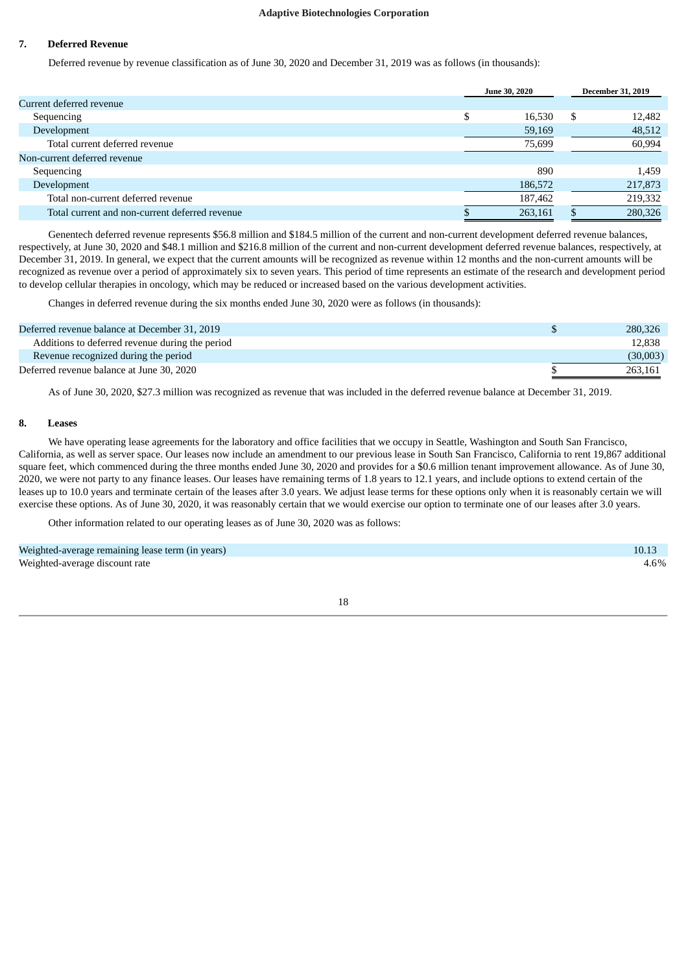# **7. Deferred Revenue**

Deferred revenue by revenue classification as of June 30, 2020 and December 31, 2019 was as follows (in thousands):

|                                                | <b>June 30, 2020</b> |   | <b>December 31, 2019</b> |
|------------------------------------------------|----------------------|---|--------------------------|
| Current deferred revenue                       |                      |   |                          |
| Sequencing                                     | 16,530               | S | 12,482                   |
| Development                                    | 59,169               |   | 48,512                   |
| Total current deferred revenue                 | 75,699               |   | 60,994                   |
| Non-current deferred revenue                   |                      |   |                          |
| Sequencing                                     | 890                  |   | 1,459                    |
| Development                                    | 186,572              |   | 217,873                  |
| Total non-current deferred revenue             | 187,462              |   | 219,332                  |
| Total current and non-current deferred revenue | 263,161              |   | 280,326                  |

Genentech deferred revenue represents \$56.8 million and \$184.5 million of the current and non-current development deferred revenue balances, respectively, at June 30, 2020 and \$48.1 million and \$216.8 million of the current and non-current development deferred revenue balances, respectively, at December 31, 2019. In general, we expect that the current amounts will be recognized as revenue within 12 months and the non-current amounts will be recognized as revenue over a period of approximately six to seven years. This period of time represents an estimate of the research and development period to develop cellular therapies in oncology, which may be reduced or increased based on the various development activities.

Changes in deferred revenue during the six months ended June 30, 2020 were as follows (in thousands):

| Deferred revenue balance at December 31, 2019   | 280,326  |
|-------------------------------------------------|----------|
| Additions to deferred revenue during the period | 12.838   |
| Revenue recognized during the period            | (30,003) |
| Deferred revenue balance at June 30, 2020       | 263.161  |

As of June 30, 2020, \$27.3 million was recognized as revenue that was included in the deferred revenue balance at December 31, 2019.

# **8. Leases**

We have operating lease agreements for the laboratory and office facilities that we occupy in Seattle, Washington and South San Francisco, California, as well as server space. Our leases now include an amendment to our previous lease in South San Francisco, California to rent 19,867 additional square feet, which commenced during the three months ended June 30, 2020 and provides for a \$0.6 million tenant improvement allowance. As of June 30, 2020, we were not party to any finance leases. Our leases have remaining terms of 1.8 years to 12.1 years, and include options to extend certain of the leases up to 10.0 years and terminate certain of the leases after 3.0 years. We adjust lease terms for these options only when it is reasonably certain we will exercise these options. As of June 30, 2020, it was reasonably certain that we would exercise our option to terminate one of our leases after 3.0 years.

Other information related to our operating leases as of June 30, 2020 was as follows:

Weighted-average remaining lease term (in years) 10.13 Weighted-average discount rate  $4.6\%$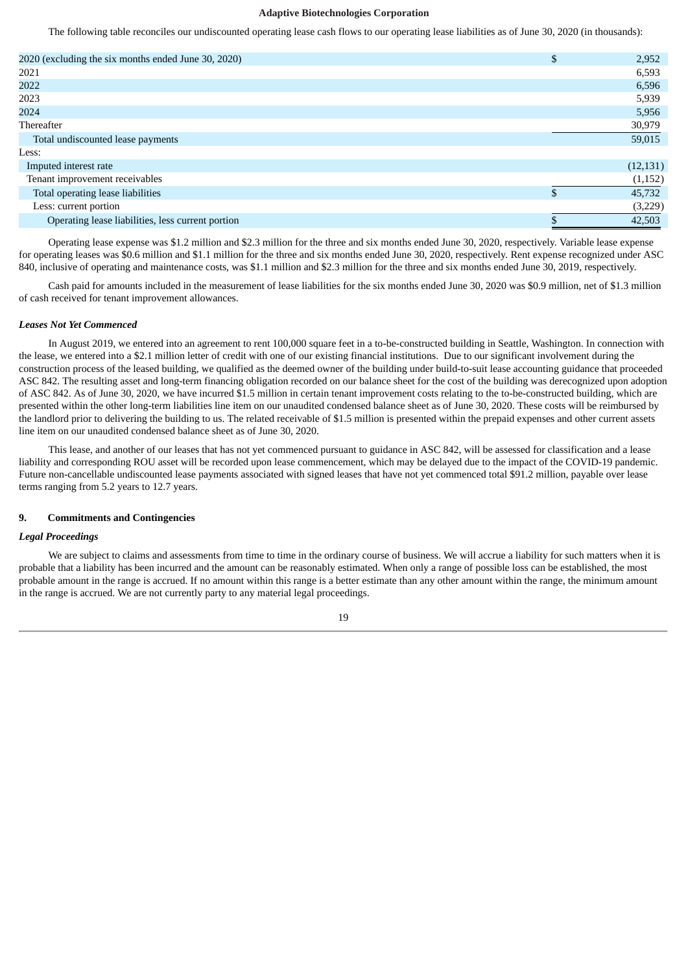The following table reconciles our undiscounted operating lease cash flows to our operating lease liabilities as of June 30, 2020 (in thousands):

| 2020 (excluding the six months ended June 30, 2020) | $\mathfrak{s}$ | 2,952     |
|-----------------------------------------------------|----------------|-----------|
| 2021                                                |                | 6,593     |
| 2022                                                |                | 6,596     |
| 2023                                                |                | 5,939     |
| 2024                                                |                | 5,956     |
| Thereafter                                          |                | 30,979    |
| Total undiscounted lease payments                   |                | 59,015    |
| Less:                                               |                |           |
| Imputed interest rate                               |                | (12, 131) |
| Tenant improvement receivables                      |                | (1,152)   |
| Total operating lease liabilities                   | \$             | 45,732    |
| Less: current portion                               |                | (3,229)   |
| Operating lease liabilities, less current portion   |                | 42,503    |
|                                                     |                |           |

Operating lease expense was \$1.2 million and \$2.3 million for the three and six months ended June 30, 2020, respectively. Variable lease expense for operating leases was \$0.6 million and \$1.1 million for the three and six months ended June 30, 2020, respectively. Rent expense recognized under ASC 840, inclusive of operating and maintenance costs, was \$1.1 million and \$2.3 million for the three and six months ended June 30, 2019, respectively.

Cash paid for amounts included in the measurement of lease liabilities for the six months ended June 30, 2020 was \$0.9 million, net of \$1.3 million of cash received for tenant improvement allowances.

#### *Leases Not Yet Commenced*

In August 2019, we entered into an agreement to rent 100,000 square feet in a to-be-constructed building in Seattle, Washington. In connection with the lease, we entered into a \$2.1 million letter of credit with one of our existing financial institutions. Due to our significant involvement during the construction process of the leased building, we qualified as the deemed owner of the building under build-to-suit lease accounting guidance that proceeded ASC 842. The resulting asset and long-term financing obligation recorded on our balance sheet for the cost of the building was derecognized upon adoption of ASC 842. As of June 30, 2020, we have incurred \$1.5 million in certain tenant improvement costs relating to the to-be-constructed building, which are presented within the other long-term liabilities line item on our unaudited condensed balance sheet as of June 30, 2020. These costs will be reimbursed by the landlord prior to delivering the building to us. The related receivable of \$1.5 million is presented within the prepaid expenses and other current assets line item on our unaudited condensed balance sheet as of June 30, 2020.

This lease, and another of our leases that has not yet commenced pursuant to guidance in ASC 842, will be assessed for classification and a lease liability and corresponding ROU asset will be recorded upon lease commencement, which may be delayed due to the impact of the COVID-19 pandemic. Future non-cancellable undiscounted lease payments associated with signed leases that have not yet commenced total \$91.2 million, payable over lease terms ranging from 5.2 years to 12.7 years.

### **9. Commitments and Contingencies**

#### *Legal Proceedings*

We are subject to claims and assessments from time to time in the ordinary course of business. We will accrue a liability for such matters when it is probable that a liability has been incurred and the amount can be reasonably estimated. When only a range of possible loss can be established, the most probable amount in the range is accrued. If no amount within this range is a better estimate than any other amount within the range, the minimum amount in the range is accrued. We are not currently party to any material legal proceedings.

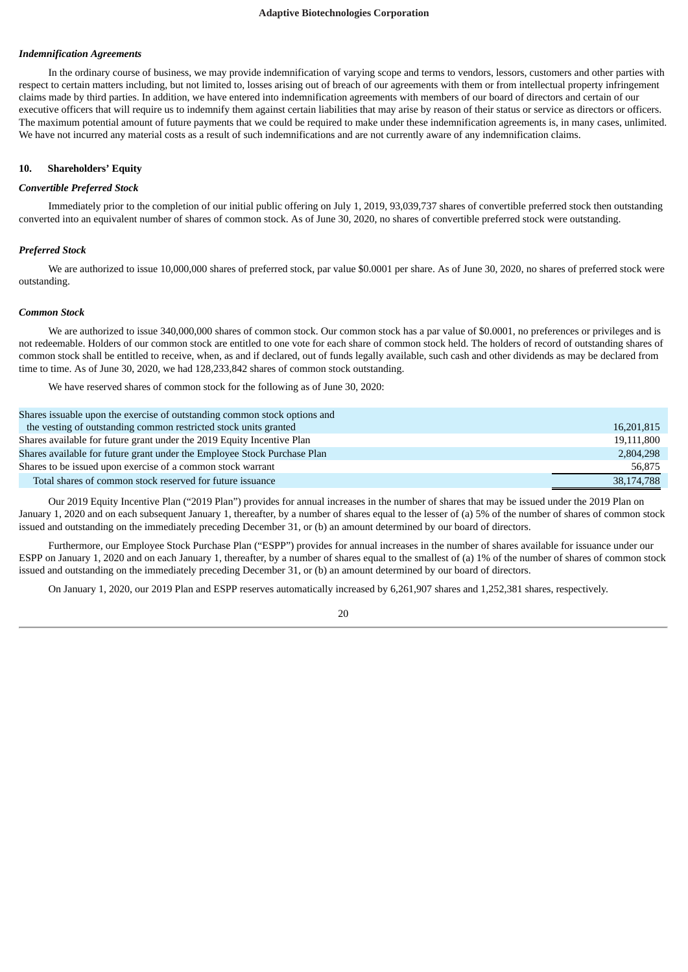#### *Indemnification Agreements*

In the ordinary course of business, we may provide indemnification of varying scope and terms to vendors, lessors, customers and other parties with respect to certain matters including, but not limited to, losses arising out of breach of our agreements with them or from intellectual property infringement claims made by third parties. In addition, we have entered into indemnification agreements with members of our board of directors and certain of our executive officers that will require us to indemnify them against certain liabilities that may arise by reason of their status or service as directors or officers. The maximum potential amount of future payments that we could be required to make under these indemnification agreements is, in many cases, unlimited. We have not incurred any material costs as a result of such indemnifications and are not currently aware of any indemnification claims.

#### **10. Shareholders' Equity**

#### *Convertible Preferred Stock*

Immediately prior to the completion of our initial public offering on July 1, 2019, 93,039,737 shares of convertible preferred stock then outstanding converted into an equivalent number of shares of common stock. As of June 30, 2020, no shares of convertible preferred stock were outstanding.

### *Preferred Stock*

We are authorized to issue 10,000,000 shares of preferred stock, par value \$0.0001 per share. As of June 30, 2020, no shares of preferred stock were outstanding.

#### *Common Stock*

We are authorized to issue 340,000,000 shares of common stock. Our common stock has a par value of \$0.0001, no preferences or privileges and is not redeemable. Holders of our common stock are entitled to one vote for each share of common stock held. The holders of record of outstanding shares of common stock shall be entitled to receive, when, as and if declared, out of funds legally available, such cash and other dividends as may be declared from time to time. As of June 30, 2020, we had 128,233,842 shares of common stock outstanding.

We have reserved shares of common stock for the following as of June 30, 2020:

| Shares is suable upon the exercise of outstanding common stock options and |            |
|----------------------------------------------------------------------------|------------|
| the vesting of outstanding common restricted stock units granted           | 16,201,815 |
| Shares available for future grant under the 2019 Equity Incentive Plan     | 19,111,800 |
| Shares available for future grant under the Employee Stock Purchase Plan   | 2,804,298  |
| Shares to be issued upon exercise of a common stock warrant                | 56.875     |
| Total shares of common stock reserved for future issuance                  | 38,174,788 |

Our 2019 Equity Incentive Plan ("2019 Plan") provides for annual increases in the number of shares that may be issued under the 2019 Plan on January 1, 2020 and on each subsequent January 1, thereafter, by a number of shares equal to the lesser of (a) 5% of the number of shares of common stock issued and outstanding on the immediately preceding December 31, or (b) an amount determined by our board of directors.

Furthermore, our Employee Stock Purchase Plan ("ESPP") provides for annual increases in the number of shares available for issuance under our ESPP on January 1, 2020 and on each January 1, thereafter, by a number of shares equal to the smallest of (a) 1% of the number of shares of common stock issued and outstanding on the immediately preceding December 31, or (b) an amount determined by our board of directors.

On January 1, 2020, our 2019 Plan and ESPP reserves automatically increased by 6,261,907 shares and 1,252,381 shares, respectively.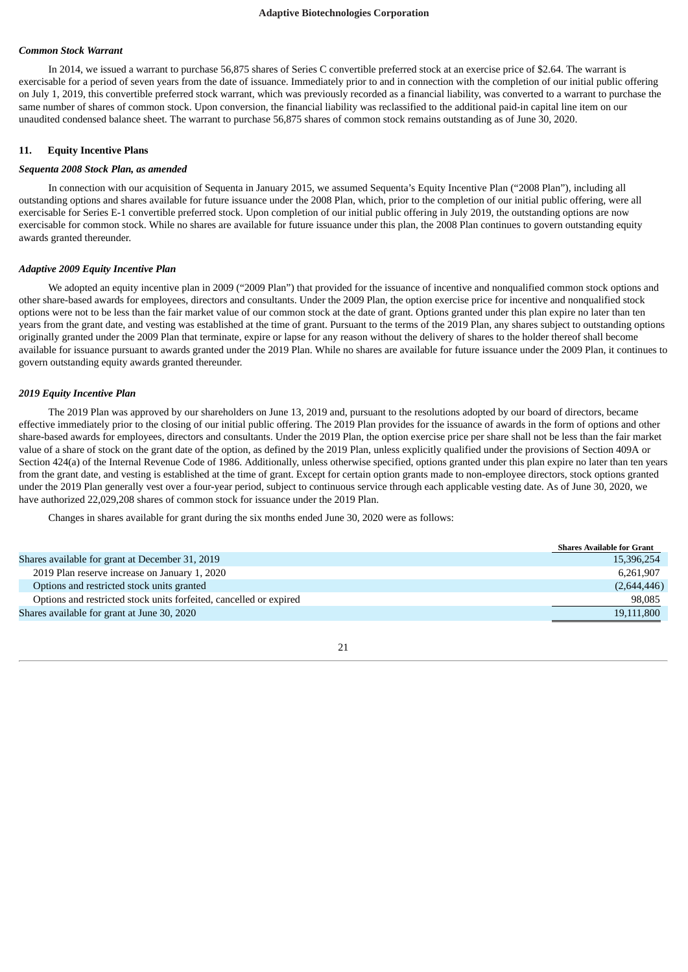#### *Common Stock Warrant*

In 2014, we issued a warrant to purchase 56,875 shares of Series C convertible preferred stock at an exercise price of \$2.64. The warrant is exercisable for a period of seven years from the date of issuance. Immediately prior to and in connection with the completion of our initial public offering on July 1, 2019, this convertible preferred stock warrant, which was previously recorded as a financial liability, was converted to a warrant to purchase the same number of shares of common stock. Upon conversion, the financial liability was reclassified to the additional paid-in capital line item on our unaudited condensed balance sheet. The warrant to purchase 56,875 shares of common stock remains outstanding as of June 30, 2020.

#### **11. Equity Incentive Plans**

#### *Sequenta 2008 Stock Plan, as amended*

In connection with our acquisition of Sequenta in January 2015, we assumed Sequenta's Equity Incentive Plan ("2008 Plan"), including all outstanding options and shares available for future issuance under the 2008 Plan, which, prior to the completion of our initial public offering, were all exercisable for Series E-1 convertible preferred stock. Upon completion of our initial public offering in July 2019, the outstanding options are now exercisable for common stock. While no shares are available for future issuance under this plan, the 2008 Plan continues to govern outstanding equity awards granted thereunder.

#### *Adaptive 2009 Equity Incentive Plan*

We adopted an equity incentive plan in 2009 ("2009 Plan") that provided for the issuance of incentive and nonqualified common stock options and other share-based awards for employees, directors and consultants. Under the 2009 Plan, the option exercise price for incentive and nonqualified stock options were not to be less than the fair market value of our common stock at the date of grant. Options granted under this plan expire no later than ten years from the grant date, and vesting was established at the time of grant. Pursuant to the terms of the 2019 Plan, any shares subject to outstanding options originally granted under the 2009 Plan that terminate, expire or lapse for any reason without the delivery of shares to the holder thereof shall become available for issuance pursuant to awards granted under the 2019 Plan. While no shares are available for future issuance under the 2009 Plan, it continues to govern outstanding equity awards granted thereunder.

#### *2019 Equity Incentive Plan*

The 2019 Plan was approved by our shareholders on June 13, 2019 and, pursuant to the resolutions adopted by our board of directors, became effective immediately prior to the closing of our initial public offering. The 2019 Plan provides for the issuance of awards in the form of options and other share-based awards for employees, directors and consultants. Under the 2019 Plan, the option exercise price per share shall not be less than the fair market value of a share of stock on the grant date of the option, as defined by the 2019 Plan, unless explicitly qualified under the provisions of Section 409A or Section 424(a) of the Internal Revenue Code of 1986. Additionally, unless otherwise specified, options granted under this plan expire no later than ten years from the grant date, and vesting is established at the time of grant. Except for certain option grants made to non-employee directors, stock options granted under the 2019 Plan generally vest over a four-year period, subject to continuous service through each applicable vesting date. As of June 30, 2020, we have authorized 22,029,208 shares of common stock for issuance under the 2019 Plan.

Changes in shares available for grant during the six months ended June 30, 2020 were as follows:

|                                                                    | <b>Shares Available for Grant</b> |
|--------------------------------------------------------------------|-----------------------------------|
| Shares available for grant at December 31, 2019                    | 15,396,254                        |
| 2019 Plan reserve increase on January 1, 2020                      | 6.261.907                         |
| Options and restricted stock units granted                         | (2,644,446)                       |
| Options and restricted stock units forfeited, cancelled or expired | 98,085                            |
| Shares available for grant at June 30, 2020                        | 19,111,800                        |

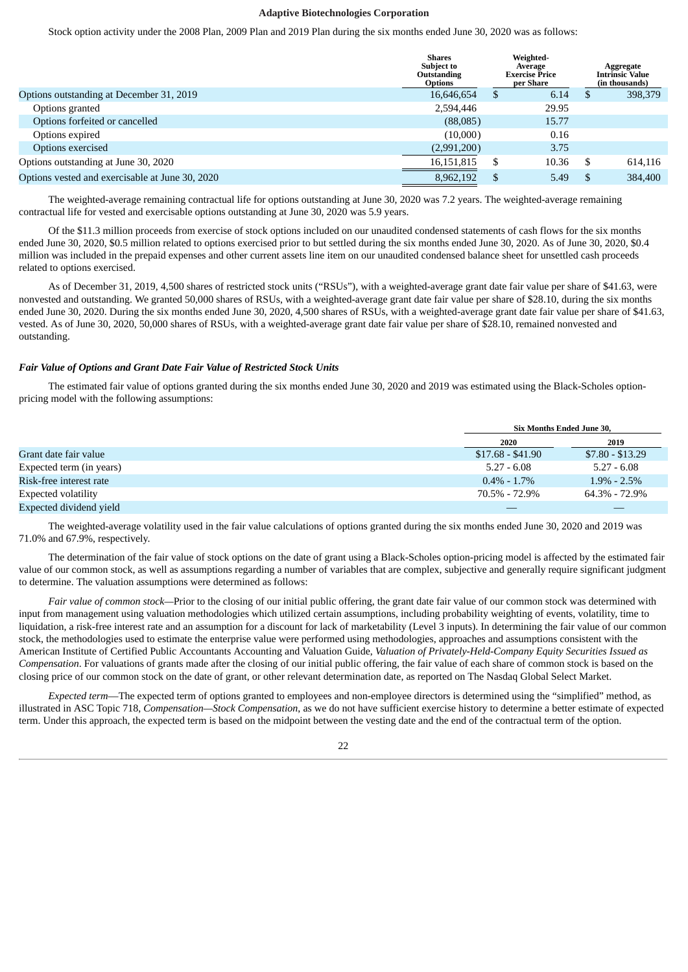Stock option activity under the 2008 Plan, 2009 Plan and 2019 Plan during the six months ended June 30, 2020 was as follows:

|                                                 | <b>Shares</b><br><b>Subject to</b><br>Outstanding<br><b>Options</b> |   | Average<br><b>Exercise Price</b><br>per Share |     | Weighted- |  | Aggregate<br><b>Intrinsic Value</b><br>(in thousands) |
|-------------------------------------------------|---------------------------------------------------------------------|---|-----------------------------------------------|-----|-----------|--|-------------------------------------------------------|
| Options outstanding at December 31, 2019        | 16,646,654                                                          | S | 6.14                                          | -S  | 398,379   |  |                                                       |
| Options granted                                 | 2,594,446                                                           |   | 29.95                                         |     |           |  |                                                       |
| Options forfeited or cancelled                  | (88,085)                                                            |   | 15.77                                         |     |           |  |                                                       |
| Options expired                                 | (10,000)                                                            |   | 0.16                                          |     |           |  |                                                       |
| Options exercised                               | (2,991,200)                                                         |   | 3.75                                          |     |           |  |                                                       |
| Options outstanding at June 30, 2020            | 16,151,815                                                          | S | 10.36                                         | -S  | 614.116   |  |                                                       |
| Options vested and exercisable at June 30, 2020 | 8,962,192                                                           |   | 5.49                                          | -\$ | 384,400   |  |                                                       |

The weighted-average remaining contractual life for options outstanding at June 30, 2020 was 7.2 years. The weighted-average remaining contractual life for vested and exercisable options outstanding at June 30, 2020 was 5.9 years.

Of the \$11.3 million proceeds from exercise of stock options included on our unaudited condensed statements of cash flows for the six months ended June 30, 2020, \$0.5 million related to options exercised prior to but settled during the six months ended June 30, 2020. As of June 30, 2020, \$0.4 million was included in the prepaid expenses and other current assets line item on our unaudited condensed balance sheet for unsettled cash proceeds related to options exercised.

As of December 31, 2019, 4,500 shares of restricted stock units ("RSUs"), with a weighted-average grant date fair value per share of \$41.63, were nonvested and outstanding. We granted 50,000 shares of RSUs, with a weighted-average grant date fair value per share of \$28.10, during the six months ended June 30, 2020. During the six months ended June 30, 2020, 4,500 shares of RSUs, with a weighted-average grant date fair value per share of \$41.63, vested. As of June 30, 2020, 50,000 shares of RSUs, with a weighted-average grant date fair value per share of \$28.10, remained nonvested and outstanding.

#### *Fair Value of Options and Grant Date Fair Value of Restricted Stock Units*

The estimated fair value of options granted during the six months ended June 30, 2020 and 2019 was estimated using the Black-Scholes optionpricing model with the following assumptions:

|                          | <b>Six Months Ended June 30.</b> |                  |
|--------------------------|----------------------------------|------------------|
|                          | 2020                             | 2019             |
| Grant date fair value    | $$17.68 - $41.90$                | $$7.80 - $13.29$ |
| Expected term (in years) | $5.27 - 6.08$                    | $5.27 - 6.08$    |
| Risk-free interest rate  | $0.4\% - 1.7\%$                  | $1.9\% - 2.5\%$  |
| Expected volatility      | 70.5% - 72.9%                    | 64.3% - 72.9%    |
| Expected dividend yield  |                                  |                  |

The weighted-average volatility used in the fair value calculations of options granted during the six months ended June 30, 2020 and 2019 was 71.0% and 67.9%, respectively.

The determination of the fair value of stock options on the date of grant using a Black-Scholes option-pricing model is affected by the estimated fair value of our common stock, as well as assumptions regarding a number of variables that are complex, subjective and generally require significant judgment to determine. The valuation assumptions were determined as follows:

*Fair value of common stock—*Prior to the closing of our initial public offering, the grant date fair value of our common stock was determined with input from management using valuation methodologies which utilized certain assumptions, including probability weighting of events, volatility, time to liquidation, a risk-free interest rate and an assumption for a discount for lack of marketability (Level 3 inputs). In determining the fair value of our common stock, the methodologies used to estimate the enterprise value were performed using methodologies, approaches and assumptions consistent with the American Institute of Certified Public Accountants Accounting and Valuation Guide, *Valuation of Privately-Held-Company Equity Securities Issued as Compensation*. For valuations of grants made after the closing of our initial public offering, the fair value of each share of common stock is based on the closing price of our common stock on the date of grant, or other relevant determination date, as reported on The Nasdaq Global Select Market.

*Expected term*—The expected term of options granted to employees and non-employee directors is determined using the "simplified" method, as illustrated in ASC Topic 718, *Compensation—Stock Compensation*, as we do not have sufficient exercise history to determine a better estimate of expected term. Under this approach, the expected term is based on the midpoint between the vesting date and the end of the contractual term of the option.

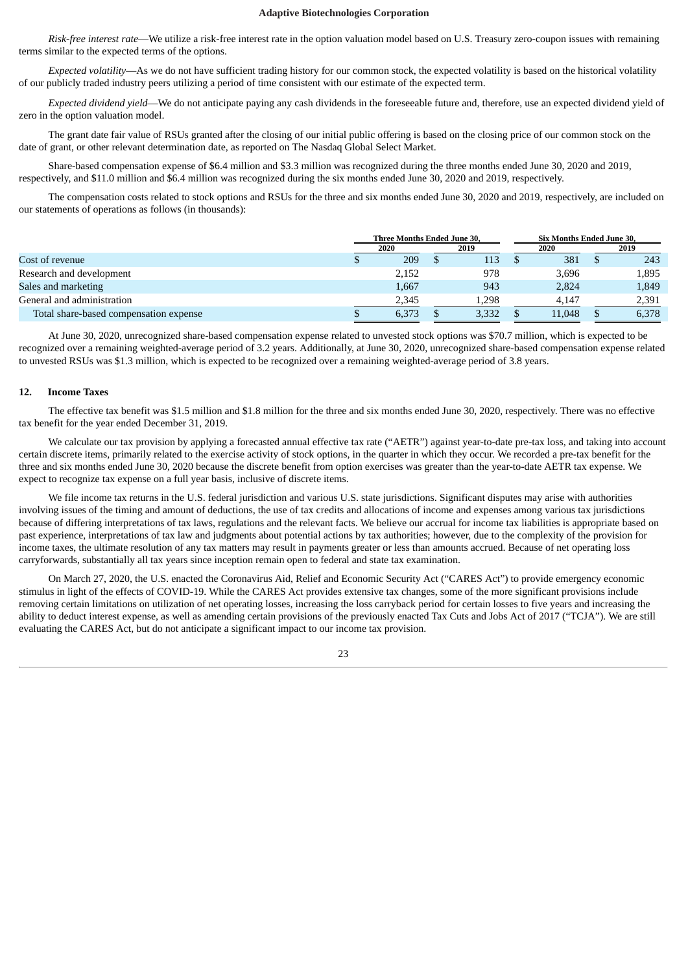*Risk-free interest rate*—We utilize a risk-free interest rate in the option valuation model based on U.S. Treasury zero-coupon issues with remaining terms similar to the expected terms of the options.

*Expected volatility*—As we do not have sufficient trading history for our common stock, the expected volatility is based on the historical volatility of our publicly traded industry peers utilizing a period of time consistent with our estimate of the expected term.

*Expected dividend yield*—We do not anticipate paying any cash dividends in the foreseeable future and, therefore, use an expected dividend yield of zero in the option valuation model.

The grant date fair value of RSUs granted after the closing of our initial public offering is based on the closing price of our common stock on the date of grant, or other relevant determination date, as reported on The Nasdaq Global Select Market.

Share-based compensation expense of \$6.4 million and \$3.3 million was recognized during the three months ended June 30, 2020 and 2019, respectively, and \$11.0 million and \$6.4 million was recognized during the six months ended June 30, 2020 and 2019, respectively.

The compensation costs related to stock options and RSUs for the three and six months ended June 30, 2020 and 2019, respectively, are included on our statements of operations as follows (in thousands):

|                                        |  | Three Months Ended June 30. |       | <b>Six Months Ended June 30.</b> |  |       |
|----------------------------------------|--|-----------------------------|-------|----------------------------------|--|-------|
|                                        |  | 2020                        | 2019  | 2020                             |  | 2019  |
| Cost of revenue                        |  | 209                         | 113   | 381                              |  | 243   |
| Research and development               |  | 2,152                       | 978   | 3,696                            |  | 1,895 |
| Sales and marketing                    |  | 1,667                       | 943   | 2.824                            |  | 1,849 |
| General and administration             |  | 2.345                       | 1.298 | 4.147                            |  | 2,391 |
| Total share-based compensation expense |  | 6,373                       | 3,332 | 11,048                           |  | 6,378 |

At June 30, 2020, unrecognized share-based compensation expense related to unvested stock options was \$70.7 million, which is expected to be recognized over a remaining weighted-average period of 3.2 years. Additionally, at June 30, 2020, unrecognized share-based compensation expense related to unvested RSUs was \$1.3 million, which is expected to be recognized over a remaining weighted-average period of 3.8 years.

## **12. Income Taxes**

The effective tax benefit was \$1.5 million and \$1.8 million for the three and six months ended June 30, 2020, respectively. There was no effective tax benefit for the year ended December 31, 2019.

We calculate our tax provision by applying a forecasted annual effective tax rate ("AETR") against year-to-date pre-tax loss, and taking into account certain discrete items, primarily related to the exercise activity of stock options, in the quarter in which they occur. We recorded a pre-tax benefit for the three and six months ended June 30, 2020 because the discrete benefit from option exercises was greater than the year-to-date AETR tax expense. We expect to recognize tax expense on a full year basis, inclusive of discrete items.

We file income tax returns in the U.S. federal jurisdiction and various U.S. state jurisdictions. Significant disputes may arise with authorities involving issues of the timing and amount of deductions, the use of tax credits and allocations of income and expenses among various tax jurisdictions because of differing interpretations of tax laws, regulations and the relevant facts. We believe our accrual for income tax liabilities is appropriate based on past experience, interpretations of tax law and judgments about potential actions by tax authorities; however, due to the complexity of the provision for income taxes, the ultimate resolution of any tax matters may result in payments greater or less than amounts accrued. Because of net operating loss carryforwards, substantially all tax years since inception remain open to federal and state tax examination.

On March 27, 2020, the U.S. enacted the Coronavirus Aid, Relief and Economic Security Act ("CARES Act") to provide emergency economic stimulus in light of the effects of COVID-19. While the CARES Act provides extensive tax changes, some of the more significant provisions include removing certain limitations on utilization of net operating losses, increasing the loss carryback period for certain losses to five years and increasing the ability to deduct interest expense, as well as amending certain provisions of the previously enacted Tax Cuts and Jobs Act of 2017 ("TCJA"). We are still evaluating the CARES Act, but do not anticipate a significant impact to our income tax provision.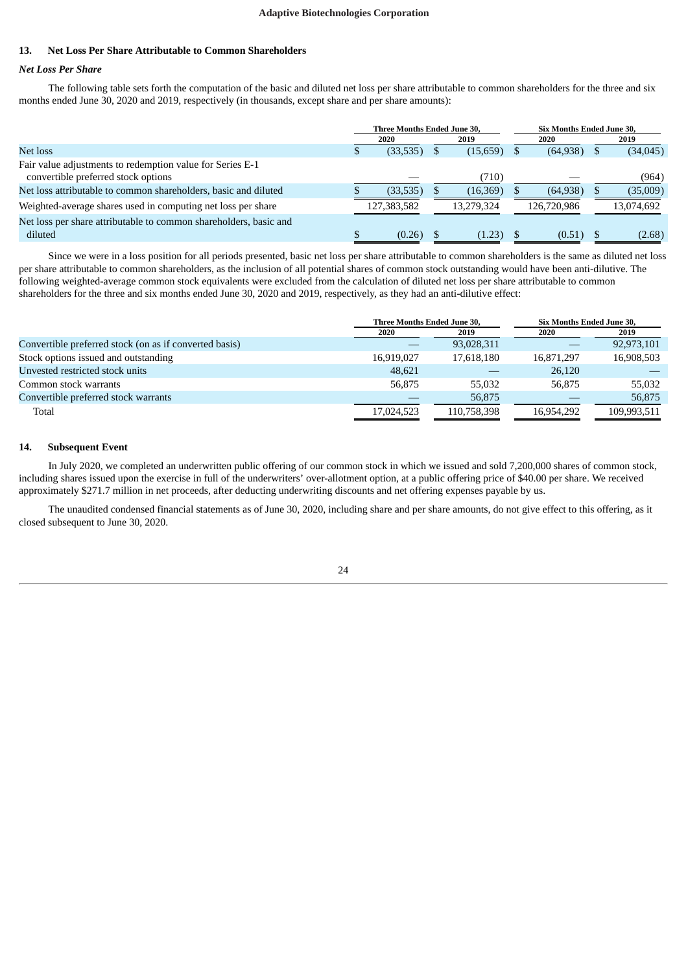# **13. Net Loss Per Share Attributable to Common Shareholders**

# *Net Loss Per Share*

The following table sets forth the computation of the basic and diluted net loss per share attributable to common shareholders for the three and six months ended June 30, 2020 and 2019, respectively (in thousands, except share and per share amounts):

|                                                                   | Three Months Ended June 30, |            | <b>Six Months Ended June 30.</b> |  |            |
|-------------------------------------------------------------------|-----------------------------|------------|----------------------------------|--|------------|
|                                                                   | 2020                        | 2019       | 2020                             |  | 2019       |
| Net loss                                                          | (33,535)                    | (15,659)   | (64, 938)                        |  | (34, 045)  |
| Fair value adjustments to redemption value for Series E-1         |                             |            |                                  |  |            |
| convertible preferred stock options                               |                             | (710)      |                                  |  | (964)      |
| Net loss attributable to common shareholders, basic and diluted   | (33, 535)                   | (16,369)   | (64, 938)                        |  | (35,009)   |
| Weighted-average shares used in computing net loss per share      | 127,383,582                 | 13.279.324 | 126,720,986                      |  | 13,074,692 |
| Net loss per share attributable to common shareholders, basic and |                             |            |                                  |  |            |
| diluted                                                           | (0.26)                      | (1.23)     | (0.51)                           |  | (2.68)     |

Since we were in a loss position for all periods presented, basic net loss per share attributable to common shareholders is the same as diluted net loss per share attributable to common shareholders, as the inclusion of all potential shares of common stock outstanding would have been anti-dilutive. The following weighted-average common stock equivalents were excluded from the calculation of diluted net loss per share attributable to common shareholders for the three and six months ended June 30, 2020 and 2019, respectively, as they had an anti-dilutive effect:

|                                                        | Three Months Ended June 30, |             | Six Months Ended June 30, |             |
|--------------------------------------------------------|-----------------------------|-------------|---------------------------|-------------|
|                                                        | 2020                        | 2019        | 2020                      | 2019        |
| Convertible preferred stock (on as if converted basis) |                             | 93,028,311  |                           | 92,973,101  |
| Stock options issued and outstanding                   | 16,919,027                  | 17,618,180  | 16,871,297                | 16,908,503  |
| Unvested restricted stock units                        | 48.621                      |             | 26,120                    |             |
| Common stock warrants                                  | 56.875                      | 55,032      | 56.875                    | 55,032      |
| Convertible preferred stock warrants                   |                             | 56,875      |                           | 56,875      |
| Total                                                  | 17,024,523                  | 110,758,398 | 16.954.292                | 109,993,511 |

# **14. Subsequent Event**

In July 2020, we completed an underwritten public offering of our common stock in which we issued and sold 7,200,000 shares of common stock, including shares issued upon the exercise in full of the underwriters' over-allotment option, at a public offering price of \$40.00 per share. We received approximately \$271.7 million in net proceeds, after deducting underwriting discounts and net offering expenses payable by us.

The unaudited condensed financial statements as of June 30, 2020, including share and per share amounts, do not give effect to this offering, as it closed subsequent to June 30, 2020.

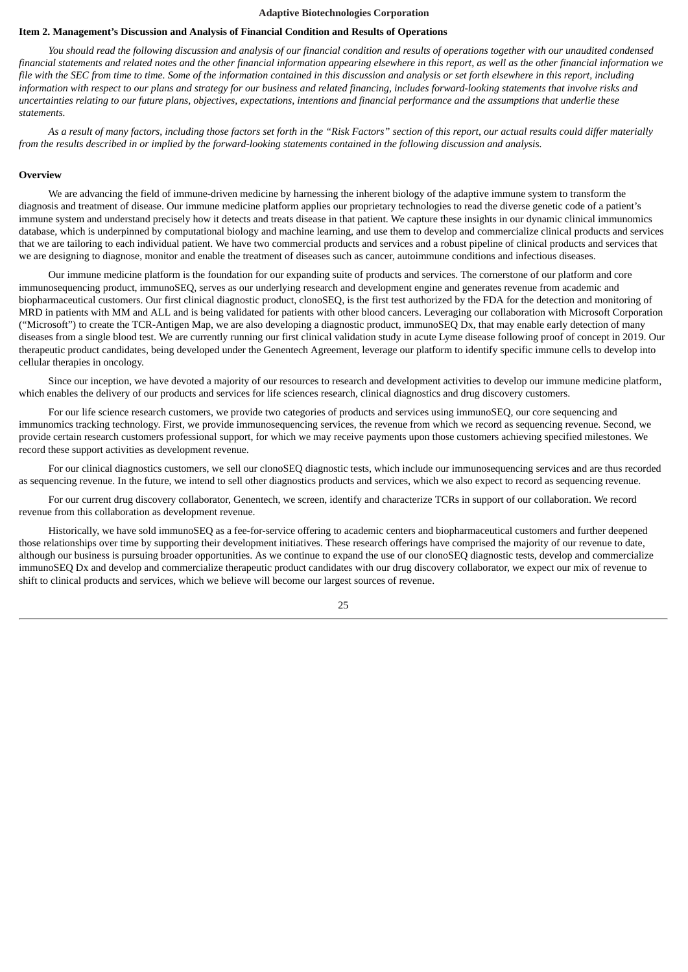### <span id="page-24-0"></span>**Item 2. Management's Discussion and Analysis of Financial Condition and Results of Operations**

You should read the following discussion and analysis of our financial condition and results of operations together with our unaudited condensed financial statements and related notes and the other financial information appearing elsewhere in this report, as well as the other financial information we file with the SEC from time to time. Some of the information contained in this discussion and analysis or set forth elsewhere in this report, including information with respect to our plans and strategy for our business and related financing, includes forward-looking statements that involve risks and uncertainties relating to our future plans, objectives, expectations, intentions and financial performance and the assumptions that underlie these *statements.*

As a result of many factors, including those factors set forth in the "Risk Factors" section of this report, our actual results could differ materially from the results described in or implied by the forward-looking statements contained in the following discussion and analysis.

#### **Overview**

We are advancing the field of immune-driven medicine by harnessing the inherent biology of the adaptive immune system to transform the diagnosis and treatment of disease. Our immune medicine platform applies our proprietary technologies to read the diverse genetic code of a patient's immune system and understand precisely how it detects and treats disease in that patient. We capture these insights in our dynamic clinical immunomics database, which is underpinned by computational biology and machine learning, and use them to develop and commercialize clinical products and services that we are tailoring to each individual patient. We have two commercial products and services and a robust pipeline of clinical products and services that we are designing to diagnose, monitor and enable the treatment of diseases such as cancer, autoimmune conditions and infectious diseases.

Our immune medicine platform is the foundation for our expanding suite of products and services. The cornerstone of our platform and core immunosequencing product, immunoSEQ, serves as our underlying research and development engine and generates revenue from academic and biopharmaceutical customers. Our first clinical diagnostic product, clonoSEQ, is the first test authorized by the FDA for the detection and monitoring of MRD in patients with MM and ALL and is being validated for patients with other blood cancers. Leveraging our collaboration with Microsoft Corporation ("Microsoft") to create the TCR-Antigen Map, we are also developing a diagnostic product, immunoSEQ Dx, that may enable early detection of many diseases from a single blood test. We are currently running our first clinical validation study in acute Lyme disease following proof of concept in 2019. Our therapeutic product candidates, being developed under the Genentech Agreement, leverage our platform to identify specific immune cells to develop into cellular therapies in oncology.

Since our inception, we have devoted a majority of our resources to research and development activities to develop our immune medicine platform, which enables the delivery of our products and services for life sciences research, clinical diagnostics and drug discovery customers.

For our life science research customers, we provide two categories of products and services using immunoSEQ, our core sequencing and immunomics tracking technology. First, we provide immunosequencing services, the revenue from which we record as sequencing revenue. Second, we provide certain research customers professional support, for which we may receive payments upon those customers achieving specified milestones. We record these support activities as development revenue.

For our clinical diagnostics customers, we sell our clonoSEQ diagnostic tests, which include our immunosequencing services and are thus recorded as sequencing revenue. In the future, we intend to sell other diagnostics products and services, which we also expect to record as sequencing revenue.

For our current drug discovery collaborator, Genentech, we screen, identify and characterize TCRs in support of our collaboration. We record revenue from this collaboration as development revenue.

Historically, we have sold immunoSEQ as a fee-for-service offering to academic centers and biopharmaceutical customers and further deepened those relationships over time by supporting their development initiatives. These research offerings have comprised the majority of our revenue to date, although our business is pursuing broader opportunities. As we continue to expand the use of our clonoSEQ diagnostic tests, develop and commercialize immunoSEQ Dx and develop and commercialize therapeutic product candidates with our drug discovery collaborator, we expect our mix of revenue to shift to clinical products and services, which we believe will become our largest sources of revenue.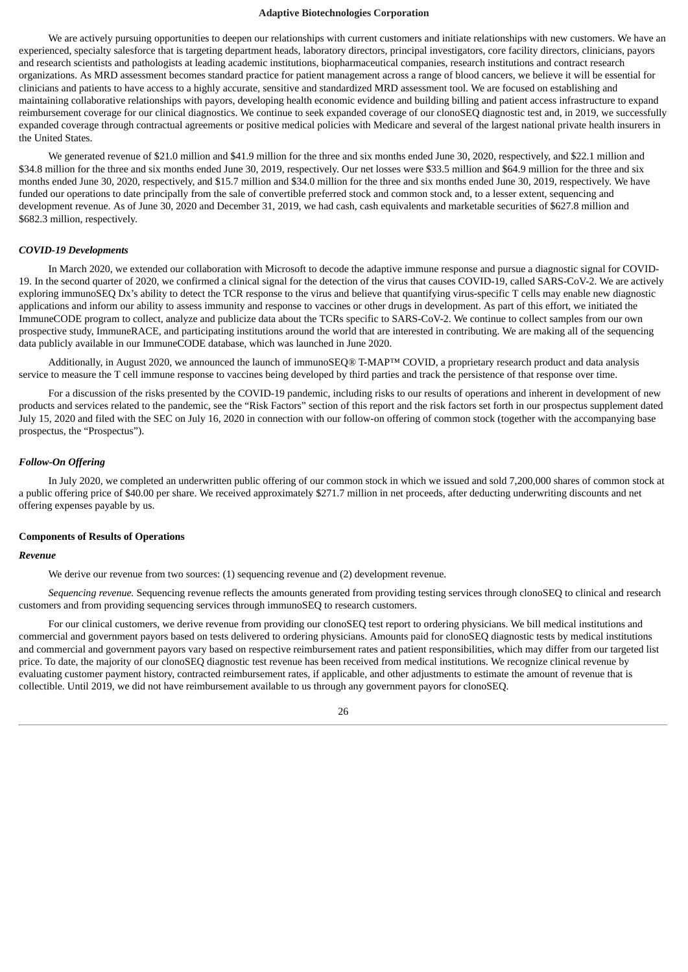We are actively pursuing opportunities to deepen our relationships with current customers and initiate relationships with new customers. We have an experienced, specialty salesforce that is targeting department heads, laboratory directors, principal investigators, core facility directors, clinicians, payors and research scientists and pathologists at leading academic institutions, biopharmaceutical companies, research institutions and contract research organizations. As MRD assessment becomes standard practice for patient management across a range of blood cancers, we believe it will be essential for clinicians and patients to have access to a highly accurate, sensitive and standardized MRD assessment tool. We are focused on establishing and maintaining collaborative relationships with payors, developing health economic evidence and building billing and patient access infrastructure to expand reimbursement coverage for our clinical diagnostics. We continue to seek expanded coverage of our clonoSEQ diagnostic test and, in 2019, we successfully expanded coverage through contractual agreements or positive medical policies with Medicare and several of the largest national private health insurers in the United States.

We generated revenue of \$21.0 million and \$41.9 million for the three and six months ended June 30, 2020, respectively, and \$22.1 million and \$34.8 million for the three and six months ended June 30, 2019, respectively. Our net losses were \$33.5 million and \$64.9 million for the three and six months ended June 30, 2020, respectively, and \$15.7 million and \$34.0 million for the three and six months ended June 30, 2019, respectively. We have funded our operations to date principally from the sale of convertible preferred stock and common stock and, to a lesser extent, sequencing and development revenue. As of June 30, 2020 and December 31, 2019, we had cash, cash equivalents and marketable securities of \$627.8 million and \$682.3 million, respectively.

### *COVID-19 Developments*

In March 2020, we extended our collaboration with Microsoft to decode the adaptive immune response and pursue a diagnostic signal for COVID-19. In the second quarter of 2020, we confirmed a clinical signal for the detection of the virus that causes COVID-19, called SARS-CoV-2. We are actively exploring immunoSEQ Dx's ability to detect the TCR response to the virus and believe that quantifying virus-specific T cells may enable new diagnostic applications and inform our ability to assess immunity and response to vaccines or other drugs in development. As part of this effort, we initiated the ImmuneCODE program to collect, analyze and publicize data about the TCRs specific to SARS-CoV-2. We continue to collect samples from our own prospective study, ImmuneRACE, and participating institutions around the world that are interested in contributing. We are making all of the sequencing data publicly available in our ImmuneCODE database, which was launched in June 2020.

Additionally, in August 2020, we announced the launch of immunoSEQ® T-MAP™ COVID, a proprietary research product and data analysis service to measure the T cell immune response to vaccines being developed by third parties and track the persistence of that response over time.

For a discussion of the risks presented by the COVID-19 pandemic, including risks to our results of operations and inherent in development of new products and services related to the pandemic, see the "Risk Factors" section of this report and the risk factors set forth in our prospectus supplement dated July 15, 2020 and filed with the SEC on July 16, 2020 in connection with our follow-on offering of common stock (together with the accompanying base prospectus, the "Prospectus").

### *Follow-On Offering*

In July 2020, we completed an underwritten public offering of our common stock in which we issued and sold 7,200,000 shares of common stock at a public offering price of \$40.00 per share. We received approximately \$271.7 million in net proceeds, after deducting underwriting discounts and net offering expenses payable by us.

#### **Components of Results of Operations**

#### *Revenue*

We derive our revenue from two sources: (1) sequencing revenue and (2) development revenue.

*Sequencing revenue.* Sequencing revenue reflects the amounts generated from providing testing services through clonoSEQ to clinical and research customers and from providing sequencing services through immunoSEQ to research customers.

For our clinical customers, we derive revenue from providing our clonoSEQ test report to ordering physicians. We bill medical institutions and commercial and government payors based on tests delivered to ordering physicians. Amounts paid for clonoSEQ diagnostic tests by medical institutions and commercial and government payors vary based on respective reimbursement rates and patient responsibilities, which may differ from our targeted list price. To date, the majority of our clonoSEQ diagnostic test revenue has been received from medical institutions. We recognize clinical revenue by evaluating customer payment history, contracted reimbursement rates, if applicable, and other adjustments to estimate the amount of revenue that is collectible. Until 2019, we did not have reimbursement available to us through any government payors for clonoSEQ.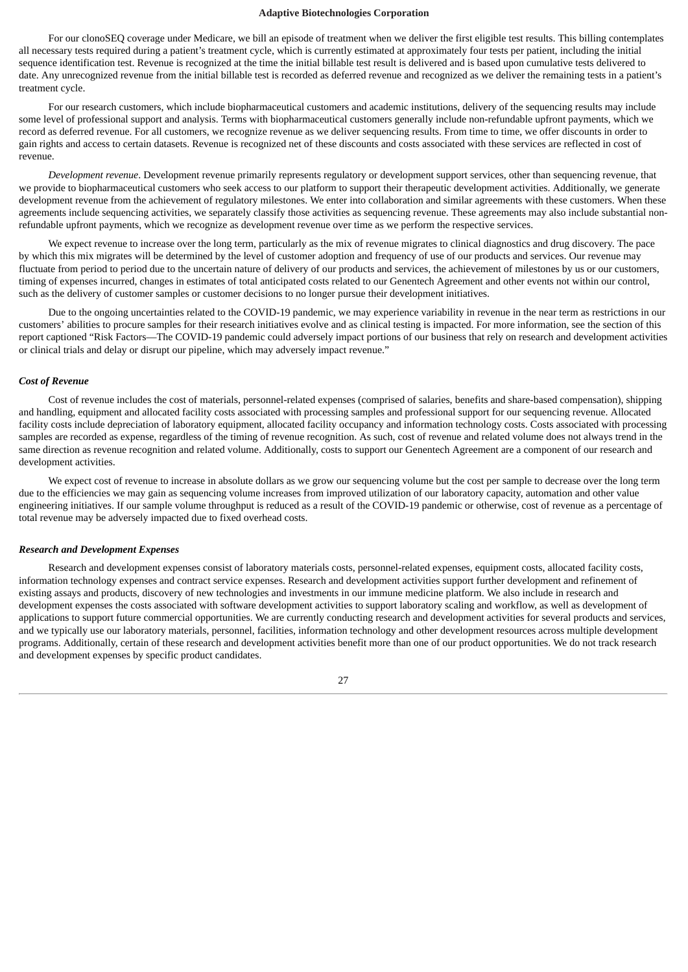For our clonoSEQ coverage under Medicare, we bill an episode of treatment when we deliver the first eligible test results. This billing contemplates all necessary tests required during a patient's treatment cycle, which is currently estimated at approximately four tests per patient, including the initial sequence identification test. Revenue is recognized at the time the initial billable test result is delivered and is based upon cumulative tests delivered to date. Any unrecognized revenue from the initial billable test is recorded as deferred revenue and recognized as we deliver the remaining tests in a patient's treatment cycle.

For our research customers, which include biopharmaceutical customers and academic institutions, delivery of the sequencing results may include some level of professional support and analysis. Terms with biopharmaceutical customers generally include non-refundable upfront payments, which we record as deferred revenue. For all customers, we recognize revenue as we deliver sequencing results. From time to time, we offer discounts in order to gain rights and access to certain datasets. Revenue is recognized net of these discounts and costs associated with these services are reflected in cost of revenue.

*Development revenue*. Development revenue primarily represents regulatory or development support services, other than sequencing revenue, that we provide to biopharmaceutical customers who seek access to our platform to support their therapeutic development activities. Additionally, we generate development revenue from the achievement of regulatory milestones. We enter into collaboration and similar agreements with these customers. When these agreements include sequencing activities, we separately classify those activities as sequencing revenue. These agreements may also include substantial nonrefundable upfront payments, which we recognize as development revenue over time as we perform the respective services.

We expect revenue to increase over the long term, particularly as the mix of revenue migrates to clinical diagnostics and drug discovery. The pace by which this mix migrates will be determined by the level of customer adoption and frequency of use of our products and services. Our revenue may fluctuate from period to period due to the uncertain nature of delivery of our products and services, the achievement of milestones by us or our customers, timing of expenses incurred, changes in estimates of total anticipated costs related to our Genentech Agreement and other events not within our control, such as the delivery of customer samples or customer decisions to no longer pursue their development initiatives.

Due to the ongoing uncertainties related to the COVID-19 pandemic, we may experience variability in revenue in the near term as restrictions in our customers' abilities to procure samples for their research initiatives evolve and as clinical testing is impacted. For more information, see the section of this report captioned "Risk Factors—The COVID-19 pandemic could adversely impact portions of our business that rely on research and development activities or clinical trials and delay or disrupt our pipeline, which may adversely impact revenue."

#### *Cost of Revenue*

Cost of revenue includes the cost of materials, personnel-related expenses (comprised of salaries, benefits and share-based compensation), shipping and handling, equipment and allocated facility costs associated with processing samples and professional support for our sequencing revenue. Allocated facility costs include depreciation of laboratory equipment, allocated facility occupancy and information technology costs. Costs associated with processing samples are recorded as expense, regardless of the timing of revenue recognition. As such, cost of revenue and related volume does not always trend in the same direction as revenue recognition and related volume. Additionally, costs to support our Genentech Agreement are a component of our research and development activities.

We expect cost of revenue to increase in absolute dollars as we grow our sequencing volume but the cost per sample to decrease over the long term due to the efficiencies we may gain as sequencing volume increases from improved utilization of our laboratory capacity, automation and other value engineering initiatives. If our sample volume throughput is reduced as a result of the COVID-19 pandemic or otherwise, cost of revenue as a percentage of total revenue may be adversely impacted due to fixed overhead costs.

#### *Research and Development Expenses*

Research and development expenses consist of laboratory materials costs, personnel-related expenses, equipment costs, allocated facility costs, information technology expenses and contract service expenses. Research and development activities support further development and refinement of existing assays and products, discovery of new technologies and investments in our immune medicine platform. We also include in research and development expenses the costs associated with software development activities to support laboratory scaling and workflow, as well as development of applications to support future commercial opportunities. We are currently conducting research and development activities for several products and services, and we typically use our laboratory materials, personnel, facilities, information technology and other development resources across multiple development programs. Additionally, certain of these research and development activities benefit more than one of our product opportunities. We do not track research and development expenses by specific product candidates.

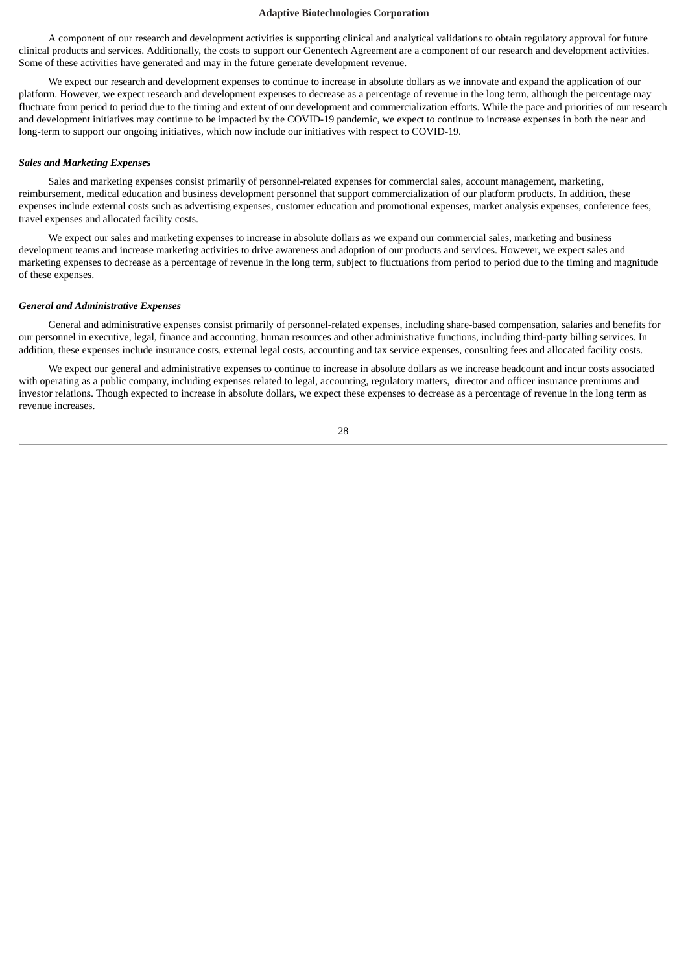A component of our research and development activities is supporting clinical and analytical validations to obtain regulatory approval for future clinical products and services. Additionally, the costs to support our Genentech Agreement are a component of our research and development activities. Some of these activities have generated and may in the future generate development revenue.

We expect our research and development expenses to continue to increase in absolute dollars as we innovate and expand the application of our platform. However, we expect research and development expenses to decrease as a percentage of revenue in the long term, although the percentage may fluctuate from period to period due to the timing and extent of our development and commercialization efforts. While the pace and priorities of our research and development initiatives may continue to be impacted by the COVID-19 pandemic, we expect to continue to increase expenses in both the near and long-term to support our ongoing initiatives, which now include our initiatives with respect to COVID-19.

### *Sales and Marketing Expenses*

Sales and marketing expenses consist primarily of personnel-related expenses for commercial sales, account management, marketing, reimbursement, medical education and business development personnel that support commercialization of our platform products. In addition, these expenses include external costs such as advertising expenses, customer education and promotional expenses, market analysis expenses, conference fees, travel expenses and allocated facility costs.

We expect our sales and marketing expenses to increase in absolute dollars as we expand our commercial sales, marketing and business development teams and increase marketing activities to drive awareness and adoption of our products and services. However, we expect sales and marketing expenses to decrease as a percentage of revenue in the long term, subject to fluctuations from period to period due to the timing and magnitude of these expenses.

#### *General and Administrative Expenses*

General and administrative expenses consist primarily of personnel-related expenses, including share-based compensation, salaries and benefits for our personnel in executive, legal, finance and accounting, human resources and other administrative functions, including third-party billing services. In addition, these expenses include insurance costs, external legal costs, accounting and tax service expenses, consulting fees and allocated facility costs.

We expect our general and administrative expenses to continue to increase in absolute dollars as we increase headcount and incur costs associated with operating as a public company, including expenses related to legal, accounting, regulatory matters, director and officer insurance premiums and investor relations. Though expected to increase in absolute dollars, we expect these expenses to decrease as a percentage of revenue in the long term as revenue increases.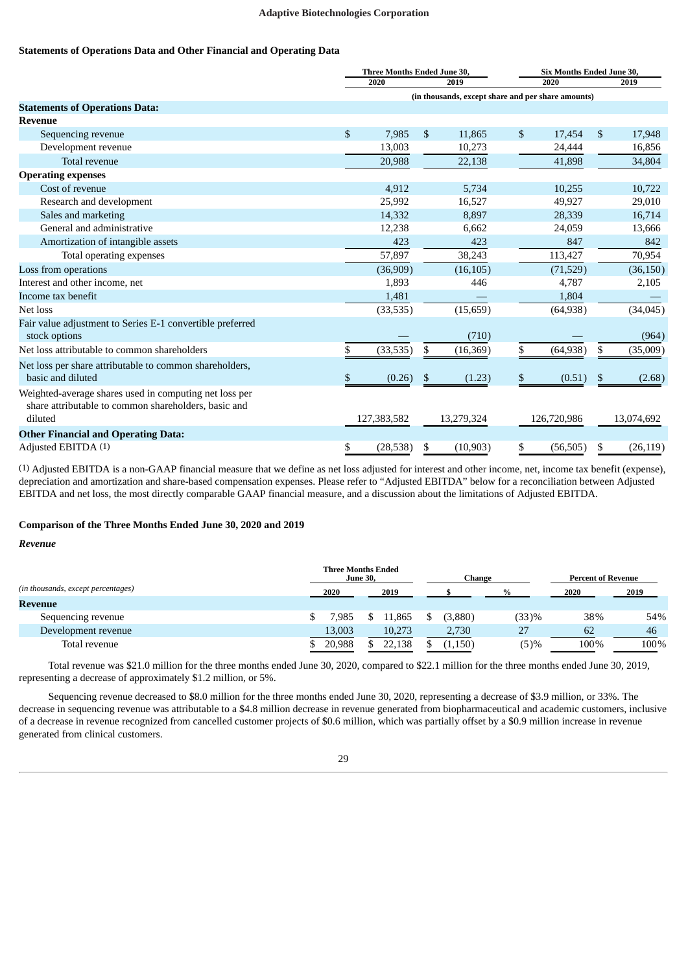# **Statements of Operations Data and Other Financial and Operating Data**

|                                                                                                                | Three Months Ended June 30, |                                                    | Six Months Ended June 30, |    |            |
|----------------------------------------------------------------------------------------------------------------|-----------------------------|----------------------------------------------------|---------------------------|----|------------|
|                                                                                                                | 2020                        | 2019                                               | 2020                      |    | 2019       |
|                                                                                                                |                             | (in thousands, except share and per share amounts) |                           |    |            |
| <b>Statements of Operations Data:</b>                                                                          |                             |                                                    |                           |    |            |
| <b>Revenue</b>                                                                                                 |                             |                                                    |                           |    |            |
| Sequencing revenue                                                                                             | \$<br>7,985                 | \$<br>11,865                                       | \$<br>17,454              | \$ | 17,948     |
| Development revenue                                                                                            | 13,003                      | 10,273                                             | 24,444                    |    | 16,856     |
| Total revenue                                                                                                  | 20,988                      | 22,138                                             | 41,898                    |    | 34,804     |
| <b>Operating expenses</b>                                                                                      |                             |                                                    |                           |    |            |
| Cost of revenue                                                                                                | 4,912                       | 5,734                                              | 10,255                    |    | 10,722     |
| Research and development                                                                                       | 25,992                      | 16,527                                             | 49,927                    |    | 29,010     |
| Sales and marketing                                                                                            | 14,332                      | 8,897                                              | 28,339                    |    | 16,714     |
| General and administrative                                                                                     | 12,238                      | 6,662                                              | 24,059                    |    | 13,666     |
| Amortization of intangible assets                                                                              | 423                         | 423                                                | 847                       |    | 842        |
| Total operating expenses                                                                                       | 57,897                      | 38,243                                             | 113,427                   |    | 70,954     |
| Loss from operations                                                                                           | (36,909)                    | (16, 105)                                          | (71,529)                  |    | (36, 150)  |
| Interest and other income, net                                                                                 | 1,893                       | 446                                                | 4,787                     |    | 2,105      |
| Income tax benefit                                                                                             | 1,481                       |                                                    | 1,804                     |    |            |
| Net loss                                                                                                       | (33, 535)                   | (15, 659)                                          | (64, 938)                 |    | (34, 045)  |
| Fair value adjustment to Series E-1 convertible preferred                                                      |                             |                                                    |                           |    |            |
| stock options                                                                                                  |                             | (710)                                              |                           |    | (964)      |
| Net loss attributable to common shareholders                                                                   | \$<br>(33, 535)             | \$<br>(16, 369)                                    | \$<br>(64, 938)           | \$ | (35,009)   |
| Net loss per share attributable to common shareholders,                                                        |                             |                                                    |                           |    |            |
| basic and diluted                                                                                              | \$<br>(0.26)                | \$<br>(1.23)                                       | \$<br>(0.51)              | \$ | (2.68)     |
| Weighted-average shares used in computing net loss per<br>share attributable to common shareholders, basic and |                             |                                                    |                           |    |            |
| diluted                                                                                                        | 127,383,582                 | 13,279,324                                         | 126,720,986               |    | 13,074,692 |
| <b>Other Financial and Operating Data:</b>                                                                     |                             |                                                    |                           |    |            |
| Adjusted EBITDA (1)                                                                                            | \$<br>(28, 538)             | \$<br>(10,903)                                     | \$<br>(56, 505)           | \$ | (26, 119)  |

(1) Adjusted EBITDA is a non-GAAP financial measure that we define as net loss adjusted for interest and other income, net, income tax benefit (expense), depreciation and amortization and share-based compensation expenses. Please refer to "Adjusted EBITDA" below for a reconciliation between Adjusted EBITDA and net loss, the most directly comparable GAAP financial measure, and a discussion about the limitations of Adjusted EBITDA.

# **Comparison of the Three Months Ended June 30, 2020 and 2019**

#### *Revenue*

|                                    | <b>Three Months Ended</b><br><b>June 30,</b> |        | Change   |       |      | <b>Percent of Revenue</b> |  |
|------------------------------------|----------------------------------------------|--------|----------|-------|------|---------------------------|--|
| (in thousands, except percentages) | 2020                                         | 2019   |          | $\%$  | 2020 | 2019                      |  |
| Revenue                            |                                              |        |          |       |      |                           |  |
| Sequencing revenue                 | 7.985                                        | 11,865 | (3,880)  | (33)% | 38%  | 54%                       |  |
| Development revenue                | 13,003                                       | 10.273 | 2,730    | 27    | 62   | 46                        |  |
| Total revenue                      | 20.988                                       | 22,138 | (1, 150) | (5)%  | 100% | 100%                      |  |

Total revenue was \$21.0 million for the three months ended June 30, 2020, compared to \$22.1 million for the three months ended June 30, 2019, representing a decrease of approximately \$1.2 million, or 5%.

Sequencing revenue decreased to \$8.0 million for the three months ended June 30, 2020, representing a decrease of \$3.9 million, or 33%. The decrease in sequencing revenue was attributable to a \$4.8 million decrease in revenue generated from biopharmaceutical and academic customers, inclusive of a decrease in revenue recognized from cancelled customer projects of \$0.6 million, which was partially offset by a \$0.9 million increase in revenue generated from clinical customers.

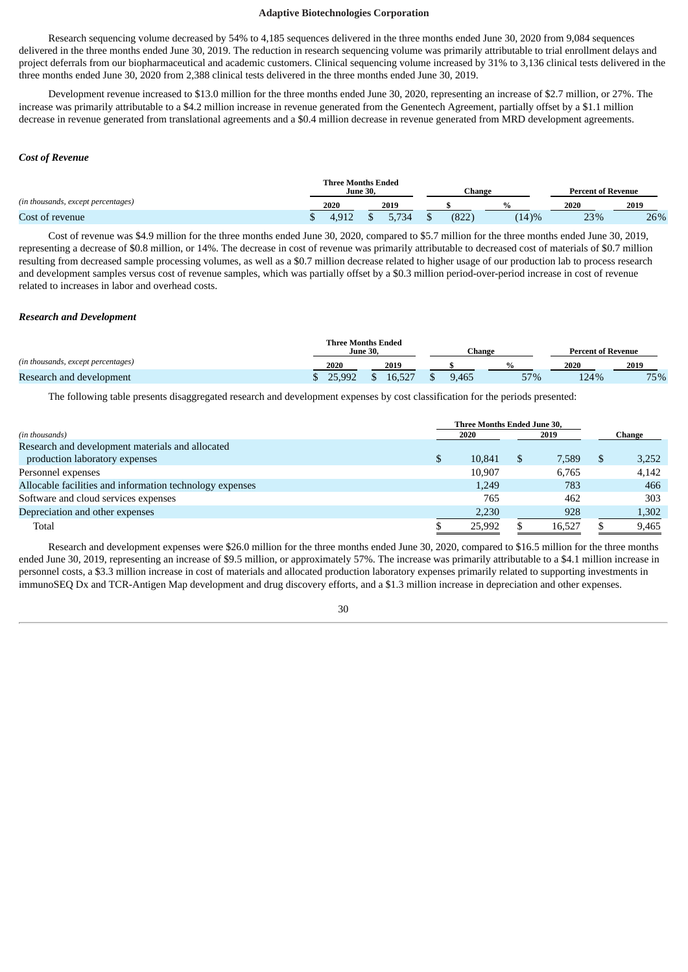Research sequencing volume decreased by 54% to 4,185 sequences delivered in the three months ended June 30, 2020 from 9,084 sequences delivered in the three months ended June 30, 2019. The reduction in research sequencing volume was primarily attributable to trial enrollment delays and project deferrals from our biopharmaceutical and academic customers. Clinical sequencing volume increased by 31% to 3,136 clinical tests delivered in the three months ended June 30, 2020 from 2,388 clinical tests delivered in the three months ended June 30, 2019.

Development revenue increased to \$13.0 million for the three months ended June 30, 2020, representing an increase of \$2.7 million, or 27%. The increase was primarily attributable to a \$4.2 million increase in revenue generated from the Genentech Agreement, partially offset by a \$1.1 million decrease in revenue generated from translational agreements and a \$0.4 million decrease in revenue generated from MRD development agreements.

#### *Cost of Revenue*

|                                    | <b>Three Months Ended</b> | <b>June 30,</b> |      | Change        |      | <b>Percent of Revenue</b> |      |  |
|------------------------------------|---------------------------|-----------------|------|---------------|------|---------------------------|------|--|
| (in thousands, except percentages) | 2020                      |                 | 2019 |               |      | 2020                      | 2019 |  |
| Cost of revenue                    |                           |                 |      | רר ס׳<br>OZZ. | (4)% | 23%                       | 26%  |  |

Cost of revenue was \$4.9 million for the three months ended June 30, 2020, compared to \$5.7 million for the three months ended June 30, 2019, representing a decrease of \$0.8 million, or 14%. The decrease in cost of revenue was primarily attributable to decreased cost of materials of \$0.7 million resulting from decreased sample processing volumes, as well as a \$0.7 million decrease related to higher usage of our production lab to process research and development samples versus cost of revenue samples, which was partially offset by a \$0.3 million period-over-period increase in cost of revenue related to increases in labor and overhead costs.

#### *Research and Development*

|                                    | <b>Three Months Ended</b><br>June 30. |        | Change |  |     |      | <b>Percent of Revenue</b> |      |     |
|------------------------------------|---------------------------------------|--------|--------|--|-----|------|---------------------------|------|-----|
| (in thousands, except percentages) | 2020                                  | 2019   |        |  |     | 2020 |                           | 2019 |     |
| Research and development           | 25.992                                | 16.527 | 9,465  |  | 57% |      | 124%                      |      | 75% |

The following table presents disaggregated research and development expenses by cost classification for the periods presented:

|                                                          |   | Three Months Ended June 30, |             |   |        |  |  |
|----------------------------------------------------------|---|-----------------------------|-------------|---|--------|--|--|
| (in thousands)                                           |   | 2020                        | 2019        |   | Change |  |  |
| Research and development materials and allocated         |   |                             |             |   |        |  |  |
| production laboratory expenses                           | S | 10.841                      | \$<br>7.589 | S | 3,252  |  |  |
| Personnel expenses                                       |   | 10.907                      | 6.765       |   | 4.142  |  |  |
| Allocable facilities and information technology expenses |   | 1,249                       | 783         |   | 466    |  |  |
| Software and cloud services expenses                     |   | 765                         | 462         |   | 303    |  |  |
| Depreciation and other expenses                          |   | 2,230                       | 928         |   | 1,302  |  |  |
| Total                                                    |   | 25.992                      | 16.527      |   | 9,465  |  |  |

Research and development expenses were \$26.0 million for the three months ended June 30, 2020, compared to \$16.5 million for the three months ended June 30, 2019, representing an increase of \$9.5 million, or approximately 57%. The increase was primarily attributable to a \$4.1 million increase in personnel costs, a \$3.3 million increase in cost of materials and allocated production laboratory expenses primarily related to supporting investments in immunoSEQ Dx and TCR-Antigen Map development and drug discovery efforts, and a \$1.3 million increase in depreciation and other expenses.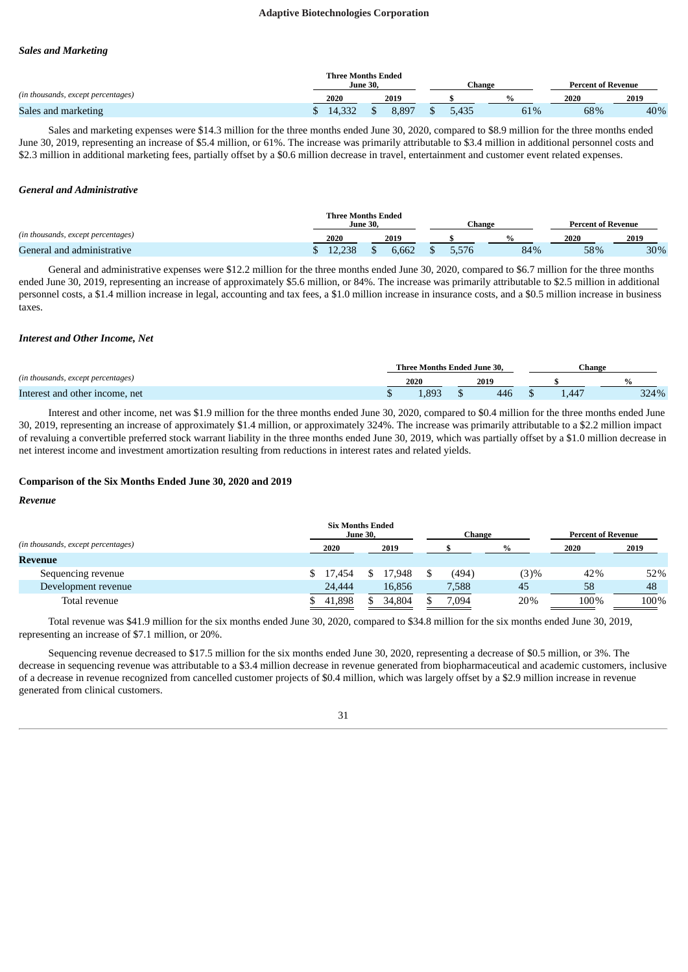#### *Sales and Marketing*

|                                    | <b>Three Months Ended</b><br>June 30. |       | Change |     | <b>Percent of Revenue</b> |      |  |
|------------------------------------|---------------------------------------|-------|--------|-----|---------------------------|------|--|
| (in thousands, except percentages) | 2020                                  | 2019  |        |     | 2020                      | 2019 |  |
| Sales and marketing                |                                       | 8.897 | 5.435  | 61% | 68%                       | 40%  |  |

Sales and marketing expenses were \$14.3 million for the three months ended June 30, 2020, compared to \$8.9 million for the three months ended June 30, 2019, representing an increase of \$5.4 million, or 61%. The increase was primarily attributable to \$3.4 million in additional personnel costs and \$2.3 million in additional marketing fees, partially offset by a \$0.6 million decrease in travel, entertainment and customer event related expenses.

#### *General and Administrative*

|                                    | <b>Three Months Ended</b><br><b>June 30.</b><br>Change |        |  |       |  |       |  | <b>Percent of Revenue</b> |      |     |      |     |
|------------------------------------|--------------------------------------------------------|--------|--|-------|--|-------|--|---------------------------|------|-----|------|-----|
| (in thousands, except percentages) |                                                        | 2020   |  | 2019  |  |       |  |                           | 2020 |     | 2019 |     |
| General and administrative         |                                                        | 12.238 |  | 6.662 |  | 5,576 |  | 84%                       |      | 58% |      | 30% |

General and administrative expenses were \$12.2 million for the three months ended June 30, 2020, compared to \$6.7 million for the three months ended June 30, 2019, representing an increase of approximately \$5.6 million, or 84%. The increase was primarily attributable to \$2.5 million in additional personnel costs, a \$1.4 million increase in legal, accounting and tax fees, a \$1.0 million increase in insurance costs, and a \$0.5 million increase in business taxes.

#### *Interest and Other Income, Net*

|                                    |  | Three Months Ended June 30, |  |     | hange |      |      |  |
|------------------------------------|--|-----------------------------|--|-----|-------|------|------|--|
| (in thousands, except percentages) |  | 2020<br>2019                |  |     |       |      |      |  |
| Interest and other income, net     |  | .89 <sup>2</sup>            |  | 446 |       | .447 | 324% |  |

Interest and other income, net was \$1.9 million for the three months ended June 30, 2020, compared to \$0.4 million for the three months ended June 30, 2019, representing an increase of approximately \$1.4 million, or approximately 324%. The increase was primarily attributable to a \$2.2 million impact of revaluing a convertible preferred stock warrant liability in the three months ended June 30, 2019, which was partially offset by a \$1.0 million decrease in net interest income and investment amortization resulting from reductions in interest rates and related yields.

#### **Comparison of the Six Months Ended June 30, 2020 and 2019**

#### *Revenue*

|                                    | <b>Six Months Ended</b><br><b>June 30,</b> |        | Change |      | <b>Percent of Revenue</b> |      |
|------------------------------------|--------------------------------------------|--------|--------|------|---------------------------|------|
| (in thousands, except percentages) | 2020                                       | 2019   |        | %    | 2020                      | 2019 |
| Revenue                            |                                            |        |        |      |                           |      |
| Sequencing revenue                 | \$ 17.454                                  | 17.948 | (494)  | (3)% | 42%                       | 52%  |
| Development revenue                | 24,444                                     | 16,856 | 7,588  | 45   | 58                        | 48   |
| Total revenue                      | 41.898                                     | 34.804 | 7,094  | 20%  | 100%                      | 100% |

Total revenue was \$41.9 million for the six months ended June 30, 2020, compared to \$34.8 million for the six months ended June 30, 2019, representing an increase of \$7.1 million, or 20%.

Sequencing revenue decreased to \$17.5 million for the six months ended June 30, 2020, representing a decrease of \$0.5 million, or 3%. The decrease in sequencing revenue was attributable to a \$3.4 million decrease in revenue generated from biopharmaceutical and academic customers, inclusive of a decrease in revenue recognized from cancelled customer projects of \$0.4 million, which was largely offset by a \$2.9 million increase in revenue generated from clinical customers.

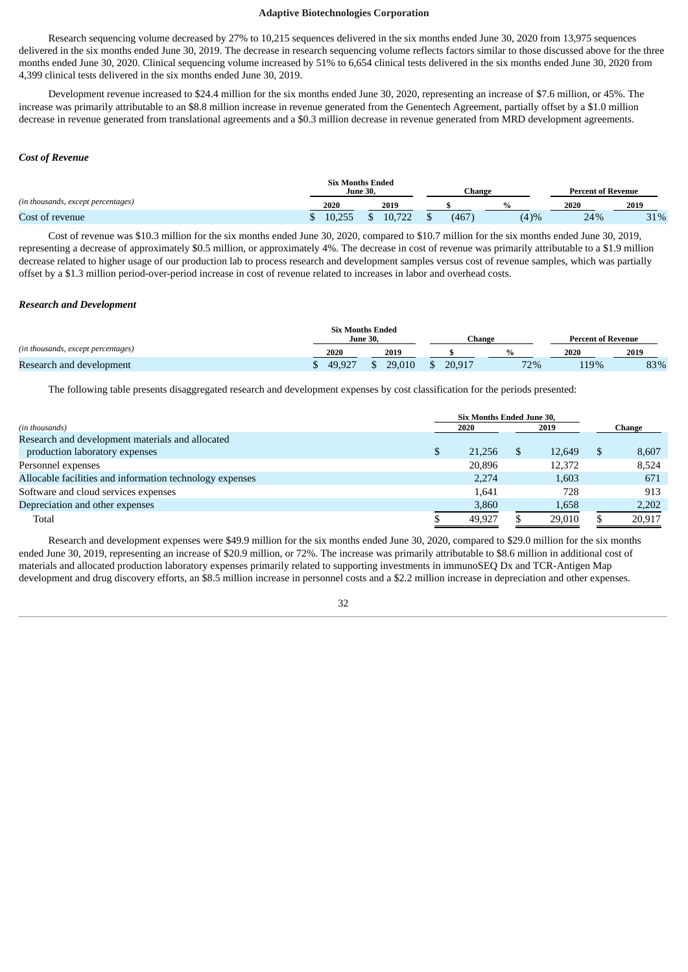Research sequencing volume decreased by 27% to 10,215 sequences delivered in the six months ended June 30, 2020 from 13,975 sequences delivered in the six months ended June 30, 2019. The decrease in research sequencing volume reflects factors similar to those discussed above for the three months ended June 30, 2020. Clinical sequencing volume increased by 51% to 6,654 clinical tests delivered in the six months ended June 30, 2020 from 4,399 clinical tests delivered in the six months ended June 30, 2019.

Development revenue increased to \$24.4 million for the six months ended June 30, 2020, representing an increase of \$7.6 million, or 45%. The increase was primarily attributable to an \$8.8 million increase in revenue generated from the Genentech Agreement, partially offset by a \$1.0 million decrease in revenue generated from translational agreements and a \$0.3 million decrease in revenue generated from MRD development agreements.

#### *Cost of Revenue*

|                                    | <b>June 30,</b> | <b>Six Months Ended</b> | Change |          | <b>Percent of Revenue</b> |      |
|------------------------------------|-----------------|-------------------------|--------|----------|---------------------------|------|
| (in thousands, except percentages) | 2020            | 2019                    |        |          | 2020                      | 2019 |
| Cost of revenue                    | 10.25<br>10.400 | $10^{-1}$<br>TO.        | 467    | $(4) \%$ | 24%                       | 31%  |

Cost of revenue was \$10.3 million for the six months ended June 30, 2020, compared to \$10.7 million for the six months ended June 30, 2019, representing a decrease of approximately \$0.5 million, or approximately 4%. The decrease in cost of revenue was primarily attributable to a \$1.9 million decrease related to higher usage of our production lab to process research and development samples versus cost of revenue samples, which was partially offset by a \$1.3 million period-over-period increase in cost of revenue related to increases in labor and overhead costs.

#### *Research and Development*

|                                    |        | <b>Six Months Ended</b><br><b>June 30.</b> | Change |     | <b>Percent of Revenue</b> |      |
|------------------------------------|--------|--------------------------------------------|--------|-----|---------------------------|------|
| (in thousands, except percentages) | 2020   | 2019                                       |        |     | 2020                      | 2019 |
| Research and development           | 49.927 | 29,010                                     | 20.917 | 72% | 119%                      | 83%  |

The following table presents disaggregated research and development expenses by cost classification for the periods presented:

|                                                          | Six Months Ended June 30, |        |        |
|----------------------------------------------------------|---------------------------|--------|--------|
| (in thousands)                                           | 2020                      | 2019   | Change |
| Research and development materials and allocated         |                           |        |        |
| production laboratory expenses                           | \$<br>21,256              | 12.649 | 8,607  |
| Personnel expenses                                       | 20,896                    | 12,372 | 8,524  |
| Allocable facilities and information technology expenses | 2.274                     | 1.603  | 671    |
| Software and cloud services expenses                     | 1.641                     | 728    | 913    |
| Depreciation and other expenses                          | 3,860                     | 1,658  | 2,202  |
| Total                                                    | 49.927                    | 29,010 | 20,917 |

Research and development expenses were \$49.9 million for the six months ended June 30, 2020, compared to \$29.0 million for the six months ended June 30, 2019, representing an increase of \$20.9 million, or 72%. The increase was primarily attributable to \$8.6 million in additional cost of materials and allocated production laboratory expenses primarily related to supporting investments in immunoSEQ Dx and TCR-Antigen Map development and drug discovery efforts, an \$8.5 million increase in personnel costs and a \$2.2 million increase in depreciation and other expenses.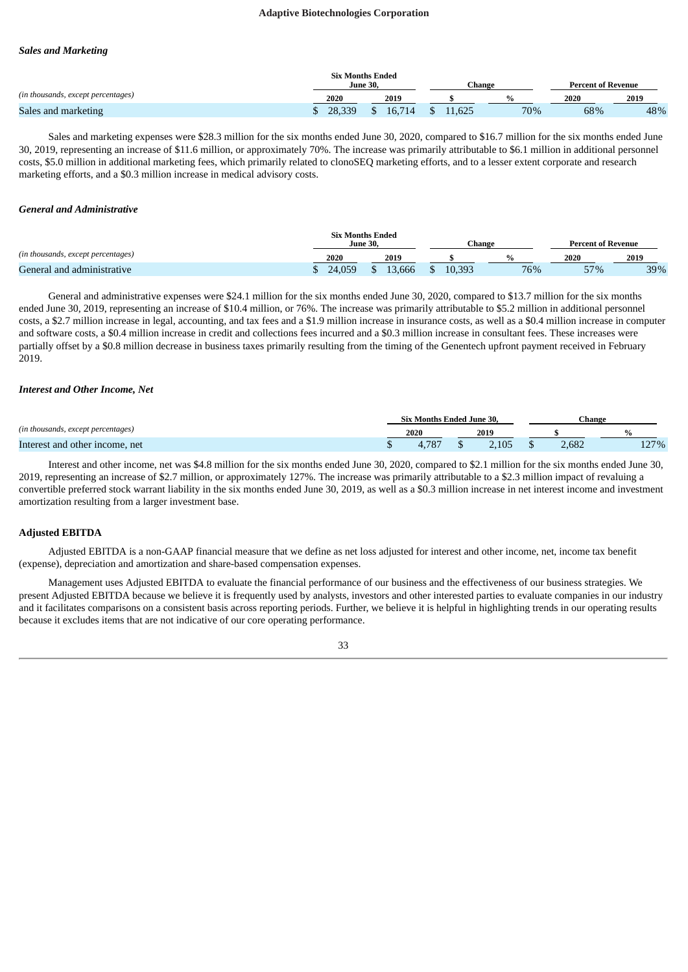#### *Sales and Marketing*

|                                    | <b>Six Months Ended</b> | June 30. |        |        | ™hange | <b>Percent of Revenue</b> |      |
|------------------------------------|-------------------------|----------|--------|--------|--------|---------------------------|------|
| (in thousands, except percentages) | 2020                    |          | 2019   |        | 0/2    | 2020                      | 2019 |
| Sales and marketing                | 28,339                  |          | 16.714 | 11.625 | 70%    | 68%                       | 48%  |

Sales and marketing expenses were \$28.3 million for the six months ended June 30, 2020, compared to \$16.7 million for the six months ended June 30, 2019, representing an increase of \$11.6 million, or approximately 70%. The increase was primarily attributable to \$6.1 million in additional personnel costs, \$5.0 million in additional marketing fees, which primarily related to clonoSEQ marketing efforts, and to a lesser extent corporate and research marketing efforts, and a \$0.3 million increase in medical advisory costs.

#### *General and Administrative*

|                                    | <b>Six Months Ended</b><br><b>June 30</b> |       | Change       |     | <b>Percent of Revenue</b> |      |
|------------------------------------|-------------------------------------------|-------|--------------|-----|---------------------------|------|
| (in thousands, except percentages) | 2020                                      | 2019  |              |     | 2020                      | 2019 |
| General and administrative         | 24.059                                    | 3.666 | 10,393<br>-- | 76% | 57%                       | 39%  |

General and administrative expenses were \$24.1 million for the six months ended June 30, 2020, compared to \$13.7 million for the six months ended June 30, 2019, representing an increase of \$10.4 million, or 76%. The increase was primarily attributable to \$5.2 million in additional personnel costs, a \$2.7 million increase in legal, accounting, and tax fees and a \$1.9 million increase in insurance costs, as well as a \$0.4 million increase in computer and software costs, a \$0.4 million increase in credit and collections fees incurred and a \$0.3 million increase in consultant fees. These increases were partially offset by a \$0.8 million decrease in business taxes primarily resulting from the timing of the Genentech upfront payment received in February 2019.

#### *Interest and Other Income, Net*

|                                    | <b>Six Months Ended June 30.</b> |       |       | ∴hange |
|------------------------------------|----------------------------------|-------|-------|--------|
| (in thousands, except percentages) | 2020                             | 2019  |       |        |
| Interest and other income, net     | $70-$                            | 2.105 | 2,682 | 27%    |

Interest and other income, net was \$4.8 million for the six months ended June 30, 2020, compared to \$2.1 million for the six months ended June 30, 2019, representing an increase of \$2.7 million, or approximately 127%. The increase was primarily attributable to a \$2.3 million impact of revaluing a convertible preferred stock warrant liability in the six months ended June 30, 2019, as well as a \$0.3 million increase in net interest income and investment amortization resulting from a larger investment base.

### **Adjusted EBITDA**

Adjusted EBITDA is a non-GAAP financial measure that we define as net loss adjusted for interest and other income, net, income tax benefit (expense), depreciation and amortization and share-based compensation expenses.

Management uses Adjusted EBITDA to evaluate the financial performance of our business and the effectiveness of our business strategies. We present Adjusted EBITDA because we believe it is frequently used by analysts, investors and other interested parties to evaluate companies in our industry and it facilitates comparisons on a consistent basis across reporting periods. Further, we believe it is helpful in highlighting trends in our operating results because it excludes items that are not indicative of our core operating performance.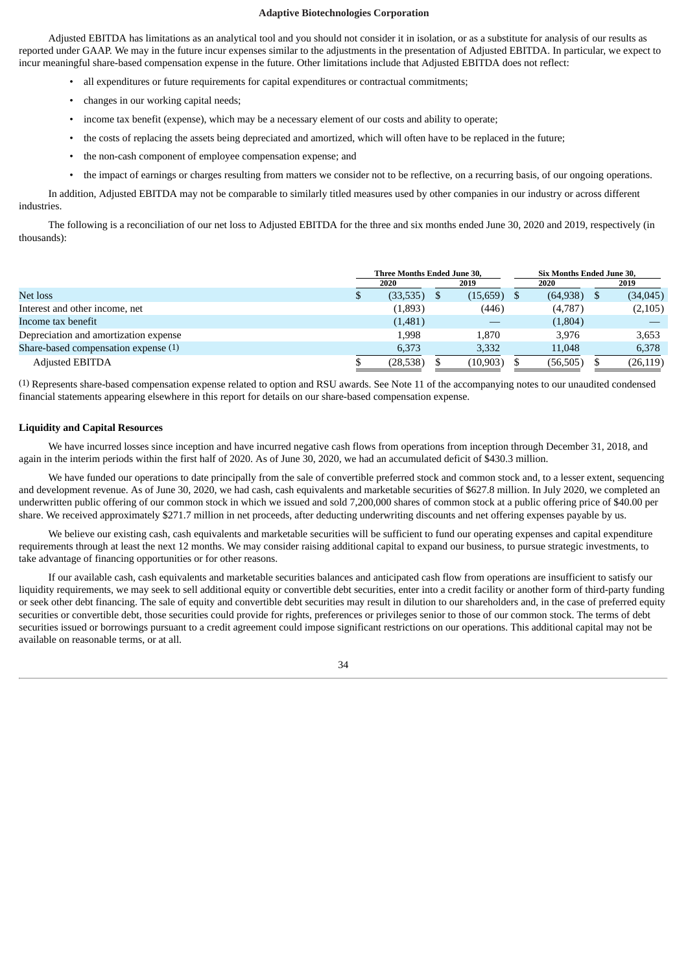Adjusted EBITDA has limitations as an analytical tool and you should not consider it in isolation, or as a substitute for analysis of our results as reported under GAAP. We may in the future incur expenses similar to the adjustments in the presentation of Adjusted EBITDA. In particular, we expect to incur meaningful share-based compensation expense in the future. Other limitations include that Adjusted EBITDA does not reflect:

- all expenditures or future requirements for capital expenditures or contractual commitments;
- changes in our working capital needs;
- income tax benefit (expense), which may be a necessary element of our costs and ability to operate;
- the costs of replacing the assets being depreciated and amortized, which will often have to be replaced in the future;
- the non-cash component of employee compensation expense; and
- the impact of earnings or charges resulting from matters we consider not to be reflective, on a recurring basis, of our ongoing operations.

In addition, Adjusted EBITDA may not be comparable to similarly titled measures used by other companies in our industry or across different industries.

The following is a reconciliation of our net loss to Adjusted EBITDA for the three and six months ended June 30, 2020 and 2019, respectively (in thousands):

|                                       | Three Months Ended June 30,<br>Six Months Ended June 30, |          |  |           |  |           |  |           |
|---------------------------------------|----------------------------------------------------------|----------|--|-----------|--|-----------|--|-----------|
|                                       |                                                          | 2020     |  | 2019      |  | 2020      |  | 2019      |
| Net loss                              |                                                          | (33,535) |  | (15,659)  |  | (64, 938) |  | (34, 045) |
| Interest and other income, net        |                                                          | (1,893)  |  | (446)     |  | (4,787)   |  | (2,105)   |
| Income tax benefit                    |                                                          | (1,481)  |  |           |  | (1,804)   |  |           |
| Depreciation and amortization expense |                                                          | 1.998    |  | 1,870     |  | 3.976     |  | 3,653     |
| Share-based compensation expense (1)  |                                                          | 6,373    |  | 3,332     |  | 11,048    |  | 6,378     |
| Adjusted EBITDA                       |                                                          | (28,538) |  | (10, 903) |  | (56, 505) |  | (26, 119) |

(1) Represents share-based compensation expense related to option and RSU awards. See Note 11 of the accompanying notes to our unaudited condensed financial statements appearing elsewhere in this report for details on our share-based compensation expense.

# **Liquidity and Capital Resources**

We have incurred losses since inception and have incurred negative cash flows from operations from inception through December 31, 2018, and again in the interim periods within the first half of 2020. As of June 30, 2020, we had an accumulated deficit of \$430.3 million.

We have funded our operations to date principally from the sale of convertible preferred stock and common stock and, to a lesser extent, sequencing and development revenue. As of June 30, 2020, we had cash, cash equivalents and marketable securities of \$627.8 million. In July 2020, we completed an underwritten public offering of our common stock in which we issued and sold 7,200,000 shares of common stock at a public offering price of \$40.00 per share. We received approximately \$271.7 million in net proceeds, after deducting underwriting discounts and net offering expenses payable by us.

We believe our existing cash, cash equivalents and marketable securities will be sufficient to fund our operating expenses and capital expenditure requirements through at least the next 12 months. We may consider raising additional capital to expand our business, to pursue strategic investments, to take advantage of financing opportunities or for other reasons.

If our available cash, cash equivalents and marketable securities balances and anticipated cash flow from operations are insufficient to satisfy our liquidity requirements, we may seek to sell additional equity or convertible debt securities, enter into a credit facility or another form of third-party funding or seek other debt financing. The sale of equity and convertible debt securities may result in dilution to our shareholders and, in the case of preferred equity securities or convertible debt, those securities could provide for rights, preferences or privileges senior to those of our common stock. The terms of debt securities issued or borrowings pursuant to a credit agreement could impose significant restrictions on our operations. This additional capital may not be available on reasonable terms, or at all.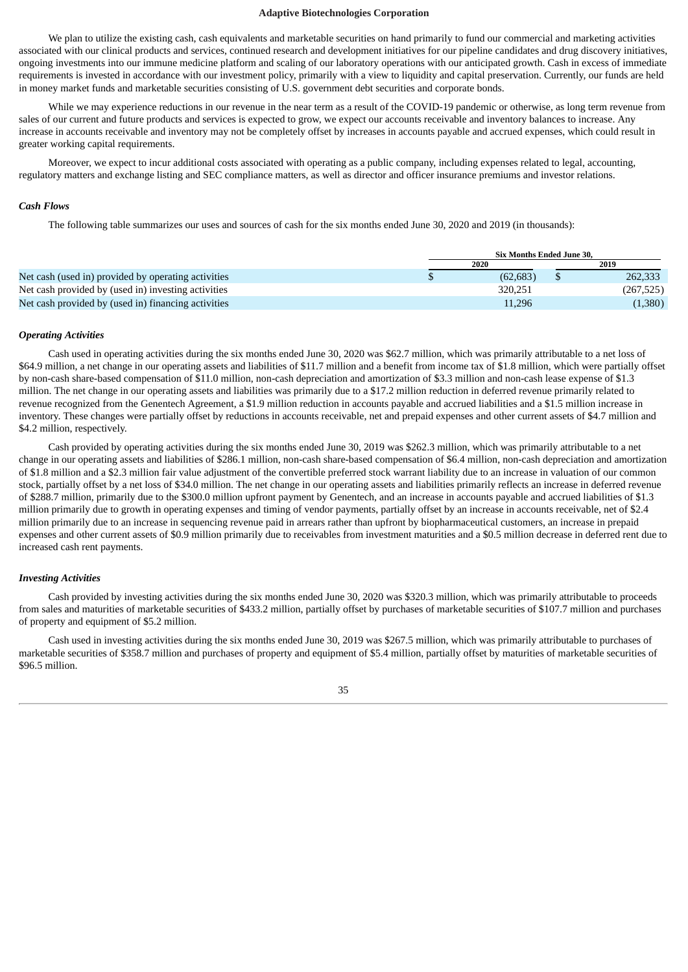We plan to utilize the existing cash, cash equivalents and marketable securities on hand primarily to fund our commercial and marketing activities associated with our clinical products and services, continued research and development initiatives for our pipeline candidates and drug discovery initiatives, ongoing investments into our immune medicine platform and scaling of our laboratory operations with our anticipated growth. Cash in excess of immediate requirements is invested in accordance with our investment policy, primarily with a view to liquidity and capital preservation. Currently, our funds are held in money market funds and marketable securities consisting of U.S. government debt securities and corporate bonds.

While we may experience reductions in our revenue in the near term as a result of the COVID-19 pandemic or otherwise, as long term revenue from sales of our current and future products and services is expected to grow, we expect our accounts receivable and inventory balances to increase. Any increase in accounts receivable and inventory may not be completely offset by increases in accounts payable and accrued expenses, which could result in greater working capital requirements.

Moreover, we expect to incur additional costs associated with operating as a public company, including expenses related to legal, accounting, regulatory matters and exchange listing and SEC compliance matters, as well as director and officer insurance premiums and investor relations.

### *Cash Flows*

The following table summarizes our uses and sources of cash for the six months ended June 30, 2020 and 2019 (in thousands):

|                                                     | <b>Six Months Ended June 30.</b> |  |            |  |  |
|-----------------------------------------------------|----------------------------------|--|------------|--|--|
|                                                     | 2020                             |  | 2019       |  |  |
| Net cash (used in) provided by operating activities | (62, 683)                        |  | 262,333    |  |  |
| Net cash provided by (used in) investing activities | 320.251                          |  | (267, 525) |  |  |
| Net cash provided by (used in) financing activities | 11,296                           |  | (1,380)    |  |  |

#### *Operating Activities*

Cash used in operating activities during the six months ended June 30, 2020 was \$62.7 million, which was primarily attributable to a net loss of \$64.9 million, a net change in our operating assets and liabilities of \$11.7 million and a benefit from income tax of \$1.8 million, which were partially offset by non-cash share-based compensation of \$11.0 million, non-cash depreciation and amortization of \$3.3 million and non-cash lease expense of \$1.3 million. The net change in our operating assets and liabilities was primarily due to a \$17.2 million reduction in deferred revenue primarily related to revenue recognized from the Genentech Agreement, a \$1.9 million reduction in accounts payable and accrued liabilities and a \$1.5 million increase in inventory. These changes were partially offset by reductions in accounts receivable, net and prepaid expenses and other current assets of \$4.7 million and \$4.2 million, respectively.

Cash provided by operating activities during the six months ended June 30, 2019 was \$262.3 million, which was primarily attributable to a net change in our operating assets and liabilities of \$286.1 million, non-cash share-based compensation of \$6.4 million, non-cash depreciation and amortization of \$1.8 million and a \$2.3 million fair value adjustment of the convertible preferred stock warrant liability due to an increase in valuation of our common stock, partially offset by a net loss of \$34.0 million. The net change in our operating assets and liabilities primarily reflects an increase in deferred revenue of \$288.7 million, primarily due to the \$300.0 million upfront payment by Genentech, and an increase in accounts payable and accrued liabilities of \$1.3 million primarily due to growth in operating expenses and timing of vendor payments, partially offset by an increase in accounts receivable, net of \$2.4 million primarily due to an increase in sequencing revenue paid in arrears rather than upfront by biopharmaceutical customers, an increase in prepaid expenses and other current assets of \$0.9 million primarily due to receivables from investment maturities and a \$0.5 million decrease in deferred rent due to increased cash rent payments.

#### *Investing Activities*

Cash provided by investing activities during the six months ended June 30, 2020 was \$320.3 million, which was primarily attributable to proceeds from sales and maturities of marketable securities of \$433.2 million, partially offset by purchases of marketable securities of \$107.7 million and purchases of property and equipment of \$5.2 million.

Cash used in investing activities during the six months ended June 30, 2019 was \$267.5 million, which was primarily attributable to purchases of marketable securities of \$358.7 million and purchases of property and equipment of \$5.4 million, partially offset by maturities of marketable securities of \$96.5 million.

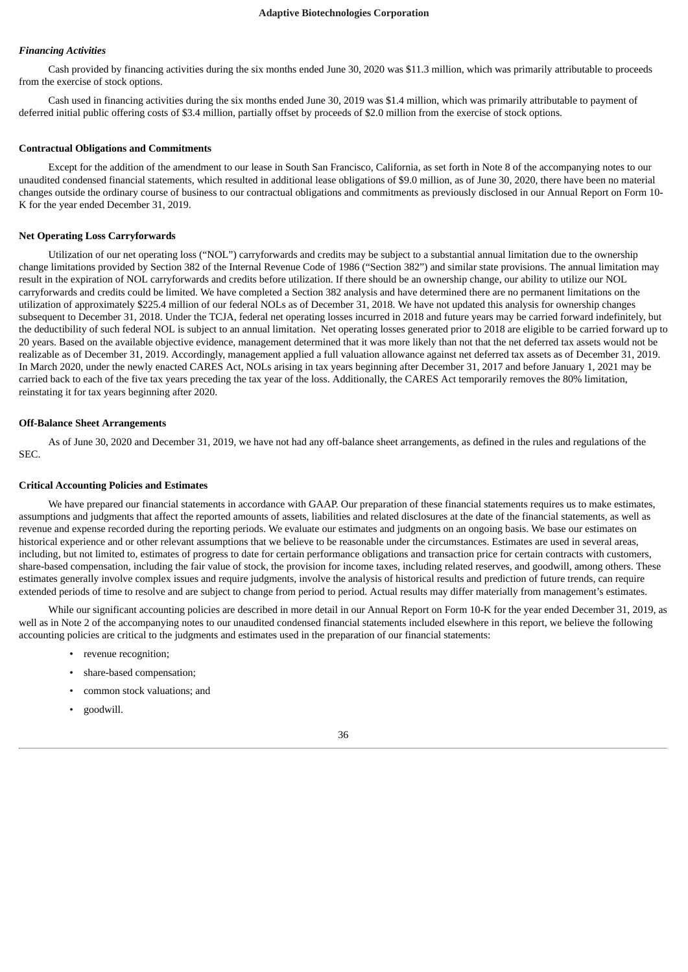#### *Financing Activities*

Cash provided by financing activities during the six months ended June 30, 2020 was \$11.3 million, which was primarily attributable to proceeds from the exercise of stock options.

Cash used in financing activities during the six months ended June 30, 2019 was \$1.4 million, which was primarily attributable to payment of deferred initial public offering costs of \$3.4 million, partially offset by proceeds of \$2.0 million from the exercise of stock options.

### **Contractual Obligations and Commitments**

Except for the addition of the amendment to our lease in South San Francisco, California, as set forth in Note 8 of the accompanying notes to our unaudited condensed financial statements, which resulted in additional lease obligations of \$9.0 million, as of June 30, 2020, there have been no material changes outside the ordinary course of business to our contractual obligations and commitments as previously disclosed in our Annual Report on Form 10- K for the year ended December 31, 2019.

### **Net Operating Loss Carryforwards**

Utilization of our net operating loss ("NOL") carryforwards and credits may be subject to a substantial annual limitation due to the ownership change limitations provided by Section 382 of the Internal Revenue Code of 1986 ("Section 382") and similar state provisions. The annual limitation may result in the expiration of NOL carryforwards and credits before utilization. If there should be an ownership change, our ability to utilize our NOL carryforwards and credits could be limited. We have completed a Section 382 analysis and have determined there are no permanent limitations on the utilization of approximately \$225.4 million of our federal NOLs as of December 31, 2018. We have not updated this analysis for ownership changes subsequent to December 31, 2018. Under the TCJA, federal net operating losses incurred in 2018 and future years may be carried forward indefinitely, but the deductibility of such federal NOL is subject to an annual limitation. Net operating losses generated prior to 2018 are eligible to be carried forward up to 20 years. Based on the available objective evidence, management determined that it was more likely than not that the net deferred tax assets would not be realizable as of December 31, 2019. Accordingly, management applied a full valuation allowance against net deferred tax assets as of December 31, 2019. In March 2020, under the newly enacted CARES Act, NOLs arising in tax years beginning after December 31, 2017 and before January 1, 2021 may be carried back to each of the five tax years preceding the tax year of the loss. Additionally, the CARES Act temporarily removes the 80% limitation, reinstating it for tax years beginning after 2020.

#### **Off-Balance Sheet Arrangements**

As of June 30, 2020 and December 31, 2019, we have not had any off-balance sheet arrangements, as defined in the rules and regulations of the SEC.

#### **Critical Accounting Policies and Estimates**

We have prepared our financial statements in accordance with GAAP. Our preparation of these financial statements requires us to make estimates, assumptions and judgments that affect the reported amounts of assets, liabilities and related disclosures at the date of the financial statements, as well as revenue and expense recorded during the reporting periods. We evaluate our estimates and judgments on an ongoing basis. We base our estimates on historical experience and or other relevant assumptions that we believe to be reasonable under the circumstances. Estimates are used in several areas, including, but not limited to, estimates of progress to date for certain performance obligations and transaction price for certain contracts with customers, share-based compensation, including the fair value of stock, the provision for income taxes, including related reserves, and goodwill, among others. These estimates generally involve complex issues and require judgments, involve the analysis of historical results and prediction of future trends, can require extended periods of time to resolve and are subject to change from period to period. Actual results may differ materially from management's estimates.

While our significant accounting policies are described in more detail in our Annual Report on Form 10-K for the year ended December 31, 2019, as well as in Note 2 of the accompanying notes to our unaudited condensed financial statements included elsewhere in this report, we believe the following accounting policies are critical to the judgments and estimates used in the preparation of our financial statements:

- revenue recognition;
- share-based compensation;
- common stock valuations; and
- goodwill.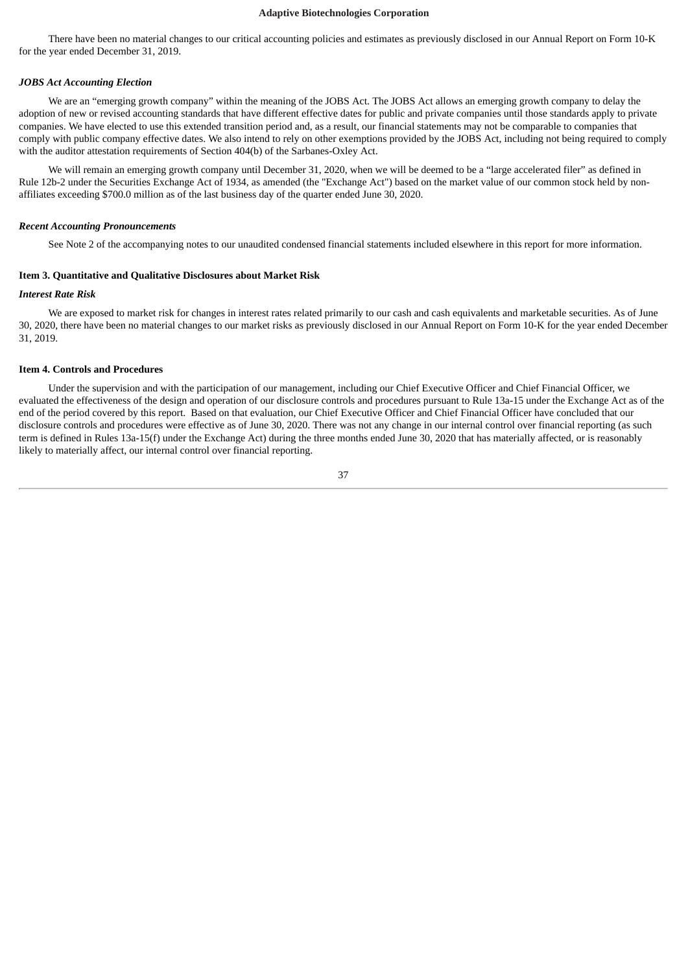There have been no material changes to our critical accounting policies and estimates as previously disclosed in our Annual Report on Form 10-K for the year ended December 31, 2019.

### *JOBS Act Accounting Election*

We are an "emerging growth company" within the meaning of the JOBS Act. The JOBS Act allows an emerging growth company to delay the adoption of new or revised accounting standards that have different effective dates for public and private companies until those standards apply to private companies. We have elected to use this extended transition period and, as a result, our financial statements may not be comparable to companies that comply with public company effective dates. We also intend to rely on other exemptions provided by the JOBS Act, including not being required to comply with the auditor attestation requirements of Section 404(b) of the Sarbanes-Oxley Act.

We will remain an emerging growth company until December 31, 2020, when we will be deemed to be a "large accelerated filer" as defined in Rule 12b-2 under the Securities Exchange Act of 1934, as amended (the "Exchange Act") based on the market value of our common stock held by nonaffiliates exceeding \$700.0 million as of the last business day of the quarter ended June 30, 2020.

#### *Recent Accounting Pronouncements*

See Note 2 of the accompanying notes to our unaudited condensed financial statements included elsewhere in this report for more information.

### <span id="page-36-0"></span>**Item 3. Quantitative and Qualitative Disclosures about Market Risk**

#### *Interest Rate Risk*

We are exposed to market risk for changes in interest rates related primarily to our cash and cash equivalents and marketable securities. As of June 30, 2020, there have been no material changes to our market risks as previously disclosed in our Annual Report on Form 10-K for the year ended December 31, 2019.

#### <span id="page-36-1"></span>**Item 4. Controls and Procedures**

Under the supervision and with the participation of our management, including our Chief Executive Officer and Chief Financial Officer, we evaluated the effectiveness of the design and operation of our disclosure controls and procedures pursuant to Rule 13a-15 under the Exchange Act as of the end of the period covered by this report. Based on that evaluation, our Chief Executive Officer and Chief Financial Officer have concluded that our disclosure controls and procedures were effective as of June 30, 2020. There was not any change in our internal control over financial reporting (as such term is defined in Rules 13a-15(f) under the Exchange Act) during the three months ended June 30, 2020 that has materially affected, or is reasonably likely to materially affect, our internal control over financial reporting.

37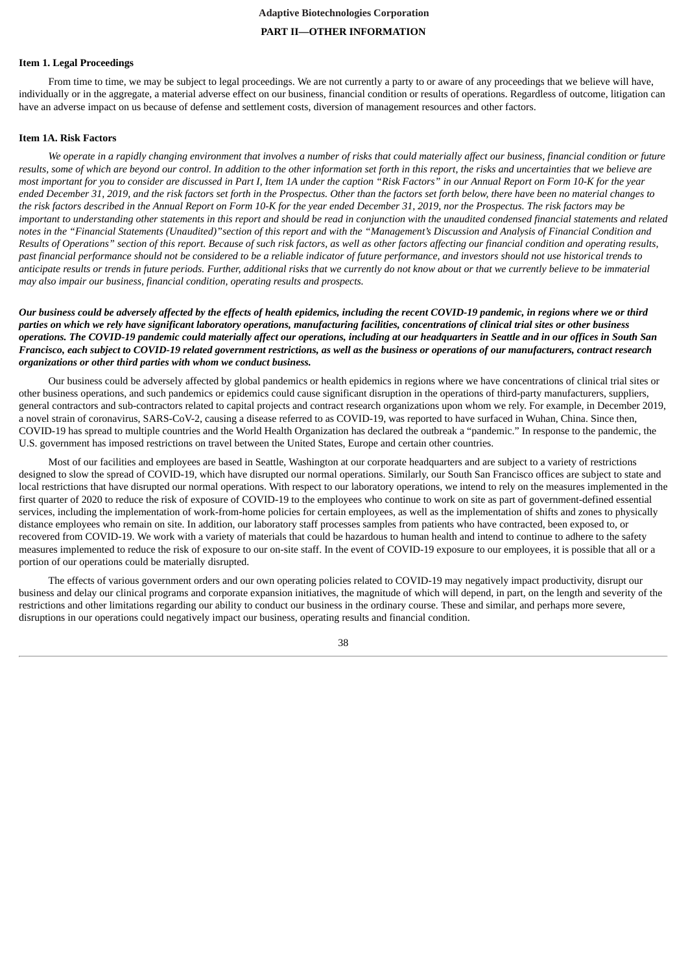# **Adaptive Biotechnologies Corporation PART II—OTHER INFORMATION**

#### <span id="page-37-1"></span><span id="page-37-0"></span>**Item 1. Legal Proceedings**

From time to time, we may be subject to legal proceedings. We are not currently a party to or aware of any proceedings that we believe will have, individually or in the aggregate, a material adverse effect on our business, financial condition or results of operations. Regardless of outcome, litigation can have an adverse impact on us because of defense and settlement costs, diversion of management resources and other factors.

### <span id="page-37-2"></span>**Item 1A. Risk Factors**

We operate in a rapidly changing environment that involves a number of risks that could materially affect our business, financial condition or future results, some of which are beyond our control. In addition to the other information set forth in this report, the risks and uncertainties that we believe are most important for you to consider are discussed in Part I, Item 1A under the caption "Risk Factors" in our Annual Report on Form 10-K for the year ended December 31, 2019, and the risk factors set forth in the Prospectus. Other than the factors set forth below, there have been no material changes to the risk factors described in the Annual Report on Form 10-K for the year ended December 31, 2019, nor the Prospectus. The risk factors may be important to understanding other statements in this report and should be read in conjunction with the unaudited condensed financial statements and related notes in the "Financial Statements (Unaudited)"section of this report and with the "Management's Discussion and Analysis of Financial Condition and Results of Operations" section of this report. Because of such risk factors, as well as other factors affecting our financial condition and operating results, past financial performance should not be considered to be a reliable indicator of future performance, and investors should not use historical trends to anticipate results or trends in future periods. Further, additional risks that we currently do not know about or that we currently believe to be immaterial *may also impair our business, financial condition, operating results and prospects.*

Our business could be adversely affected by the effects of health epidemics, including the recent COVID-19 pandemic, in regions where we or third parties on which we rely have significant laboratory operations, manufacturing facilities, concentrations of clinical trial sites or other business operations. The COVID-19 pandemic could materially affect our operations, includina at our headauarters in Seattle and in our offices in South San Francisco, each subject to COVID-19 related government restrictions, as well as the business or operations of our manufacturers, contract research *organizations or other third parties with whom we conduct business.*

Our business could be adversely affected by global pandemics or health epidemics in regions where we have concentrations of clinical trial sites or other business operations, and such pandemics or epidemics could cause significant disruption in the operations of third-party manufacturers, suppliers, general contractors and sub-contractors related to capital projects and contract research organizations upon whom we rely. For example, in December 2019, a novel strain of coronavirus, SARS-CoV-2, causing a disease referred to as COVID-19, was reported to have surfaced in Wuhan, China. Since then, COVID-19 has spread to multiple countries and the World Health Organization has declared the outbreak a "pandemic." In response to the pandemic, the U.S. government has imposed restrictions on travel between the United States, Europe and certain other countries.

Most of our facilities and employees are based in Seattle, Washington at our corporate headquarters and are subject to a variety of restrictions designed to slow the spread of COVID-19, which have disrupted our normal operations. Similarly, our South San Francisco offices are subject to state and local restrictions that have disrupted our normal operations. With respect to our laboratory operations, we intend to rely on the measures implemented in the first quarter of 2020 to reduce the risk of exposure of COVID-19 to the employees who continue to work on site as part of government-defined essential services, including the implementation of work-from-home policies for certain employees, as well as the implementation of shifts and zones to physically distance employees who remain on site. In addition, our laboratory staff processes samples from patients who have contracted, been exposed to, or recovered from COVID-19. We work with a variety of materials that could be hazardous to human health and intend to continue to adhere to the safety measures implemented to reduce the risk of exposure to our on-site staff. In the event of COVID-19 exposure to our employees, it is possible that all or a portion of our operations could be materially disrupted.

The effects of various government orders and our own operating policies related to COVID-19 may negatively impact productivity, disrupt our business and delay our clinical programs and corporate expansion initiatives, the magnitude of which will depend, in part, on the length and severity of the restrictions and other limitations regarding our ability to conduct our business in the ordinary course. These and similar, and perhaps more severe, disruptions in our operations could negatively impact our business, operating results and financial condition.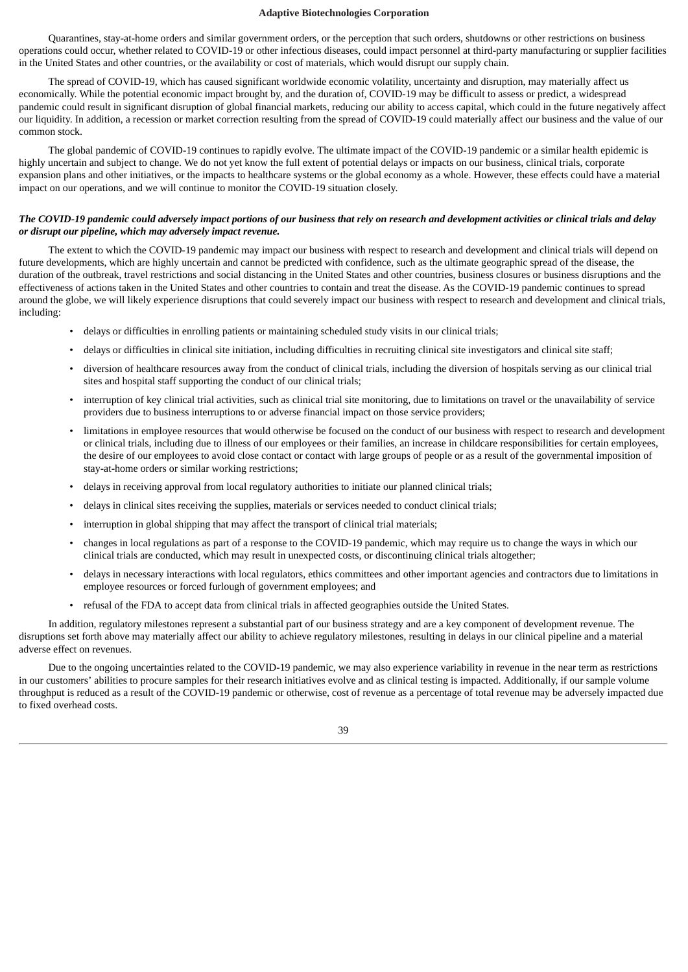Quarantines, stay-at-home orders and similar government orders, or the perception that such orders, shutdowns or other restrictions on business operations could occur, whether related to COVID-19 or other infectious diseases, could impact personnel at third-party manufacturing or supplier facilities in the United States and other countries, or the availability or cost of materials, which would disrupt our supply chain.

The spread of COVID-19, which has caused significant worldwide economic volatility, uncertainty and disruption, may materially affect us economically. While the potential economic impact brought by, and the duration of, COVID-19 may be difficult to assess or predict, a widespread pandemic could result in significant disruption of global financial markets, reducing our ability to access capital, which could in the future negatively affect our liquidity. In addition, a recession or market correction resulting from the spread of COVID-19 could materially affect our business and the value of our common stock.

The global pandemic of COVID-19 continues to rapidly evolve. The ultimate impact of the COVID-19 pandemic or a similar health epidemic is highly uncertain and subject to change. We do not yet know the full extent of potential delays or impacts on our business, clinical trials, corporate expansion plans and other initiatives, or the impacts to healthcare systems or the global economy as a whole. However, these effects could have a material impact on our operations, and we will continue to monitor the COVID-19 situation closely.

# The COVID-19 pandemic could adversely impact portions of our business that rely on research and development activities or clinical trials and delay *or disrupt our pipeline, which may adversely impact revenue.*

The extent to which the COVID-19 pandemic may impact our business with respect to research and development and clinical trials will depend on future developments, which are highly uncertain and cannot be predicted with confidence, such as the ultimate geographic spread of the disease, the duration of the outbreak, travel restrictions and social distancing in the United States and other countries, business closures or business disruptions and the effectiveness of actions taken in the United States and other countries to contain and treat the disease. As the COVID-19 pandemic continues to spread around the globe, we will likely experience disruptions that could severely impact our business with respect to research and development and clinical trials, including:

- delays or difficulties in enrolling patients or maintaining scheduled study visits in our clinical trials;
- delays or difficulties in clinical site initiation, including difficulties in recruiting clinical site investigators and clinical site staff;
- diversion of healthcare resources away from the conduct of clinical trials, including the diversion of hospitals serving as our clinical trial sites and hospital staff supporting the conduct of our clinical trials;
- interruption of key clinical trial activities, such as clinical trial site monitoring, due to limitations on travel or the unavailability of service providers due to business interruptions to or adverse financial impact on those service providers;
- limitations in employee resources that would otherwise be focused on the conduct of our business with respect to research and development or clinical trials, including due to illness of our employees or their families, an increase in childcare responsibilities for certain employees, the desire of our employees to avoid close contact or contact with large groups of people or as a result of the governmental imposition of stay-at-home orders or similar working restrictions;
- delays in receiving approval from local regulatory authorities to initiate our planned clinical trials;
- delays in clinical sites receiving the supplies, materials or services needed to conduct clinical trials;
- interruption in global shipping that may affect the transport of clinical trial materials;
- changes in local regulations as part of a response to the COVID-19 pandemic, which may require us to change the ways in which our clinical trials are conducted, which may result in unexpected costs, or discontinuing clinical trials altogether;
- delays in necessary interactions with local regulators, ethics committees and other important agencies and contractors due to limitations in employee resources or forced furlough of government employees; and
- refusal of the FDA to accept data from clinical trials in affected geographies outside the United States.

In addition, regulatory milestones represent a substantial part of our business strategy and are a key component of development revenue. The disruptions set forth above may materially affect our ability to achieve regulatory milestones, resulting in delays in our clinical pipeline and a material adverse effect on revenues.

Due to the ongoing uncertainties related to the COVID-19 pandemic, we may also experience variability in revenue in the near term as restrictions in our customers' abilities to procure samples for their research initiatives evolve and as clinical testing is impacted. Additionally, if our sample volume throughput is reduced as a result of the COVID-19 pandemic or otherwise, cost of revenue as a percentage of total revenue may be adversely impacted due to fixed overhead costs.

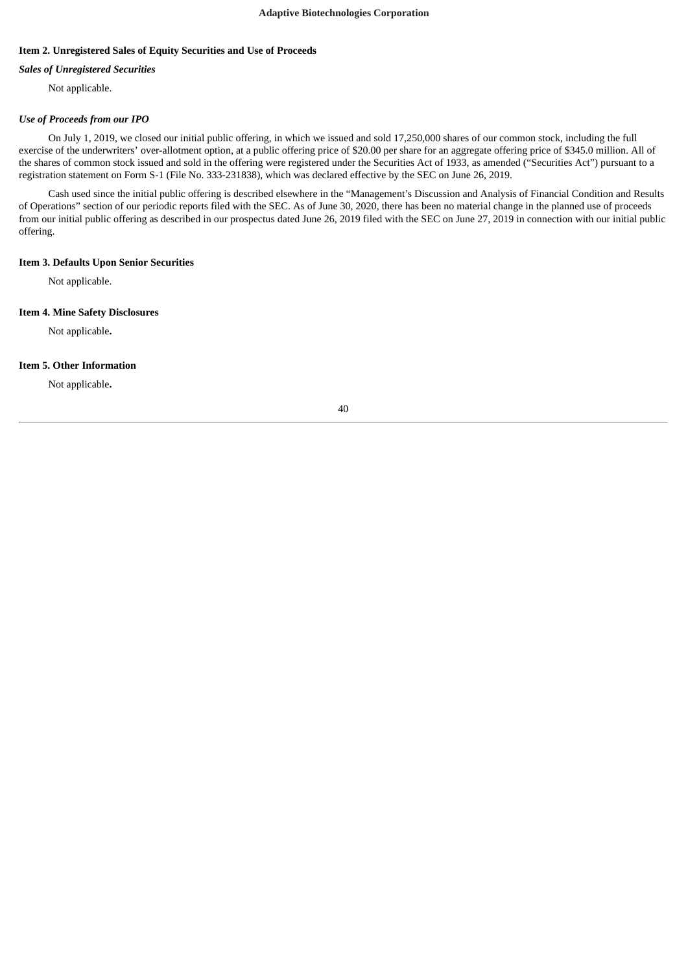# <span id="page-39-0"></span>**Item 2. Unregistered Sales of Equity Securities and Use of Proceeds**

# *Sales of Unregistered Securities*

Not applicable.

# *Use of Proceeds from our IPO*

On July 1, 2019, we closed our initial public offering, in which we issued and sold 17,250,000 shares of our common stock, including the full exercise of the underwriters' over-allotment option, at a public offering price of \$20.00 per share for an aggregate offering price of \$345.0 million. All of the shares of common stock issued and sold in the offering were registered under the Securities Act of 1933, as amended ("Securities Act") pursuant to a registration statement on Form S-1 (File No. 333-231838), which was declared effective by the SEC on June 26, 2019.

Cash used since the initial public offering is described elsewhere in the "Management's Discussion and Analysis of Financial Condition and Results of Operations" section of our periodic reports filed with the SEC. As of June 30, 2020, there has been no material change in the planned use of proceeds from our initial public offering as described in our prospectus dated June 26, 2019 filed with the SEC on June 27, 2019 in connection with our initial public offering.

# <span id="page-39-1"></span>**Item 3. Defaults Upon Senior Securities**

Not applicable.

# <span id="page-39-2"></span>**Item 4. Mine Safety Disclosures**

Not applicable**.**

# <span id="page-39-3"></span>**Item 5. Other Information**

Not applicable**.**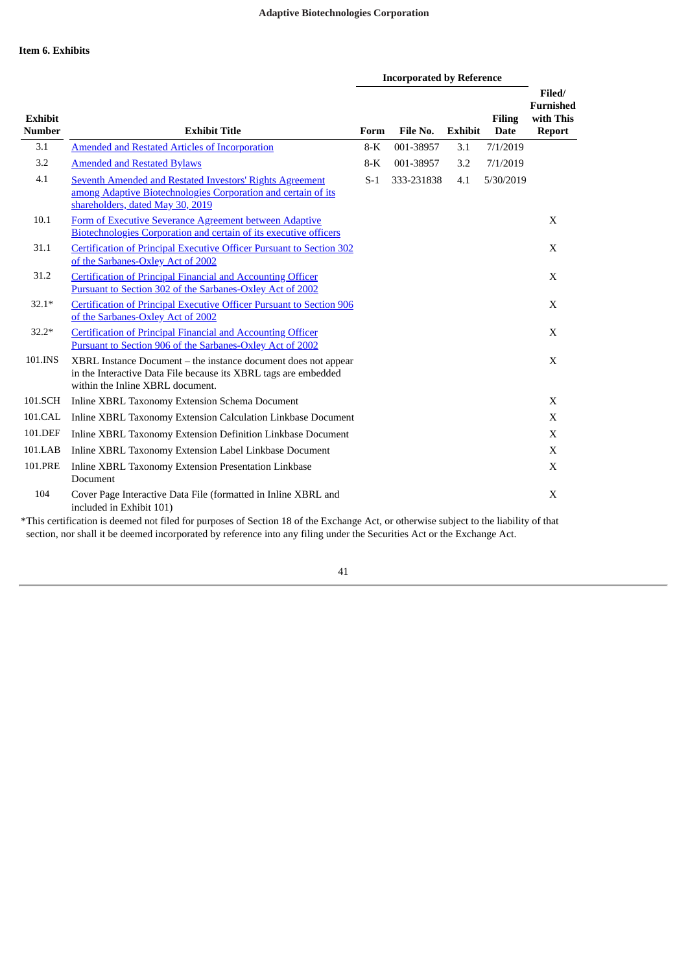<span id="page-40-0"></span>

|                                 |                                                                                                                                                                         | <b>Incorporated by Reference</b> |            |                |                              |                                                          |
|---------------------------------|-------------------------------------------------------------------------------------------------------------------------------------------------------------------------|----------------------------------|------------|----------------|------------------------------|----------------------------------------------------------|
| <b>Exhibit</b><br><b>Number</b> | <b>Exhibit Title</b>                                                                                                                                                    | Form                             | File No.   | <b>Exhibit</b> | <b>Filing</b><br><b>Date</b> | Filed/<br><b>Furnished</b><br>with This<br><b>Report</b> |
| 3.1                             | <b>Amended and Restated Articles of Incorporation</b>                                                                                                                   | $8-K$                            | 001-38957  | 3.1            | 7/1/2019                     |                                                          |
| 3.2                             | <b>Amended and Restated Bylaws</b>                                                                                                                                      | $8-K$                            | 001-38957  | 3.2            | 7/1/2019                     |                                                          |
| 4.1                             | <b>Seventh Amended and Restated Investors' Rights Agreement</b><br>among Adaptive Biotechnologies Corporation and certain of its<br>shareholders, dated May 30, 2019    | $S-1$                            | 333-231838 | 4.1            | 5/30/2019                    |                                                          |
| 10.1                            | Form of Executive Severance Agreement between Adaptive<br><b>Biotechnologies Corporation and certain of its executive officers</b>                                      |                                  |            |                |                              | X                                                        |
| 31.1                            | <b>Certification of Principal Executive Officer Pursuant to Section 302</b><br>of the Sarbanes-Oxley Act of 2002                                                        |                                  |            |                |                              | X                                                        |
| 31.2                            | <b>Certification of Principal Financial and Accounting Officer</b><br>Pursuant to Section 302 of the Sarbanes-Oxley Act of 2002                                         |                                  |            |                |                              | X                                                        |
| $32.1*$                         | Certification of Principal Executive Officer Pursuant to Section 906<br>of the Sarbanes-Oxley Act of 2002                                                               |                                  |            |                |                              | X                                                        |
| $32.2*$                         | <b>Certification of Principal Financial and Accounting Officer</b><br>Pursuant to Section 906 of the Sarbanes-Oxley Act of 2002                                         |                                  |            |                |                              | X                                                        |
| 101.INS                         | $XBRL$ Instance Document – the instance document does not appear<br>in the Interactive Data File because its XBRL tags are embedded<br>within the Inline XBRL document. |                                  |            |                |                              | X                                                        |
| 101.SCH                         | Inline XBRL Taxonomy Extension Schema Document                                                                                                                          |                                  |            |                |                              | X                                                        |
| 101.CAL                         | Inline XBRL Taxonomy Extension Calculation Linkbase Document                                                                                                            |                                  |            |                |                              | $\mathbf X$                                              |
| 101.DEF                         | Inline XBRL Taxonomy Extension Definition Linkbase Document                                                                                                             |                                  |            |                |                              | X                                                        |
| 101.LAB                         | Inline XBRL Taxonomy Extension Label Linkbase Document                                                                                                                  |                                  |            |                |                              | X                                                        |
| 101.PRE                         | Inline XBRL Taxonomy Extension Presentation Linkbase<br>Document                                                                                                        |                                  |            |                |                              | X                                                        |
| 104                             | Cover Page Interactive Data File (formatted in Inline XBRL and<br>included in Exhibit 101)<br>$\sim$                                                                    |                                  |            |                |                              | X                                                        |

\*This certification is deemed not filed for purposes of Section 18 of the Exchange Act, or otherwise subject to the liability of that section, nor shall it be deemed incorporated by reference into any filing under the Securities Act or the Exchange Act.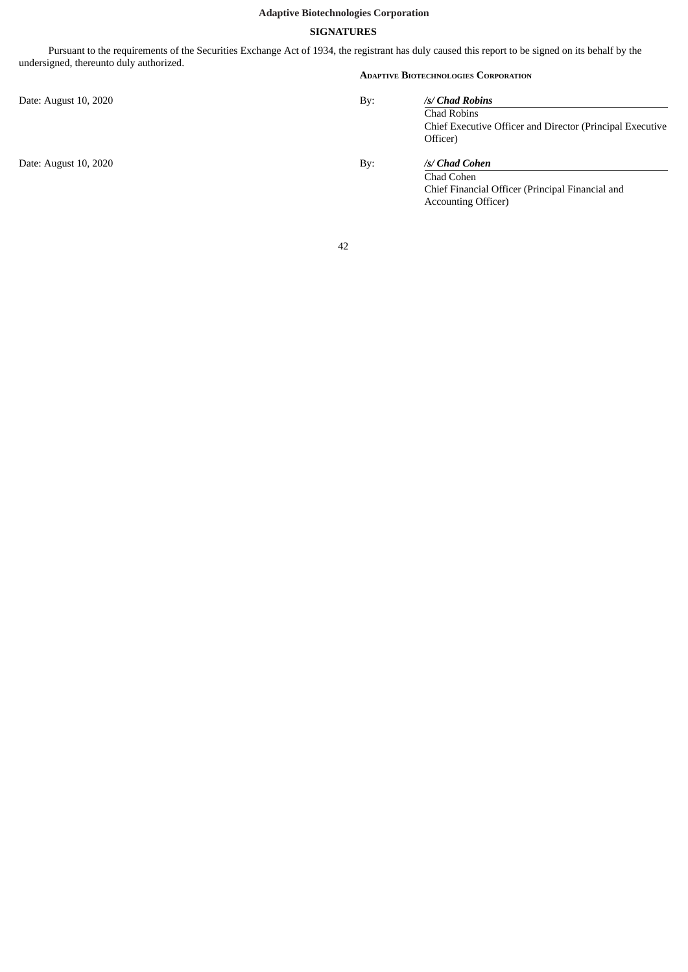# **SIGNATURES**

<span id="page-41-0"></span>Pursuant to the requirements of the Securities Exchange Act of 1934, the registrant has duly caused this report to be signed on its behalf by the undersigned, thereunto duly authorized.

Date: August 10, 2020 By: *Physical By: Physical By: Physical By: Chandre By: Chandre By: Chandre By: Chandre By: Chandre By: Chandre By: Chandre By: Chandre By: Chandre By: Chand* 

Date: August 10, 2020 **By:** *Changle 2020* 

### **ADAPTIVE BIOTECHNOLOGIES CORPORATION**

Accounting Officer)

| /s/ Chad Robins<br>Chad Robins |                                                           |
|--------------------------------|-----------------------------------------------------------|
| Officer)                       | Chief Executive Officer and Director (Principal Executive |
| /s/ Chad Cohen                 |                                                           |
| Chad Cohen                     |                                                           |

Chief Financial Officer (Principal Financial and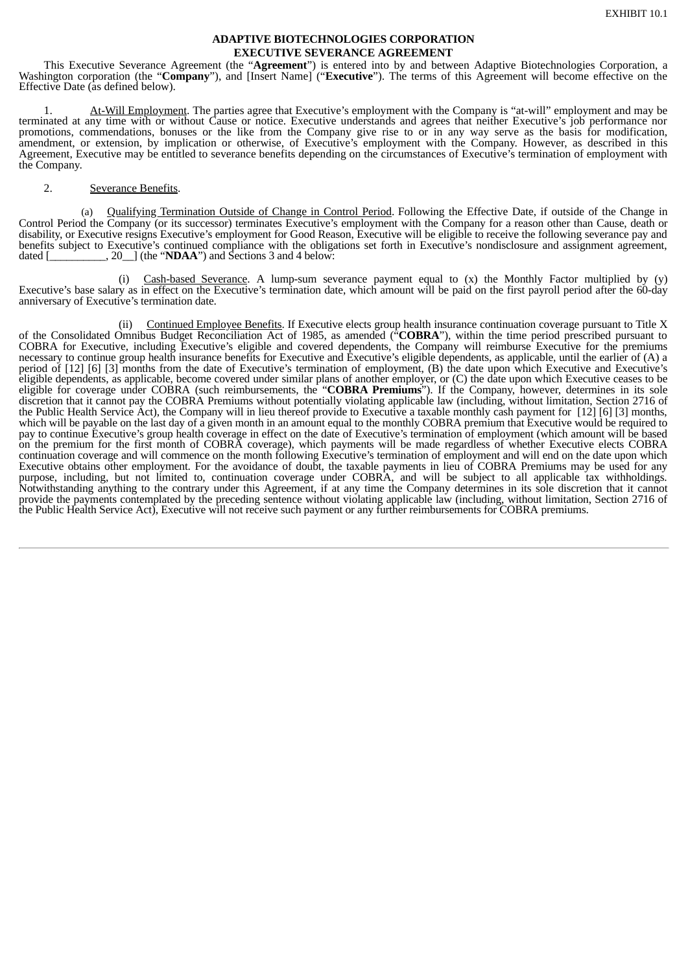# **ADAPTIVE BIOTECHNOLOGIES CORPORATION EXECUTIVE SEVERANCE AGREEMENT**

<span id="page-42-0"></span>This Executive Severance Agreement (the "**Agreement**") is entered into by and between Adaptive Biotechnologies Corporation, a Washington corporation (the "**Company**"), and [Insert Name] ("**Executive**"). The terms of this Agreement will become effective on the Effective Date (as defined below).

1. At-Will Employment. The parties agree that Executive's employment with the Company is "at-will" employment and may be terminated at any time with or without Cause or notice. Executive understands and agrees that neither Executive's job performance nor promotions, commendations, bonuses or the like from the Company give rise to or in any way serve as the basis for modification, amendment, or extension, by implication or otherwise, of Executive's employment with the Company. However, as described in this Agreement, Executive may be entitled to severance benefits depending on the circumstances of Executive's termination of employment with the Company.

# 2. Severance Benefits.

Qualifying Termination Outside of Change in Control Period. Following the Effective Date, if outside of the Change in Control Period the Company (or its successor) terminates Executive's employment with the Company for a reason other than Cause, death or disability, or Executive resigns Executive's employment for Good Reason, Executive will be eligible to receive the following severance pay and benefits subject to Executive's continued compliance with the obligations set forth in Executive's nondisclosure and assignment agreement, dated  $\lceil$  (the "NDAA") and Sections 3 and 4 below:  $\ldots$ , 20 $\ldots$ ] (the "**NDAA**") and Sections 3 and 4 below:

(i) Cash-based Severance. A lump-sum severance payment equal to (x) the Monthly Factor multiplied by (y) Executive's base salary as in effect on the Executive's termination date, which amount will be paid on the first payroll period after the 60-day anniversary of Executive's termination date.

(ii) Continued Employee Benefits. If Executive elects group health insurance continuation coverage pursuant to Title X of the Consolidated Omnibus Budget Reconciliation Act of 1985, as amended ("**COBRA**"), within the time period prescribed pursuant to COBRA for Executive, including Executive's eligible and covered dependents, the Company will reimburse Executive for the premiums necessary to continue group health insurance benefits for Executive and Executive's eligible dependents, as applicable, until the earlier of (A) a period of [12] [6] [3] months from the date of Executive's termination of employment, (B) the date upon which Executive and Executive's eligible dependents, as applicable, become covered under similar plans of another employer, or (C) the date upon which Executive ceases to be eligible for coverage under COBRA (such reimbursements, the "**COBRA Premiums**"). If the Company, however, determines in its sole discretion that it cannot pay the COBRA Premiums without potentially violating applicable law (including, without limitation, Section 2716 of the Public Health Service Act), the Company will in lieu thereof provide to Executive a taxable monthly cash payment for [12] [6] [3] months, which will be payable on the last day of a given month in an amount equal to the monthly COBRA premium that Executive would be required to pay to continue Executive's group health coverage in effect on the date of Executive's termination of employment (which amount will be based on the premium for the first month of COBRA coverage), which payments will be made regardless of whether Executive elects COBRA continuation coverage and will commence on the month following Executive's termination of employment and will end on the date upon which Executive obtains other employment. For the avoidance of doubt, the taxable payments in lieu of COBRA Premiums may be used for any purpose, including, but not limited to, continuation coverage under COBRA, and will be subject to all applicable tax withholdings. Notwithstanding anything to the contrary under this Agreement, if at any time the Company determines in its sole discretion that it cannot provide the payments contemplated by the preceding sentence without violating applicable law (including, without limitation, Section 2716 of the Public Health Service Act), Executive will not receive such payment or any further reimbursements for COBRA premiums.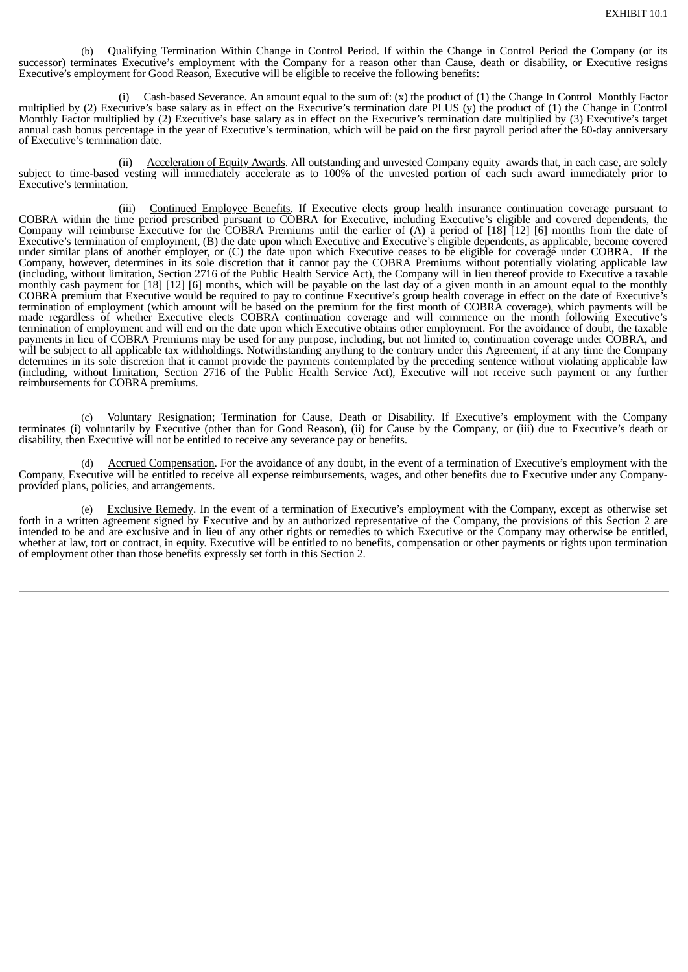(b) Qualifying Termination Within Change in Control Period. If within the Change in Control Period the Company (or its successor) terminates Executive's employment with the Company for a reason other than Cause, death or disability, or Executive resigns Executive's employment for Good Reason, Executive will be eligible to receive the following benefits:

Cash-based Severance. An amount equal to the sum of: (x) the product of (1) the Change In Control Monthly Factor multiplied by (2) Executive's base salary as in effect on the Executive's termination date PLUS (y) the product of (1) the Change in Control Monthly Factor multiplied by (2) Executive's base salary as in effect on the Executive's termination date multiplied by (3) Executive's target annual cash bonus percentage in the year of Executive's termination, which will be paid on the first payroll period after the 60-day anniversary of Executive's termination date.

(ii) Acceleration of Equity Awards. All outstanding and unvested Company equity awards that, in each case, are solely subject to time-based vesting will immediately accelerate as to 100% of the unvested portion of each such award immediately prior to Executive's termination.

(iii) Continued Employee Benefits. If Executive elects group health insurance continuation coverage pursuant to COBRA within the time period prescribed pursuant to COBRA for Executive, including Executive's eligible and covered dependents, the Company will reimburse Executive for the COBRA Premiums until the earlier of  $(A)$  a period of  $[18]$   $[12]$   $[6]$  months from the date of Executive's termination of employment, (B) the date upon which Executive and Executive's eligible dependents, as applicable, become covered under similar plans of another employer, or (C) the date upon which Executive ceases to be eligible for coverage under COBRA. If the Company, however, determines in its sole discretion that it cannot pay the COBRA Premiums without potentially violating applicable law (including, without limitation, Section 2716 of the Public Health Service Act), the Company will in lieu thereof provide to Executive a taxable monthly cash payment for [18] [12] [6] months, which will be payable on the last day of a given month in an amount equal to the monthly COBRA premium that Executive would be required to pay to continue Executive's group health coverage in effect on the date of Executive's termination of employment (which amount will be based on the premium for the first month of COBRA coverage), which payments will be made regardless of whether Executive elects COBRA continuation coverage and will commence on the month following Executive's termination of employment and will end on the date upon which Executive obtains other employment. For the avoidance of doubt, the taxable payments in lieu of COBRA Premiums may be used for any purpose, including, but not limited to, continuation coverage under COBRA, and will be subject to all applicable tax withholdings. Notwithstanding anything to the contrary under this Agreement, if at any time the Company determines in its sole discretion that it cannot provide the payments contemplated by the preceding sentence without violating applicable law (including, without limitation, Section 2716 of the Public Health Service Act), Executive will not receive such payment or any further reimbursements for COBRA premiums.

(c) Voluntary Resignation; Termination for Cause, Death or Disability. If Executive's employment with the Company terminates (i) voluntarily by Executive (other than for Good Reason), (ii) for Cause by the Company, or (iii) due to Executive's death or disability, then Executive will not be entitled to receive any severance pay or benefits.

Accrued Compensation. For the avoidance of any doubt, in the event of a termination of Executive's employment with the Company, Executive will be entitled to receive all expense reimbursements, wages, and other benefits due to Executive under any Companyprovided plans, policies, and arrangements.

Exclusive Remedy. In the event of a termination of Executive's employment with the Company, except as otherwise set forth in a written agreement signed by Executive and by an authorized representative of the Company, the provisions of this Section 2 are intended to be and are exclusive and in lieu of any other rights or remedies to which Executive or the Company may otherwise be entitled, whether at law, tort or contract, in equity. Executive will be entitled to no benefits, compensation or other payments or rights upon termination of employment other than those benefits expressly set forth in this Section 2.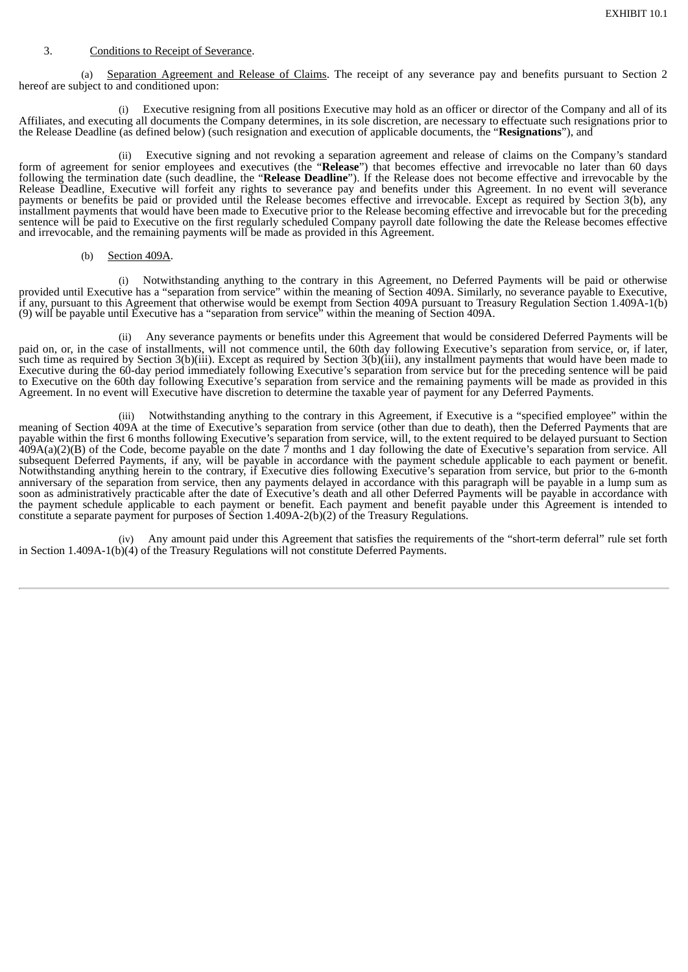# 3. Conditions to Receipt of Severance.

(a) Separation Agreement and Release of Claims. The receipt of any severance pay and benefits pursuant to Section 2 hereof are subject to and conditioned upon:

(i) Executive resigning from all positions Executive may hold as an officer or director of the Company and all of its Affiliates, and executing all documents the Company determines, in its sole discretion, are necessary to effectuate such resignations prior to the Release Deadline (as defined below) (such resignation and execution of applicable documents, the "**Resignations**"), and

(ii) Executive signing and not revoking a separation agreement and release of claims on the Company's standard form of agreement for senior employees and executives (the "**Release**") that becomes effective and irrevocable no later than 60 days following the termination date (such deadline, the "**Release Deadline**"). If the Release does not become effective and irrevocable by the Release Deadline, Executive will forfeit any rights to severance pay and benefits under this Agreement. In no event will severance payments or benefits be paid or provided until the Release becomes effective and irrevocable. Except as required by Section 3(b), any installment payments that would have been made to Executive prior to the Release becoming effective and irrevocable but for the preceding sentence will be paid to Executive on the first regularly scheduled Company payroll date following the date the Release becomes effective and irrevocable, and the remaining payments will be made as provided in this Agreement.

# (b) Section 409A.

(i) Notwithstanding anything to the contrary in this Agreement, no Deferred Payments will be paid or otherwise provided until Executive has a "separation from service" within the meaning of Section 409A. Similarly, no severance payable to Executive, if any, pursuant to this Agreement that otherwise would be exempt from Section 409A pursuant to Treasury Regulation Section 1.409A-1(b) (9) will be payable until Executive has a "separation from service" within the meaning of Section 409A.

(ii) Any severance payments or benefits under this Agreement that would be considered Deferred Payments will be paid on, or, in the case of installments, will not commence until, the 60th day following Executive's separation from service, or, if later, such time as required by Section 3(b)(iii). Except as required by Section 3(b)(iii), any installment payments that would have been made to Executive during the 60-day period immediately following Executive's separation from service but for the preceding sentence will be paid to Executive on the 60th day following Executive's separation from service and the remaining payments will be made as provided in this Agreement. In no event will Executive have discretion to determine the taxable year of payment for any Deferred Payments.

(iii) Notwithstanding anything to the contrary in this Agreement, if Executive is a "specified employee" within the meaning of Section 409A at the time of Executive's separation from service (other than due to death), then the Deferred Payments that are payable within the first 6 months following Executive's separation from service, will, to the extent required to be delayed pursuant to Section 409A(a)(2)(B) of the Code, become payable on the date 7 months and 1 day following the date of Executive's separation from service. All subsequent Deferred Payments, if any, will be payable in accordance with the payment schedule applicable to each payment or benefit. Notwithstanding anything herein to the contrary, if Executive dies following Executive's separation from service, but prior to the 6-month anniversary of the separation from service, then any payments delayed in accordance with this paragraph will be payable in a lump sum as soon as administratively practicable after the date of Executive's death and all other Deferred Payments will be payable in accordance with the payment schedule applicable to each payment or benefit. Each payment and benefit payable under this Agreement is intended to constitute a separate payment for purposes of Section 1.409A-2(b)(2) of the Treasury Regulations.

(iv) Any amount paid under this Agreement that satisfies the requirements of the "short-term deferral" rule set forth in Section 1.409A-1(b)(4) of the Treasury Regulations will not constitute Deferred Payments.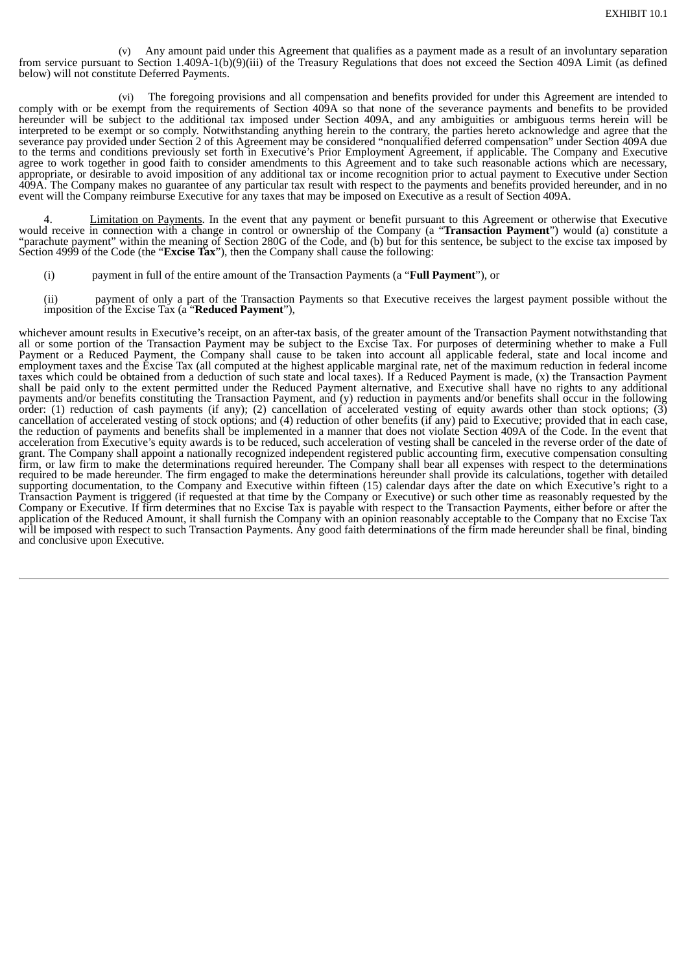(v) Any amount paid under this Agreement that qualifies as a payment made as a result of an involuntary separation from service pursuant to Section 1.409A-1(b)(9)(iii) of the Treasury Regulations that does not exceed the Section 409A Limit (as defined below) will not constitute Deferred Payments.

(vi) The foregoing provisions and all compensation and benefits provided for under this Agreement are intended to comply with or be exempt from the requirements of Section 409A so that none of the severance payments and benefits to be provided hereunder will be subject to the additional tax imposed under Section 409A, and any ambiguities or ambiguous terms herein will be interpreted to be exempt or so comply. Notwithstanding anything herein to the contrary, the parties hereto acknowledge and agree that the severance pay provided under Section 2 of this Agreement may be considered "nonqualified deferred compensation" under Section 409A due to the terms and conditions previously set forth in Executive's Prior Employment Agreement, if applicable. The Company and Executive agree to work together in good faith to consider amendments to this Agreement and to take such reasonable actions which are necessary, appropriate, or desirable to avoid imposition of any additional tax or income recognition prior to actual payment to Executive under Section 409A. The Company makes no guarantee of any particular tax result with respect to the payments and benefits provided hereunder, and in no event will the Company reimburse Executive for any taxes that may be imposed on Executive as a result of Section 409A.

Limitation on Payments. In the event that any payment or benefit pursuant to this Agreement or otherwise that Executive would receive in connection with a change in control or ownership of the Company (a "**Transaction Payment**") would (a) constitute a "parachute payment" within the meaning of Section 280G of the Code, and (b) but for this sentence, be subject to the excise tax imposed by Section 4999 of the Code (the "**Excise Tax**"), then the Company shall cause the following:

(i) payment in full of the entire amount of the Transaction Payments (a "**Full Payment**"), or

(ii) payment of only a part of the Transaction Payments so that Executive receives the largest payment possible without the imposition of the Excise Tax (a "**Reduced Payment**"),

whichever amount results in Executive's receipt, on an after-tax basis, of the greater amount of the Transaction Payment notwithstanding that all or some portion of the Transaction Payment may be subject to the Excise Tax. For purposes of determining whether to make a Full Payment or a Reduced Payment, the Company shall cause to be taken into account all applicable federal, state and local income and employment taxes and the Excise Tax (all computed at the highest applicable marginal rate, net of the maximum reduction in federal income taxes which could be obtained from a deduction of such state and local taxes). If a Reduced Payment is made, (x) the Transaction Payment shall be paid only to the extent permitted under the Reduced Payment alternative, and Executive shall have no rights to any additional payments and/or benefits constituting the Transaction Payment, and (y) reduction in payments and/or benefits shall occur in the following order: (1) reduction of cash payments (if any); (2) cancellation of accelerated vesting of equity awards other than stock options; (3) cancellation of accelerated vesting of stock options; and (4) reduction of other benefits (if any) paid to Executive; provided that in each case, the reduction of payments and benefits shall be implemented in a manner that does not violate Section 409A of the Code. In the event that acceleration from Executive's equity awards is to be reduced, such acceleration of vesting shall be canceled in the reverse order of the date of grant. The Company shall appoint a nationally recognized independent registered public accounting firm, executive compensation consulting firm, or law firm to make the determinations required hereunder. The Company shall bear all expenses with respect to the determinations required to be made hereunder. The firm engaged to make the determinations hereunder shall provide its calculations, together with detailed supporting documentation, to the Company and Executive within fifteen (15) calendar days after the date on which Executive's right to a Transaction Payment is triggered (if requested at that time by the Company or Executive) or such other time as reasonably requested by the Company or Executive. If firm determines that no Excise Tax is payable with respect to the Transaction Payments, either before or after the application of the Reduced Amount, it shall furnish the Company with an opinion reasonably acceptable to the Company that no Excise Tax will be imposed with respect to such Transaction Payments. Any good faith determinations of the firm made hereunder shall be final, binding and conclusive upon Executive.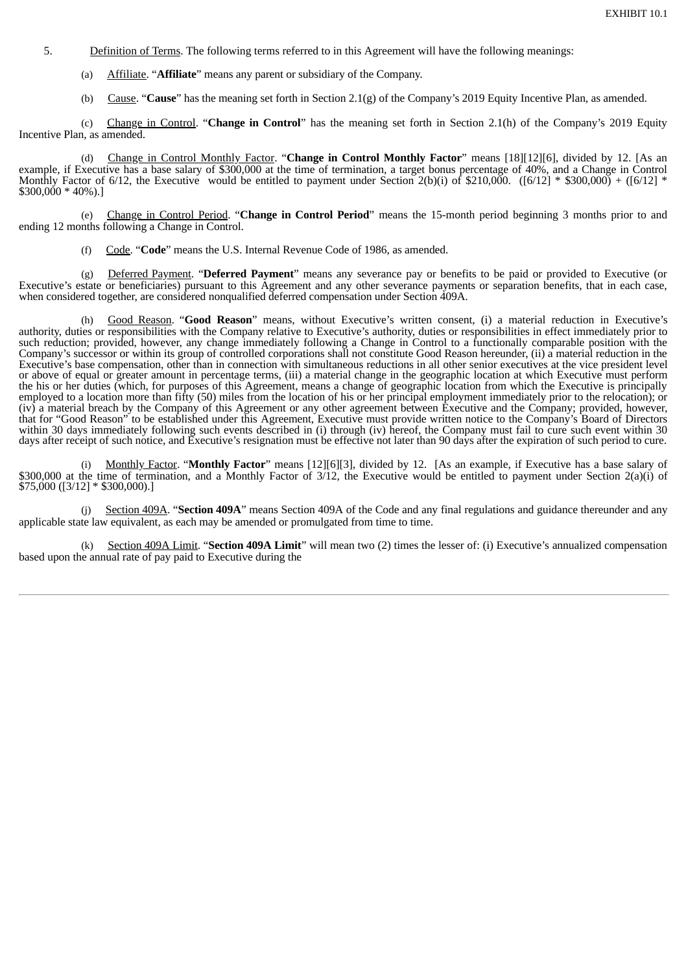- 5. Definition of Terms. The following terms referred to in this Agreement will have the following meanings:
	- (a) Affiliate. "**Affiliate**" means any parent or subsidiary of the Company.
	- (b) Cause. "**Cause**" has the meaning set forth in Section 2.1(g) of the Company's 2019 Equity Incentive Plan, as amended.

(c) Change in Control. "**Change in Control**" has the meaning set forth in Section 2.1(h) of the Company's 2019 Equity Incentive Plan, as amended.

(d) Change in Control Monthly Factor. "**Change in Control Monthly Factor**" means [18][12][6], divided by 12. [As an example, if Executive has a base salary of \$300,000 at the time of termination, a target bonus percentage of 40%, and a Change in Control Monthly Factor of 6/12, the Executive would be entitled to payment under Section 2(b)(i) of \$210,000. ([6/12] \* \$300,000) + ([6/12] \*  $$300.000 * 40\%$ ).

(e) Change in Control Period. "**Change in Control Period**" means the 15-month period beginning 3 months prior to and ending 12 months following a Change in Control.

(f) Code. "**Code**" means the U.S. Internal Revenue Code of 1986, as amended.

(g) Deferred Payment. "**Deferred Payment**" means any severance pay or benefits to be paid or provided to Executive (or Executive's estate or beneficiaries) pursuant to this Agreement and any other severance payments or separation benefits, that in each case, when considered together, are considered nonqualified deferred compensation under Section 409A.

(h) Good Reason. "**Good Reason**" means, without Executive's written consent, (i) a material reduction in Executive's authority, duties or responsibilities with the Company relative to Executive's authority, duties or responsibilities in effect immediately prior to such reduction; provided, however, any change immediately following a Change in Control to a functionally comparable position with the Company's successor or within its group of controlled corporations shall not constitute Good Reason hereunder, (ii) a material reduction in the Executive's base compensation, other than in connection with simultaneous reductions in all other senior executives at the vice president level or above of equal or greater amount in percentage terms, (iii) a material change in the geographic location at which Executive must perform the his or her duties (which, for purposes of this Agreement, means a change of geographic location from which the Executive is principally employed to a location more than fifty (50) miles from the location of his or her principal employment immediately prior to the relocation); or (iv) a material breach by the Company of this Agreement or any other agreement between Executive and the Company; provided, however, that for "Good Reason" to be established under this Agreement, Executive must provide written notice to the Company's Board of Directors within 30 days immediately following such events described in (i) through (iv) hereof, the Company must fail to cure such event within 30 days after receipt of such notice, and Executive's resignation must be effective not later than 90 days after the expiration of such period to cure.

(i) Monthly Factor. "**Monthly Factor**" means [12][6][3], divided by 12. [As an example, if Executive has a base salary of \$300,000 at the time of termination, and a Monthly Factor of 3/12, the Executive would be entitled to payment under Section 2(a)(i) of \$75,000 ([3/12] \* \$300,000).]

Section 409A. "Section 409A" means Section 409A of the Code and any final regulations and guidance thereunder and any applicable state law equivalent, as each may be amended or promulgated from time to time.

(k) Section 409A Limit. "**Section 409A Limit**" will mean two (2) times the lesser of: (i) Executive's annualized compensation based upon the annual rate of pay paid to Executive during the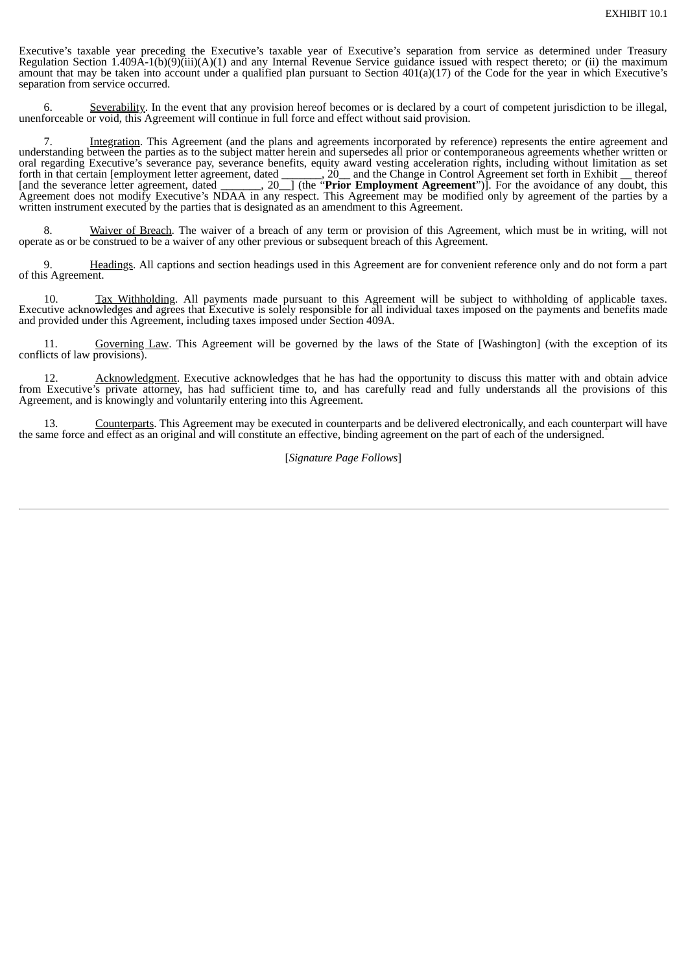Executive's taxable year preceding the Executive's taxable year of Executive's separation from service as determined under Treasury Regulation Section 1.409A-1(b)(9)(iii)(A)(1) and any Internal Revenue Service guidance issued with respect thereto; or (ii) the maximum amount that may be taken into account under a qualified plan pursuant to Section 401(a)(17) of the Code for the year in which Executive's separation from service occurred.

Severability. In the event that any provision hereof becomes or is declared by a court of competent jurisdiction to be illegal, unenforceable or void, this Agreement will continue in full force and effect without said provision.

7. Integration. This Agreement (and the plans and agreements incorporated by reference) represents the entire agreement and understanding between the parties as to the subject matter herein and supersedes all prior or contemporaneous agreements whether written or oral regarding Executive's severance pay, severance benefits, equity award vesting acceleration rights, including without limitation as set forth in that certain [employment letter agreement, dated \_\_\_\_\_\_\_, 20\_\_ and the Change in Control Agreement set forth in Exhibit \_\_ thereof [and the severance letter agreement, dated \_\_\_\_\_\_\_, 20\_\_] (the "**Prior Employment Agreement**")]. For the avoidance of any doubt, this Agreement does not modify Executive's NDAA in any respect. This Agreement may be modified only by agreement of the parties by a written instrument executed by the parties that is designated as an amendment to this Agreement.

8. Waiver of Breach. The waiver of a breach of any term or provision of this Agreement, which must be in writing, will not operate as or be construed to be a waiver of any other previous or subsequent breach of this Agreement.

9. Headings. All captions and section headings used in this Agreement are for convenient reference only and do not form a part of this Agreement.

10. Tax Withholding. All payments made pursuant to this Agreement will be subject to withholding of applicable taxes. Executive acknowledges and agrees that Executive is solely responsible for all individual taxes imposed on the payments and benefits made and provided under this Agreement, including taxes imposed under Section 409A.

11. Governing Law. This Agreement will be governed by the laws of the State of [Washington] (with the exception of its conflicts of law provisions).

12. Acknowledgment. Executive acknowledges that he has had the opportunity to discuss this matter with and obtain advice from Executive's private attorney, has had sufficient time to, and has carefully read and fully understands all the provisions of this Agreement, and is knowingly and voluntarily entering into this Agreement.

13. Counterparts. This Agreement may be executed in counterparts and be delivered electronically, and each counterpart will have the same force and effect as an original and will constitute an effective, binding agreement on the part of each of the undersigned.

# [*Signature Page Follows*]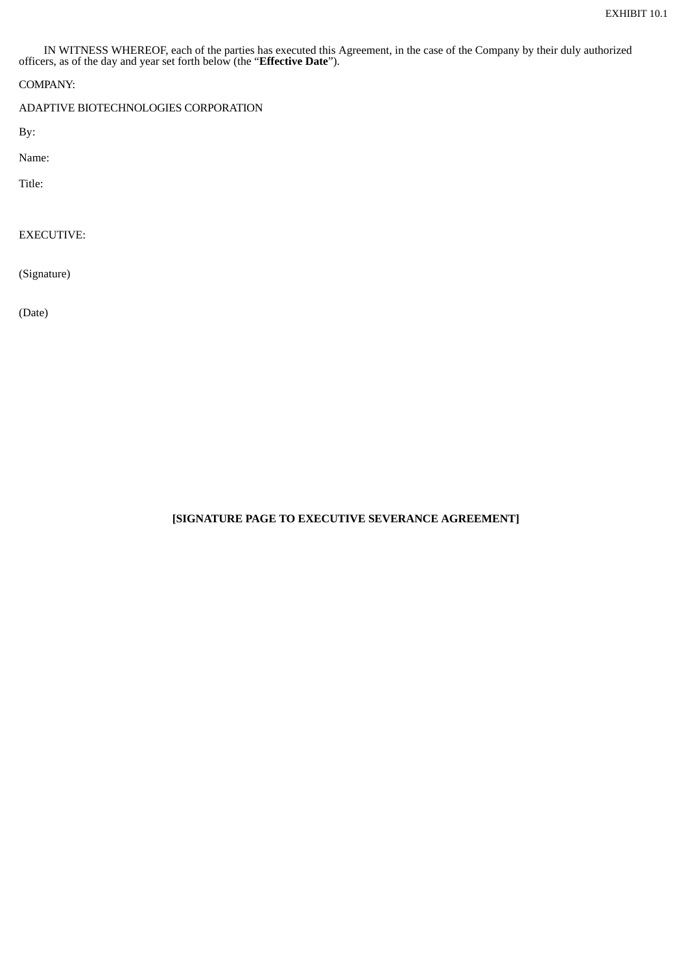IN WITNESS WHEREOF, each of the parties has executed this Agreement, in the case of the Company by their duly authorized officers, as of the day and year set forth below (the "**Effective Date**").

COMPANY:

ADAPTIVE BIOTECHNOLOGIES CORPORATION

By:

Name:

Title:

EXECUTIVE:

(Signature)

(Date)

**[SIGNATURE PAGE TO EXECUTIVE SEVERANCE AGREEMENT]**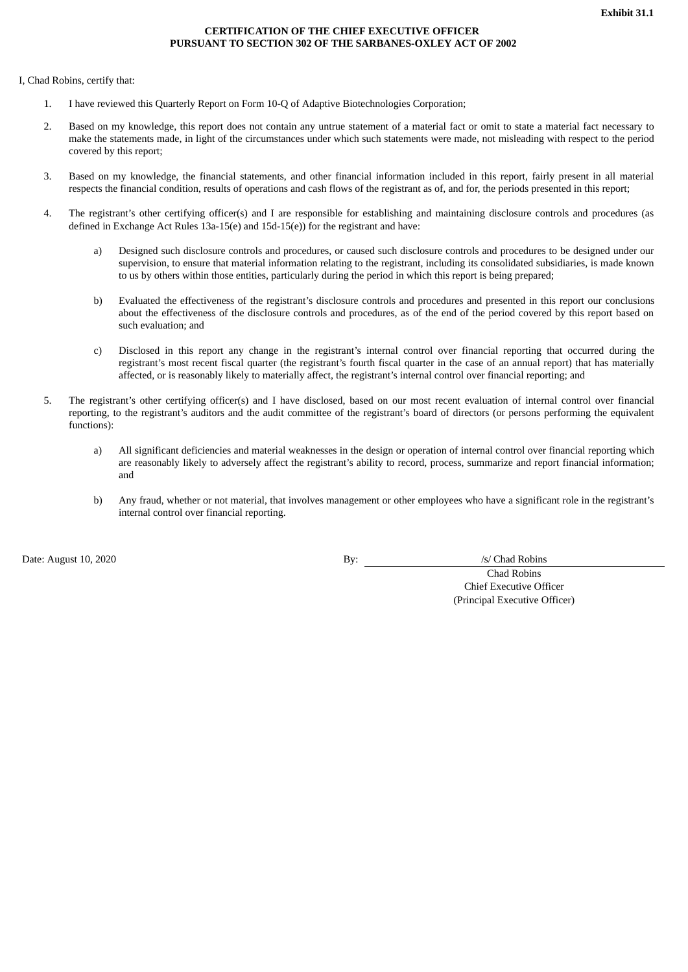# **CERTIFICATION OF THE CHIEF EXECUTIVE OFFICER PURSUANT TO SECTION 302 OF THE SARBANES-OXLEY ACT OF 2002**

<span id="page-49-0"></span>I, Chad Robins, certify that:

- 1. I have reviewed this Quarterly Report on Form 10-Q of Adaptive Biotechnologies Corporation;
- 2. Based on my knowledge, this report does not contain any untrue statement of a material fact or omit to state a material fact necessary to make the statements made, in light of the circumstances under which such statements were made, not misleading with respect to the period covered by this report;
- 3. Based on my knowledge, the financial statements, and other financial information included in this report, fairly present in all material respects the financial condition, results of operations and cash flows of the registrant as of, and for, the periods presented in this report;
- 4. The registrant's other certifying officer(s) and I are responsible for establishing and maintaining disclosure controls and procedures (as defined in Exchange Act Rules 13a-15(e) and 15d-15(e)) for the registrant and have:
	- a) Designed such disclosure controls and procedures, or caused such disclosure controls and procedures to be designed under our supervision, to ensure that material information relating to the registrant, including its consolidated subsidiaries, is made known to us by others within those entities, particularly during the period in which this report is being prepared;
	- b) Evaluated the effectiveness of the registrant's disclosure controls and procedures and presented in this report our conclusions about the effectiveness of the disclosure controls and procedures, as of the end of the period covered by this report based on such evaluation; and
	- c) Disclosed in this report any change in the registrant's internal control over financial reporting that occurred during the registrant's most recent fiscal quarter (the registrant's fourth fiscal quarter in the case of an annual report) that has materially affected, or is reasonably likely to materially affect, the registrant's internal control over financial reporting; and
- 5. The registrant's other certifying officer(s) and I have disclosed, based on our most recent evaluation of internal control over financial reporting, to the registrant's auditors and the audit committee of the registrant's board of directors (or persons performing the equivalent functions):
	- a) All significant deficiencies and material weaknesses in the design or operation of internal control over financial reporting which are reasonably likely to adversely affect the registrant's ability to record, process, summarize and report financial information; and
	- b) Any fraud, whether or not material, that involves management or other employees who have a significant role in the registrant's internal control over financial reporting.

Date: August 10, 2020 By: <u>By:</u> /s/ Chad Robins

Chad Robins Chief Executive Officer (Principal Executive Officer)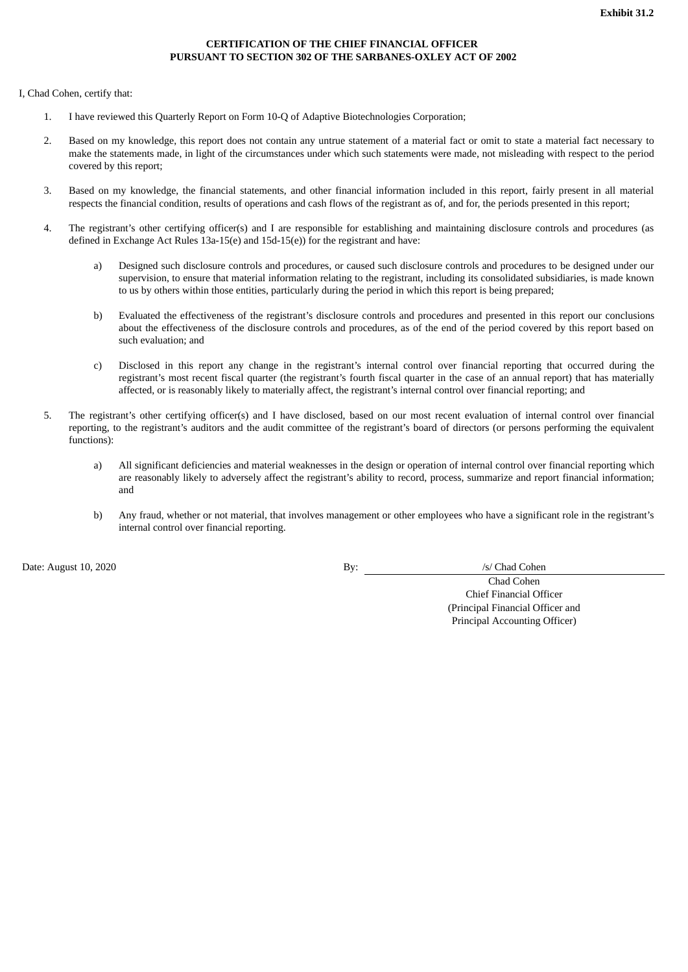# **CERTIFICATION OF THE CHIEF FINANCIAL OFFICER PURSUANT TO SECTION 302 OF THE SARBANES-OXLEY ACT OF 2002**

<span id="page-50-0"></span>I, Chad Cohen, certify that:

- 1. I have reviewed this Quarterly Report on Form 10-Q of Adaptive Biotechnologies Corporation;
- 2. Based on my knowledge, this report does not contain any untrue statement of a material fact or omit to state a material fact necessary to make the statements made, in light of the circumstances under which such statements were made, not misleading with respect to the period covered by this report;
- 3. Based on my knowledge, the financial statements, and other financial information included in this report, fairly present in all material respects the financial condition, results of operations and cash flows of the registrant as of, and for, the periods presented in this report;
- 4. The registrant's other certifying officer(s) and I are responsible for establishing and maintaining disclosure controls and procedures (as defined in Exchange Act Rules 13a-15(e) and 15d-15(e)) for the registrant and have:
	- a) Designed such disclosure controls and procedures, or caused such disclosure controls and procedures to be designed under our supervision, to ensure that material information relating to the registrant, including its consolidated subsidiaries, is made known to us by others within those entities, particularly during the period in which this report is being prepared;
	- b) Evaluated the effectiveness of the registrant's disclosure controls and procedures and presented in this report our conclusions about the effectiveness of the disclosure controls and procedures, as of the end of the period covered by this report based on such evaluation; and
	- c) Disclosed in this report any change in the registrant's internal control over financial reporting that occurred during the registrant's most recent fiscal quarter (the registrant's fourth fiscal quarter in the case of an annual report) that has materially affected, or is reasonably likely to materially affect, the registrant's internal control over financial reporting; and
- 5. The registrant's other certifying officer(s) and I have disclosed, based on our most recent evaluation of internal control over financial reporting, to the registrant's auditors and the audit committee of the registrant's board of directors (or persons performing the equivalent functions):
	- a) All significant deficiencies and material weaknesses in the design or operation of internal control over financial reporting which are reasonably likely to adversely affect the registrant's ability to record, process, summarize and report financial information; and
	- b) Any fraud, whether or not material, that involves management or other employees who have a significant role in the registrant's internal control over financial reporting.

Date: August 10, 2020 By: /s/ Chad Cohen

Chad Cohen Chief Financial Officer (Principal Financial Officer and Principal Accounting Officer)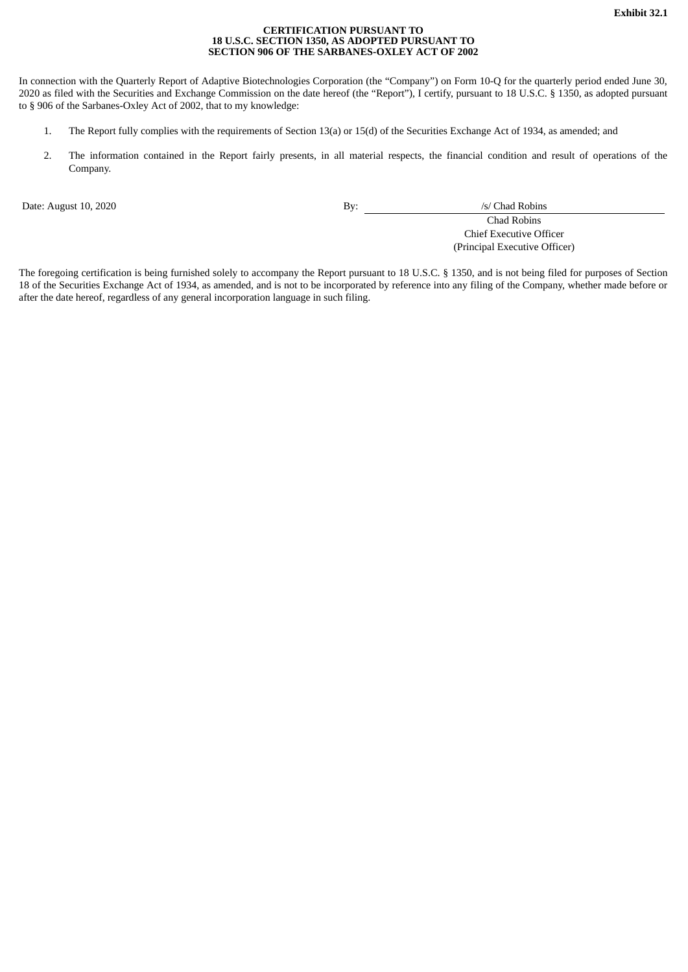#### **CERTIFICATION PURSUANT TO 18 U.S.C. SECTION 1350, AS ADOPTED PURSUANT TO SECTION 906 OF THE SARBANES-OXLEY ACT OF 2002**

<span id="page-51-0"></span>In connection with the Quarterly Report of Adaptive Biotechnologies Corporation (the "Company") on Form 10-Q for the quarterly period ended June 30, 2020 as filed with the Securities and Exchange Commission on the date hereof (the "Report"), I certify, pursuant to 18 U.S.C. § 1350, as adopted pursuant to § 906 of the Sarbanes-Oxley Act of 2002, that to my knowledge:

- 1. The Report fully complies with the requirements of Section 13(a) or 15(d) of the Securities Exchange Act of 1934, as amended; and
- 2. The information contained in the Report fairly presents, in all material respects, the financial condition and result of operations of the Company.

Date: August 10, 2020 By: */s/ Chad Robins* 

Chad Robins Chief Executive Officer (Principal Executive Officer)

The foregoing certification is being furnished solely to accompany the Report pursuant to 18 U.S.C. § 1350, and is not being filed for purposes of Section 18 of the Securities Exchange Act of 1934, as amended, and is not to be incorporated by reference into any filing of the Company, whether made before or after the date hereof, regardless of any general incorporation language in such filing.